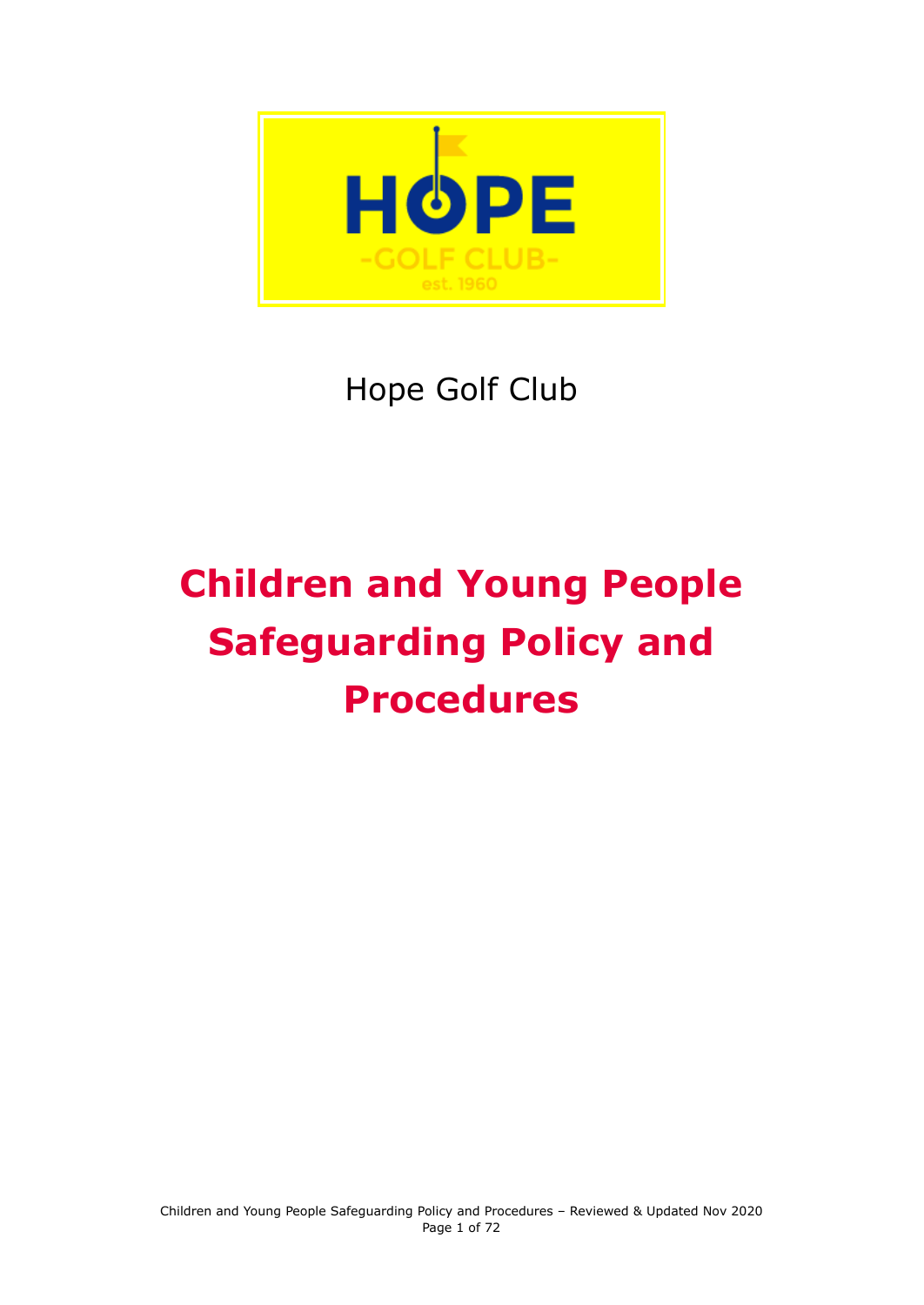

# Hope Golf Club

# **Children and Young People Safeguarding Policy and Procedures**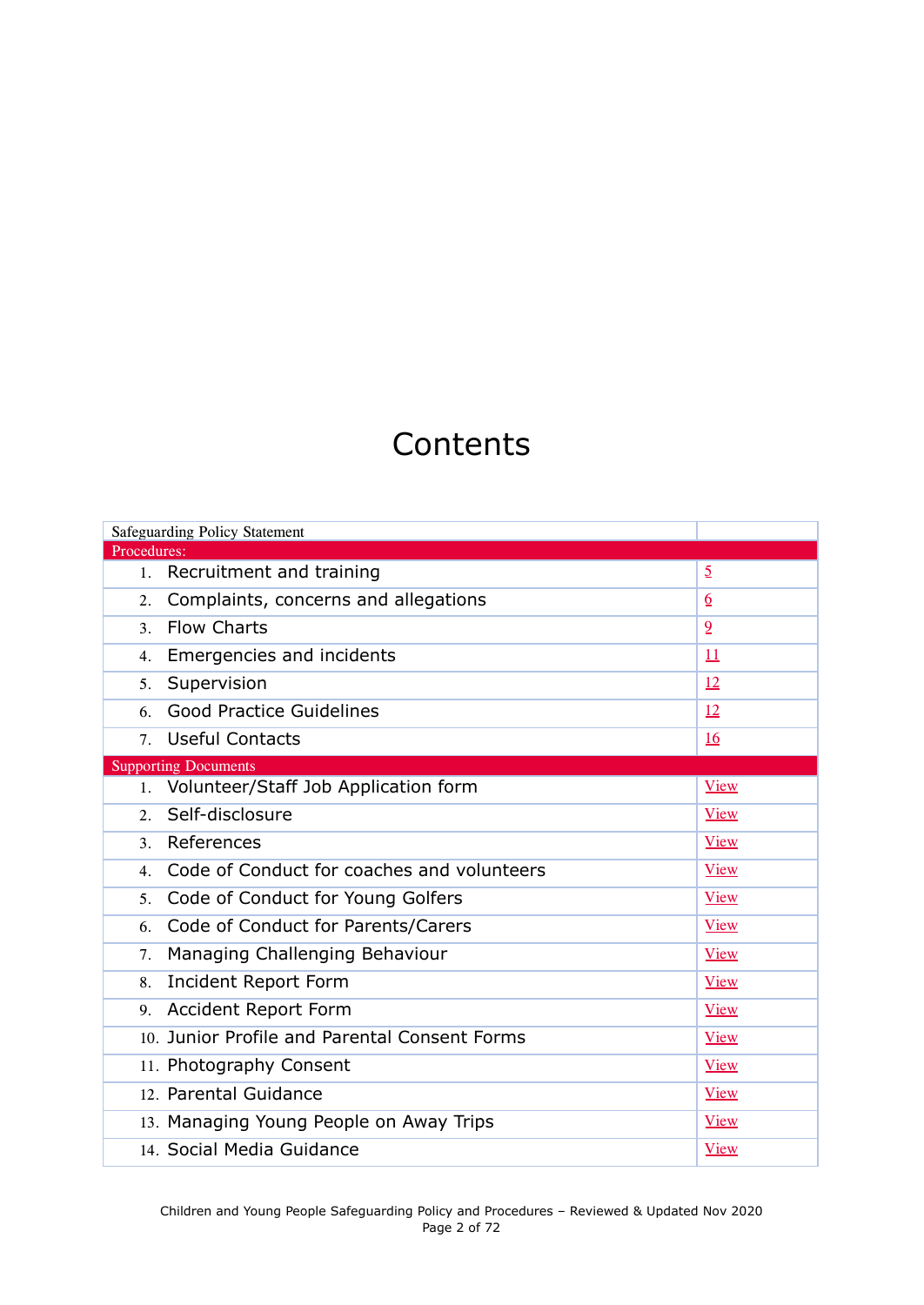## **Contents**

|                | <b>Safeguarding Policy Statement</b>          |                           |
|----------------|-----------------------------------------------|---------------------------|
| Procedures:    |                                               |                           |
| $1_{\cdot}$    | Recruitment and training                      | 5                         |
| 2.             | Complaints, concerns and allegations          | 6                         |
| 3 <sub>1</sub> | <b>Flow Charts</b>                            | $\overline{9}$            |
| 4.             | Emergencies and incidents                     | $\mathbf{\underline{11}}$ |
| 5.             | Supervision                                   | 12                        |
| 6.             | <b>Good Practice Guidelines</b>               | 12                        |
| 7 <sup>1</sup> | <b>Useful Contacts</b>                        | <u>16</u>                 |
|                | <b>Supporting Documents</b>                   |                           |
| $1_{\cdot}$    | Volunteer/Staff Job Application form          | <b>View</b>               |
| 2 <sup>1</sup> | Self-disclosure                               | <b>View</b>               |
| 3 <sub>1</sub> | References                                    | <b>View</b>               |
| $4_{\odot}$    | Code of Conduct for coaches and volunteers    | <b>View</b>               |
| 5.             | Code of Conduct for Young Golfers             | <b>View</b>               |
| 6.             | Code of Conduct for Parents/Carers            | <b>View</b>               |
| $7_{\cdot}$    | Managing Challenging Behaviour                | <b>View</b>               |
| 8.             | Incident Report Form                          | <b>View</b>               |
|                | 9. Accident Report Form                       | <b>View</b>               |
|                | 10. Junior Profile and Parental Consent Forms | <u>View</u>               |
|                | 11. Photography Consent                       | <b>View</b>               |
|                | 12. Parental Guidance                         | <b>View</b>               |
|                | 13. Managing Young People on Away Trips       | <b>View</b>               |
|                | 14. Social Media Guidance                     | <b>View</b>               |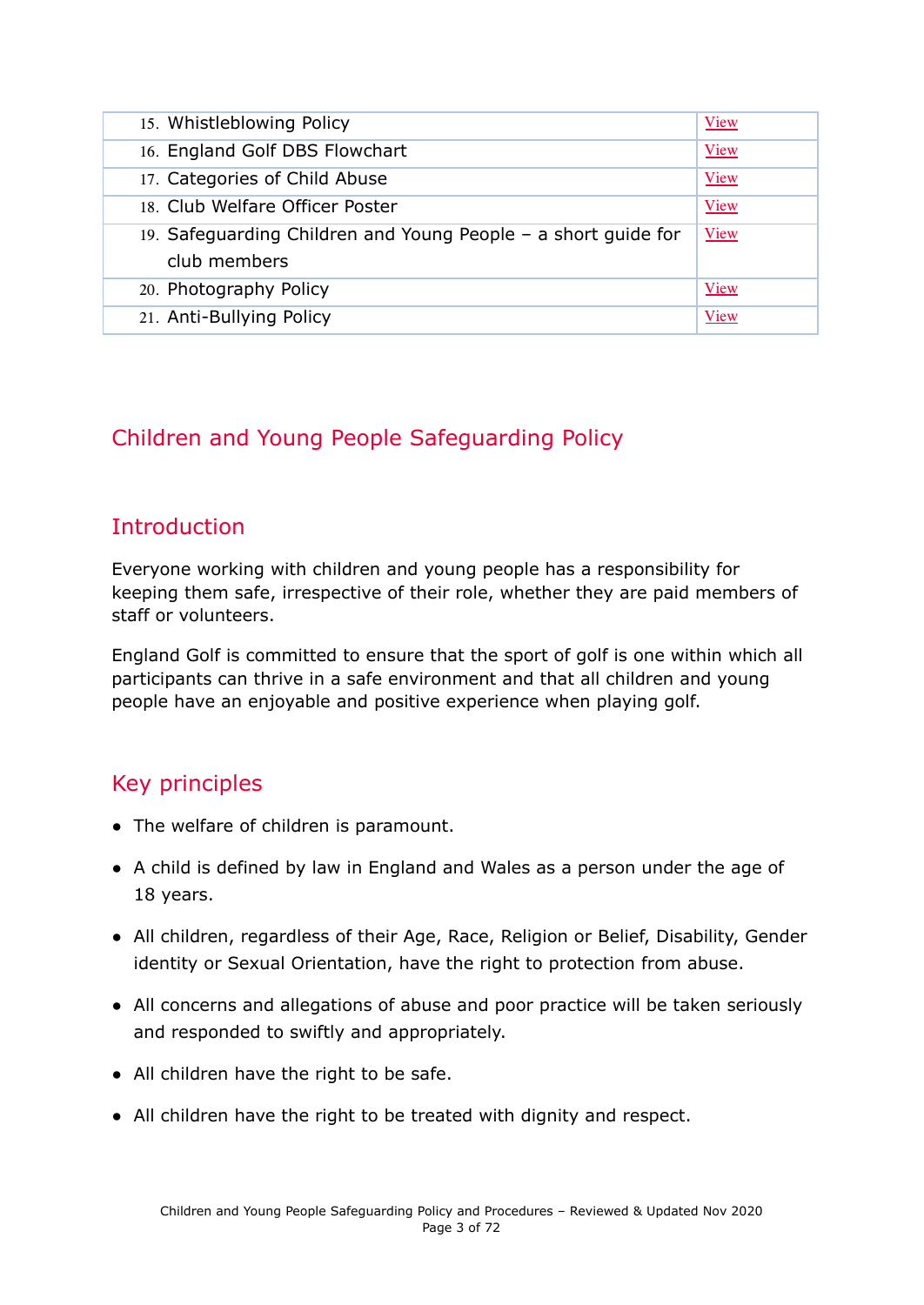| 15. Whistleblowing Policy                                                      | <b>View</b> |
|--------------------------------------------------------------------------------|-------------|
| 16. England Golf DBS Flowchart                                                 | <b>View</b> |
| 17. Categories of Child Abuse                                                  | <b>View</b> |
| 18. Club Welfare Officer Poster                                                | <b>View</b> |
| 19. Safeguarding Children and Young People - a short guide for<br>club members | <b>View</b> |
| 20. Photography Policy                                                         | <b>View</b> |
| 21. Anti-Bullying Policy                                                       | <b>View</b> |

### Children and Young People Safeguarding Policy

### **Introduction**

Everyone working with children and young people has a responsibility for keeping them safe, irrespective of their role, whether they are paid members of staff or volunteers.

England Golf is committed to ensure that the sport of golf is one within which all participants can thrive in a safe environment and that all children and young people have an enjoyable and positive experience when playing golf.

### Key principles

- The welfare of children is paramount.
- A child is defined by law in England and Wales as a person under the age of 18 years.
- All children, regardless of their Age, Race, Religion or Belief, Disability, Gender identity or Sexual Orientation, have the right to protection from abuse.
- All concerns and allegations of abuse and poor practice will be taken seriously and responded to swiftly and appropriately.
- All children have the right to be safe.
- All children have the right to be treated with dignity and respect.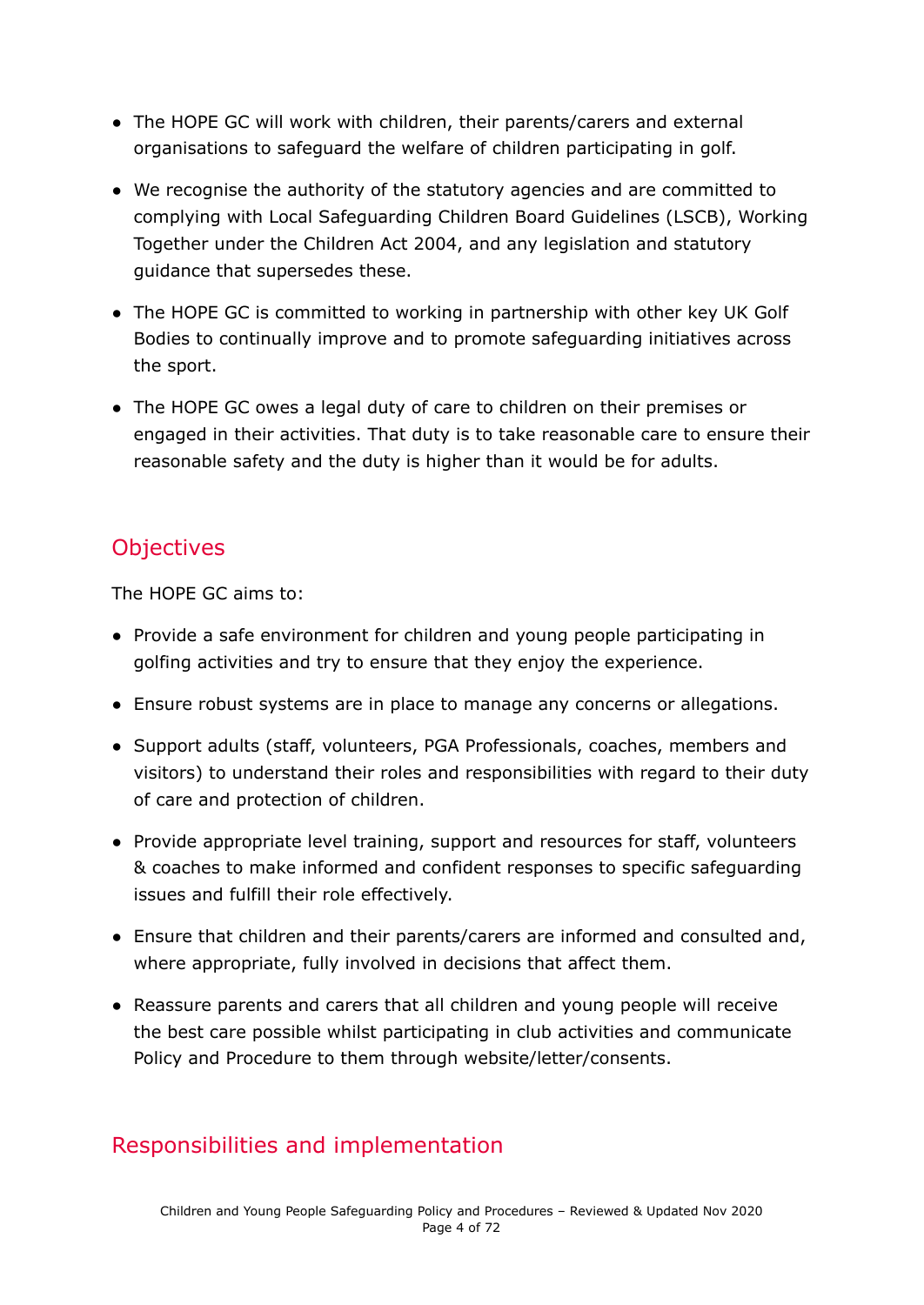- The HOPE GC will work with children, their parents/carers and external organisations to safeguard the welfare of children participating in golf.
- We recognise the authority of the statutory agencies and are committed to complying with Local Safeguarding Children Board Guidelines (LSCB), Working Together under the Children Act 2004, and any legislation and statutory guidance that supersedes these.
- The HOPE GC is committed to working in partnership with other key UK Golf Bodies to continually improve and to promote safeguarding initiatives across the sport.
- The HOPE GC owes a legal duty of care to children on their premises or engaged in their activities. That duty is to take reasonable care to ensure their reasonable safety and the duty is higher than it would be for adults.

### **Objectives**

The HOPE GC aims to:

- Provide a safe environment for children and young people participating in golfing activities and try to ensure that they enjoy the experience.
- Ensure robust systems are in place to manage any concerns or allegations.
- Support adults (staff, volunteers, PGA Professionals, coaches, members and visitors) to understand their roles and responsibilities with regard to their duty of care and protection of children.
- Provide appropriate level training, support and resources for staff, volunteers & coaches to make informed and confident responses to specific safeguarding issues and fulfill their role effectively.
- Ensure that children and their parents/carers are informed and consulted and, where appropriate, fully involved in decisions that affect them.
- Reassure parents and carers that all children and young people will receive the best care possible whilst participating in club activities and communicate Policy and Procedure to them through website/letter/consents.

### Responsibilities and implementation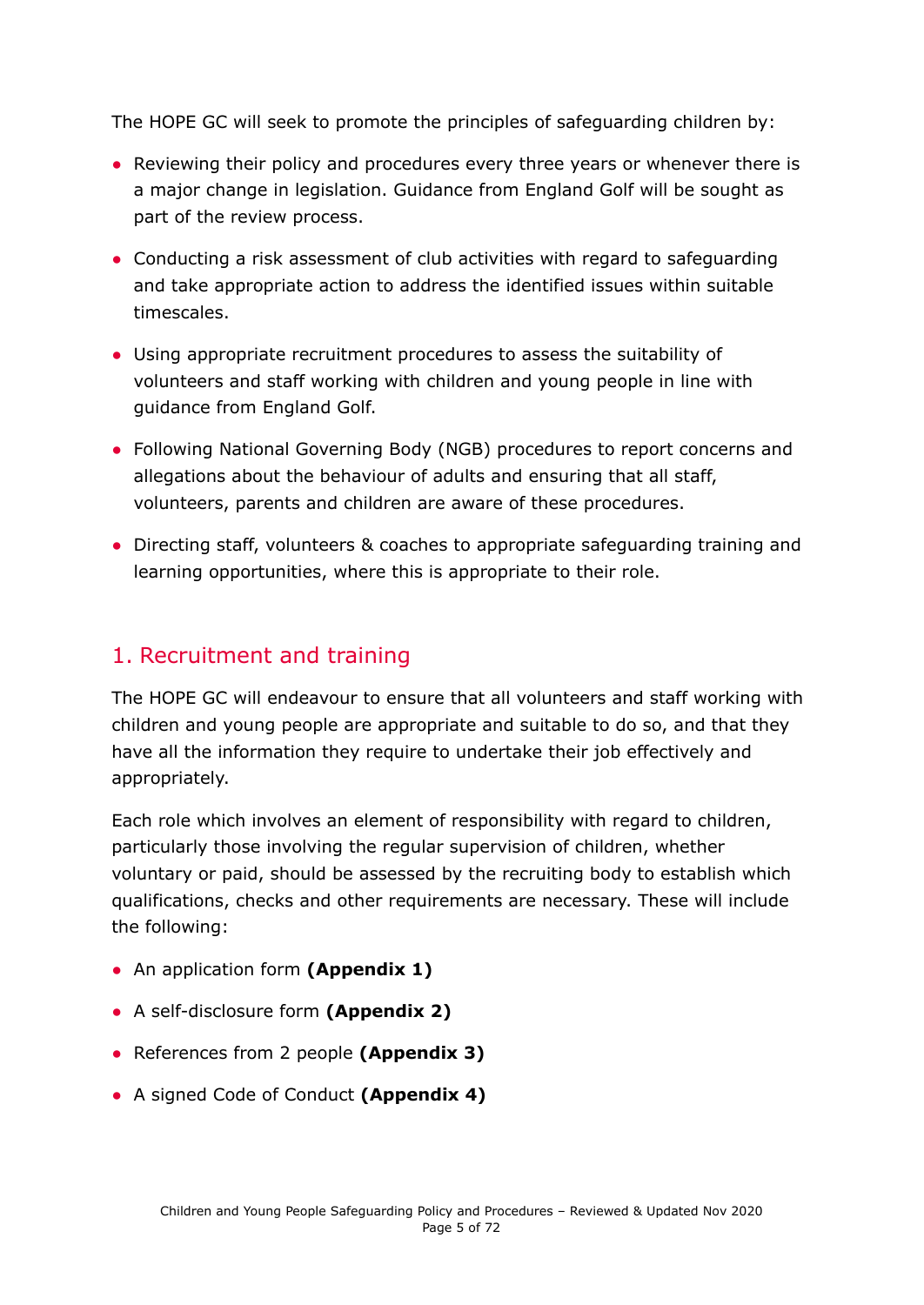The HOPE GC will seek to promote the principles of safeguarding children by:

- Reviewing their policy and procedures every three years or whenever there is a major change in legislation. Guidance from England Golf will be sought as part of the review process.
- Conducting a risk assessment of club activities with regard to safeguarding and take appropriate action to address the identified issues within suitable timescales.
- Using appropriate recruitment procedures to assess the suitability of volunteers and staff working with children and young people in line with guidance from England Golf.
- Following National Governing Body (NGB) procedures to report concerns and allegations about the behaviour of adults and ensuring that all staff, volunteers, parents and children are aware of these procedures.
- Directing staff, volunteers & coaches to appropriate safeguarding training and learning opportunities, where this is appropriate to their role.

### <span id="page-4-0"></span>1. Recruitment and training

The HOPE GC will endeavour to ensure that all volunteers and staff working with children and young people are appropriate and suitable to do so, and that they have all the information they require to undertake their job effectively and appropriately.

Each role which involves an element of responsibility with regard to children, particularly those involving the regular supervision of children, whether voluntary or paid, should be assessed by the recruiting body to establish which qualifications, checks and other requirements are necessary. These will include the following:

- An application form **(Appendix 1)**
- A self-disclosure form **(Appendix 2)**
- References from 2 people **(Appendix 3)**
- A signed Code of Conduct **(Appendix 4)**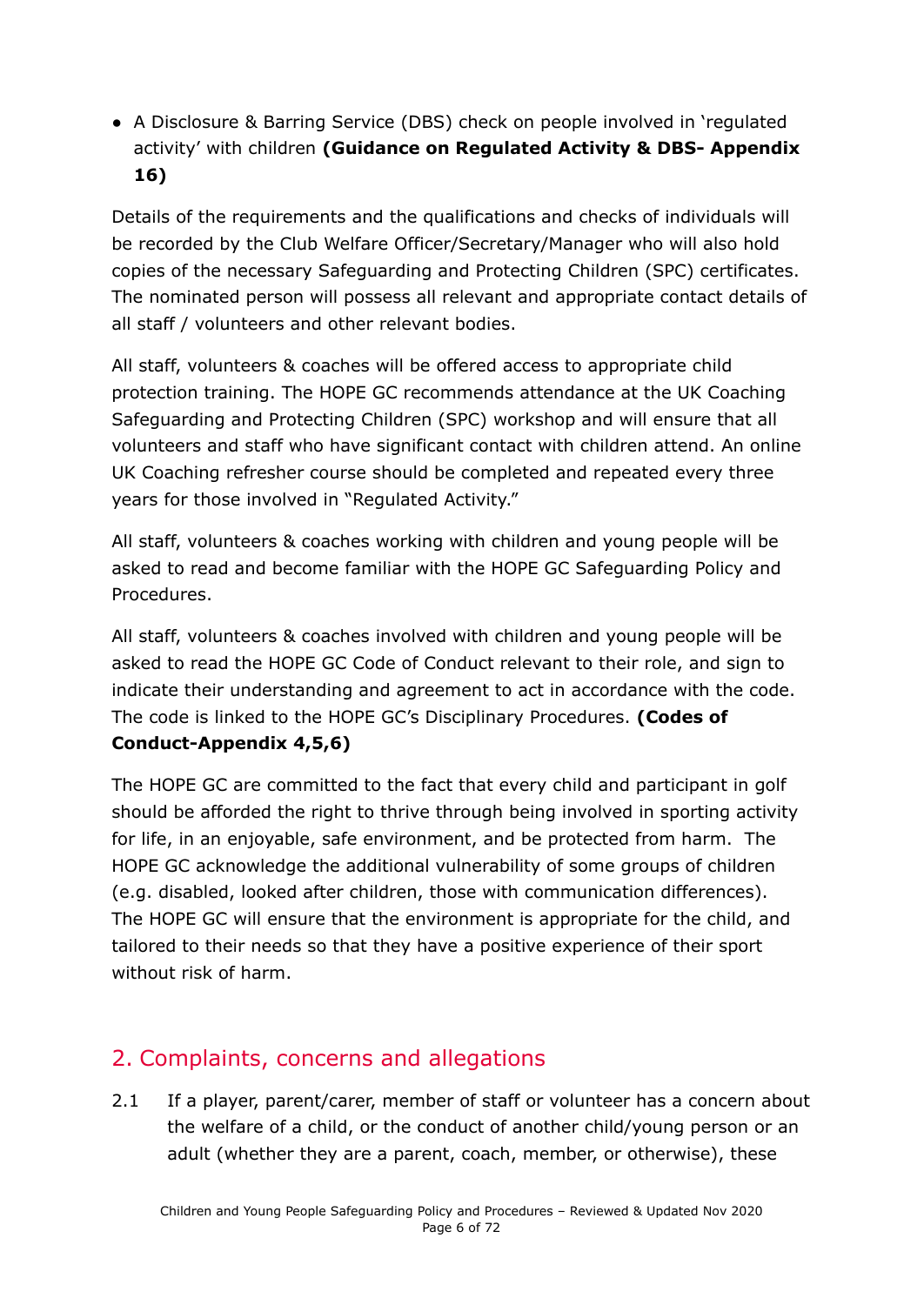**●** A Disclosure & Barring Service (DBS) check on people involved in 'regulated activity' with children **(Guidance on Regulated Activity & DBS- Appendix 16)**

Details of the requirements and the qualifications and checks of individuals will be recorded by the Club Welfare Officer/Secretary/Manager who will also hold copies of the necessary Safeguarding and Protecting Children (SPC) certificates. The nominated person will possess all relevant and appropriate contact details of all staff / volunteers and other relevant bodies.

All staff, volunteers & coaches will be offered access to appropriate child protection training. The HOPE GC recommends attendance at the UK Coaching Safeguarding and Protecting Children (SPC) workshop and will ensure that all volunteers and staff who have significant contact with children attend. An online UK Coaching refresher course should be completed and repeated every three years for those involved in "Regulated Activity."

All staff, volunteers & coaches working with children and young people will be asked to read and become familiar with the HOPE GC Safeguarding Policy and Procedures.

All staff, volunteers & coaches involved with children and young people will be asked to read the HOPE GC Code of Conduct relevant to their role, and sign to indicate their understanding and agreement to act in accordance with the code. The code is linked to the HOPE GC's Disciplinary Procedures. **(Codes of Conduct-Appendix 4,5,6)**

The HOPE GC are committed to the fact that every child and participant in golf should be afforded the right to thrive through being involved in sporting activity for life, in an enjoyable, safe environment, and be protected from harm. The HOPE GC acknowledge the additional vulnerability of some groups of children (e.g. disabled, looked after children, those with communication differences). The HOPE GC will ensure that the environment is appropriate for the child, and tailored to their needs so that they have a positive experience of their sport without risk of harm.

### <span id="page-5-0"></span>2. Complaints, concerns and allegations

2.1 If a player, parent/carer, member of staff or volunteer has a concern about the welfare of a child, or the conduct of another child/young person or an adult (whether they are a parent, coach, member, or otherwise), these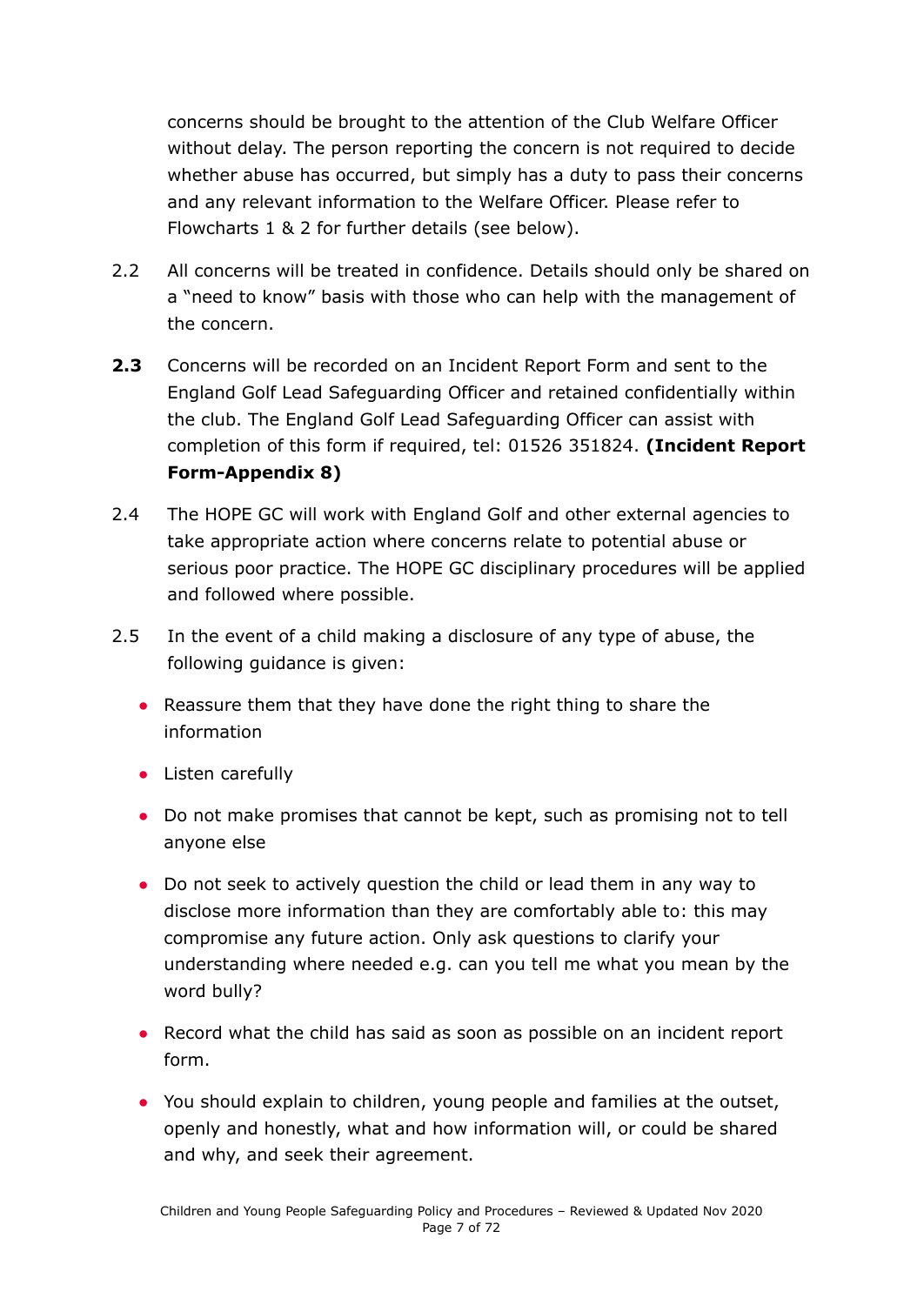concerns should be brought to the attention of the Club Welfare Officer without delay. The person reporting the concern is not required to decide whether abuse has occurred, but simply has a duty to pass their concerns and any relevant information to the Welfare Officer. Please refer to Flowcharts 1 & 2 for further details (see below).

- 2.2 All concerns will be treated in confidence. Details should only be shared on a "need to know" basis with those who can help with the management of the concern.
- **2.3** Concerns will be recorded on an Incident Report Form and sent to the England Golf Lead Safeguarding Officer and retained confidentially within the club. The England Golf Lead Safeguarding Officer can assist with completion of this form if required, tel: 01526 351824. **(Incident Report Form-Appendix 8)**
- 2.4 The HOPE GC will work with England Golf and other external agencies to take appropriate action where concerns relate to potential abuse or serious poor practice. The HOPE GC disciplinary procedures will be applied and followed where possible.
- 2.5 In the event of a child making a disclosure of any type of abuse, the following guidance is given:
	- Reassure them that they have done the right thing to share the information
	- Listen carefully
	- Do not make promises that cannot be kept, such as promising not to tell anyone else
	- Do not seek to actively question the child or lead them in any way to disclose more information than they are comfortably able to: this may compromise any future action. Only ask questions to clarify your understanding where needed e.g. can you tell me what you mean by the word bully?
	- Record what the child has said as soon as possible on an incident report form.
	- You should explain to children, young people and families at the outset, openly and honestly, what and how information will, or could be shared and why, and seek their agreement.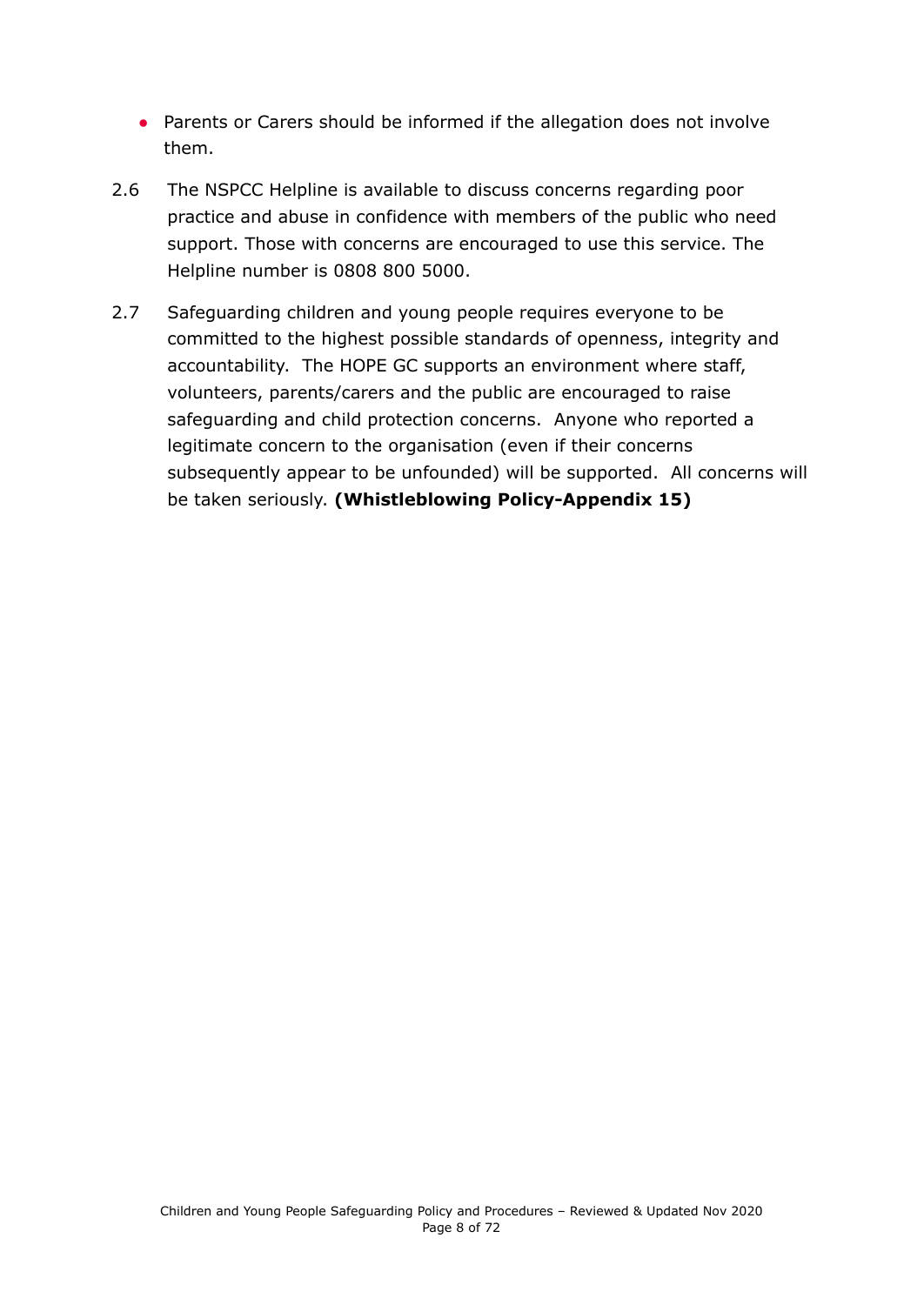- Parents or Carers should be informed if the allegation does not involve them.
- 2.6 The NSPCC Helpline is available to discuss concerns regarding poor practice and abuse in confidence with members of the public who need support. Those with concerns are encouraged to use this service. The Helpline number is 0808 800 5000.
- 2.7 Safeguarding children and young people requires everyone to be committed to the highest possible standards of openness, integrity and accountability. The HOPE GC supports an environment where staff, volunteers, parents/carers and the public are encouraged to raise safeguarding and child protection concerns. Anyone who reported a legitimate concern to the organisation (even if their concerns subsequently appear to be unfounded) will be supported. All concerns will be taken seriously. **(Whistleblowing Policy-Appendix 15)**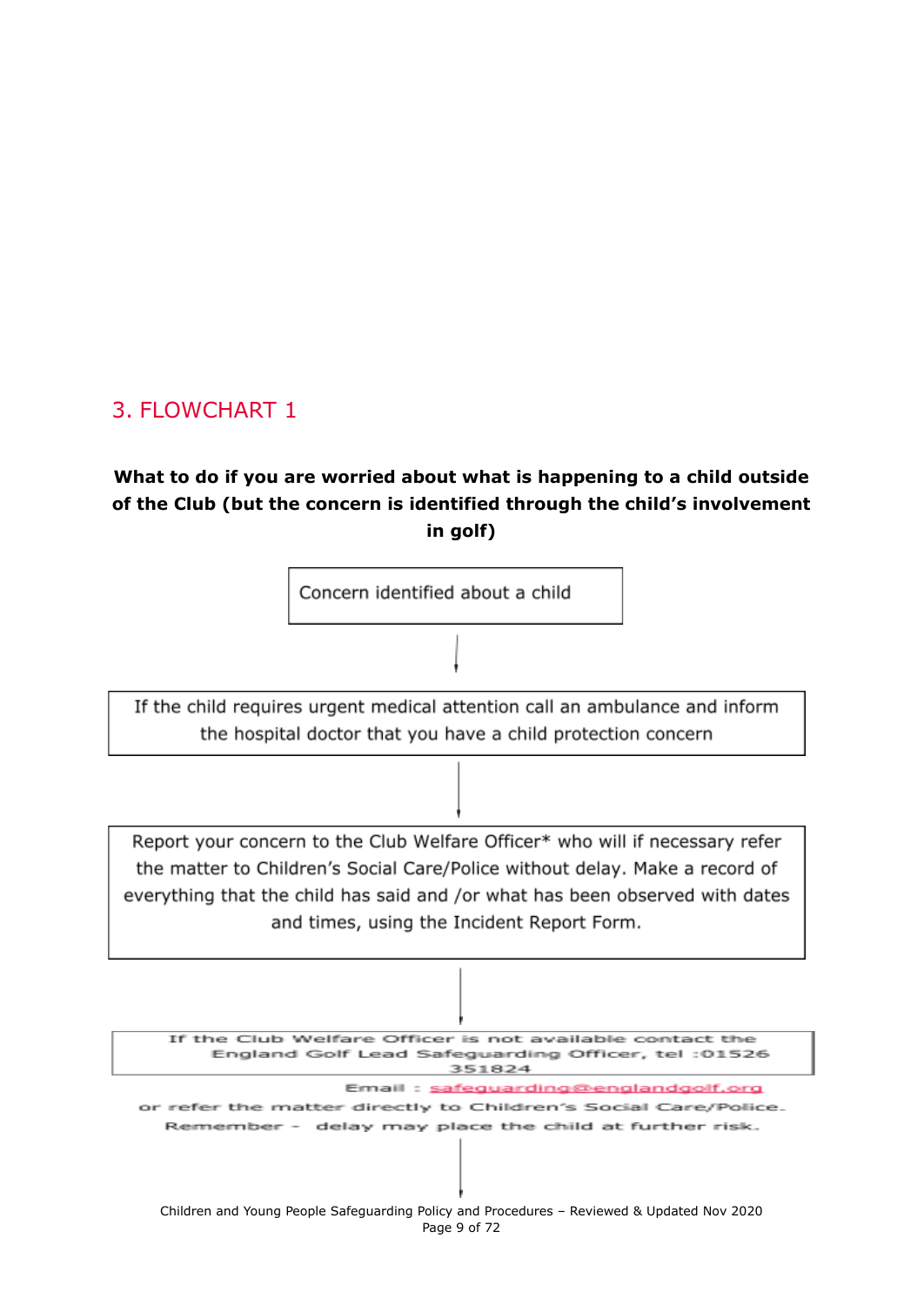### <span id="page-8-0"></span>3. FLOWCHART 1

### **What to do if you are worried about what is happening to a child outside of the Club (but the concern is identified through the child's involvement in golf)**

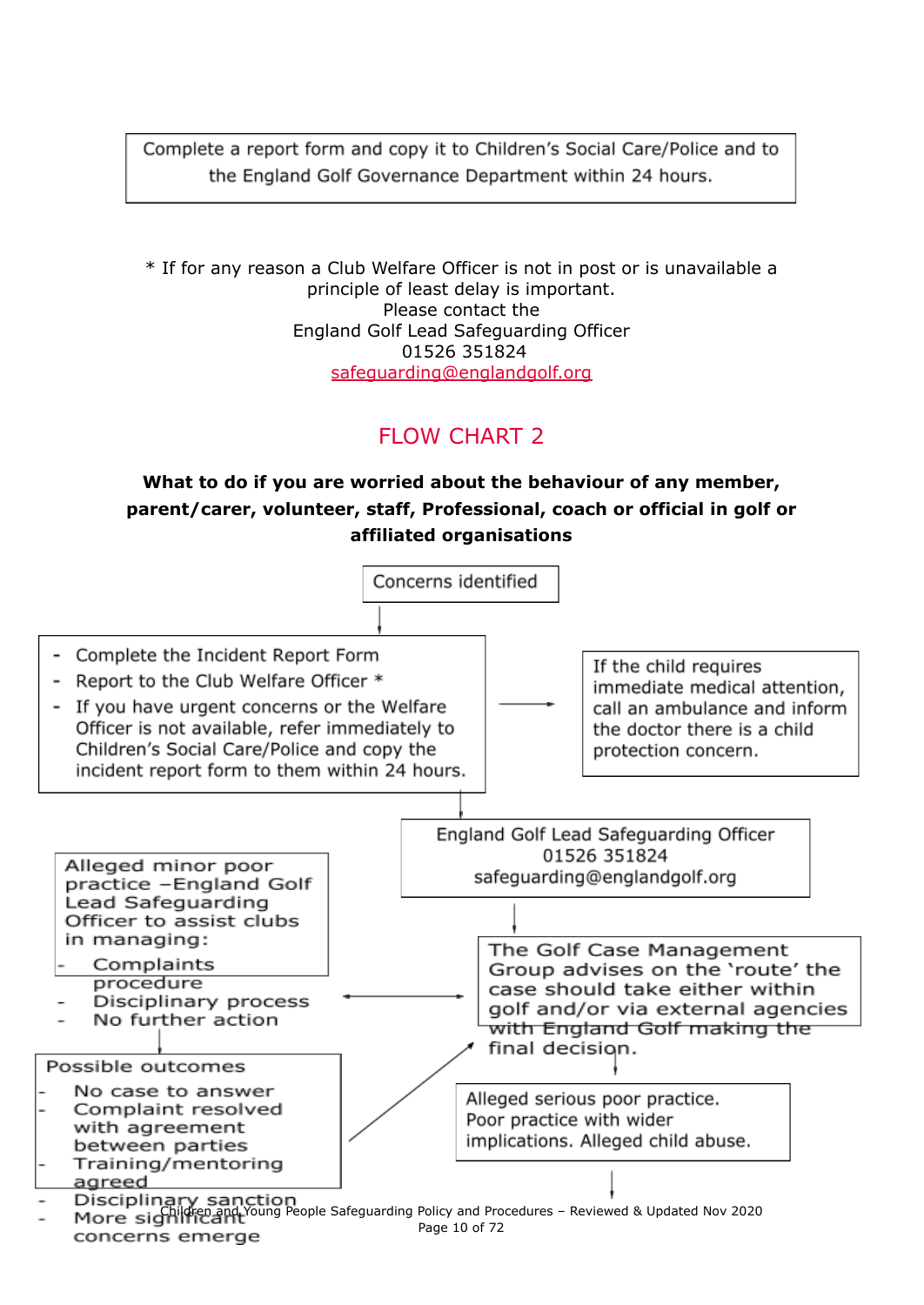Complete a report form and copy it to Children's Social Care/Police and to the England Golf Governance Department within 24 hours.

\* If for any reason a Club Welfare Officer is not in post or is unavailable a principle of least delay is important. Please contact the England Golf Lead Safeguarding Officer 01526 351824 [safeguarding@englandgolf.org](mailto:safeguarding@englandgolf.org)

### FLOW CHART 2

### **What to do if you are worried about the behaviour of any member, parent/carer, volunteer, staff, Professional, coach or official in golf or affiliated organisations**

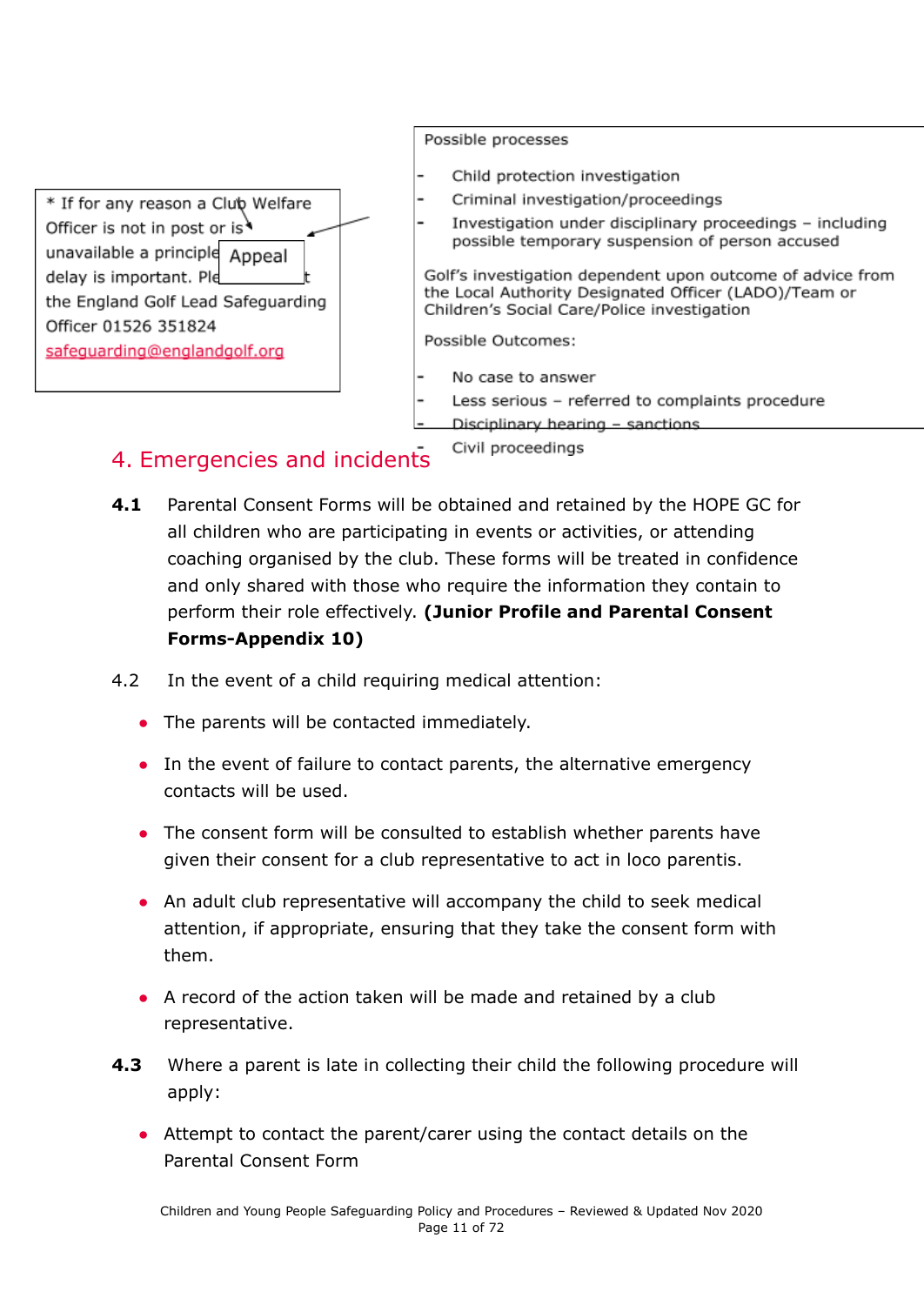

Possible processes

- Child protection investigation
- Criminal investigation/proceedings
- Investigation under disciplinary proceedings including possible temporary suspension of person accused

Golf's investigation dependent upon outcome of advice from the Local Authority Designated Officer (LADO)/Team or Children's Social Care/Police investigation

Possible Outcomes:

- No case to answer
- Less serious referred to complaints procedure
- Disciplinary hearing sanctions

<span id="page-10-0"></span>4. Emergencies and incidents

- Civil proceedings
- **4.1** Parental Consent Forms will be obtained and retained by the HOPE GC for all children who are participating in events or activities, or attending coaching organised by the club. These forms will be treated in confidence and only shared with those who require the information they contain to perform their role effectively. **(Junior Profile and Parental Consent Forms-Appendix 10)**
- 4.2 In the event of a child requiring medical attention:
	- The parents will be contacted immediately.
	- In the event of failure to contact parents, the alternative emergency contacts will be used.
	- The consent form will be consulted to establish whether parents have given their consent for a club representative to act in loco parentis.
	- An adult club representative will accompany the child to seek medical attention, if appropriate, ensuring that they take the consent form with them.
	- A record of the action taken will be made and retained by a club representative.
- **4.3** Where a parent is late in collecting their child the following procedure will apply:
	- Attempt to contact the parent/carer using the contact details on the Parental Consent Form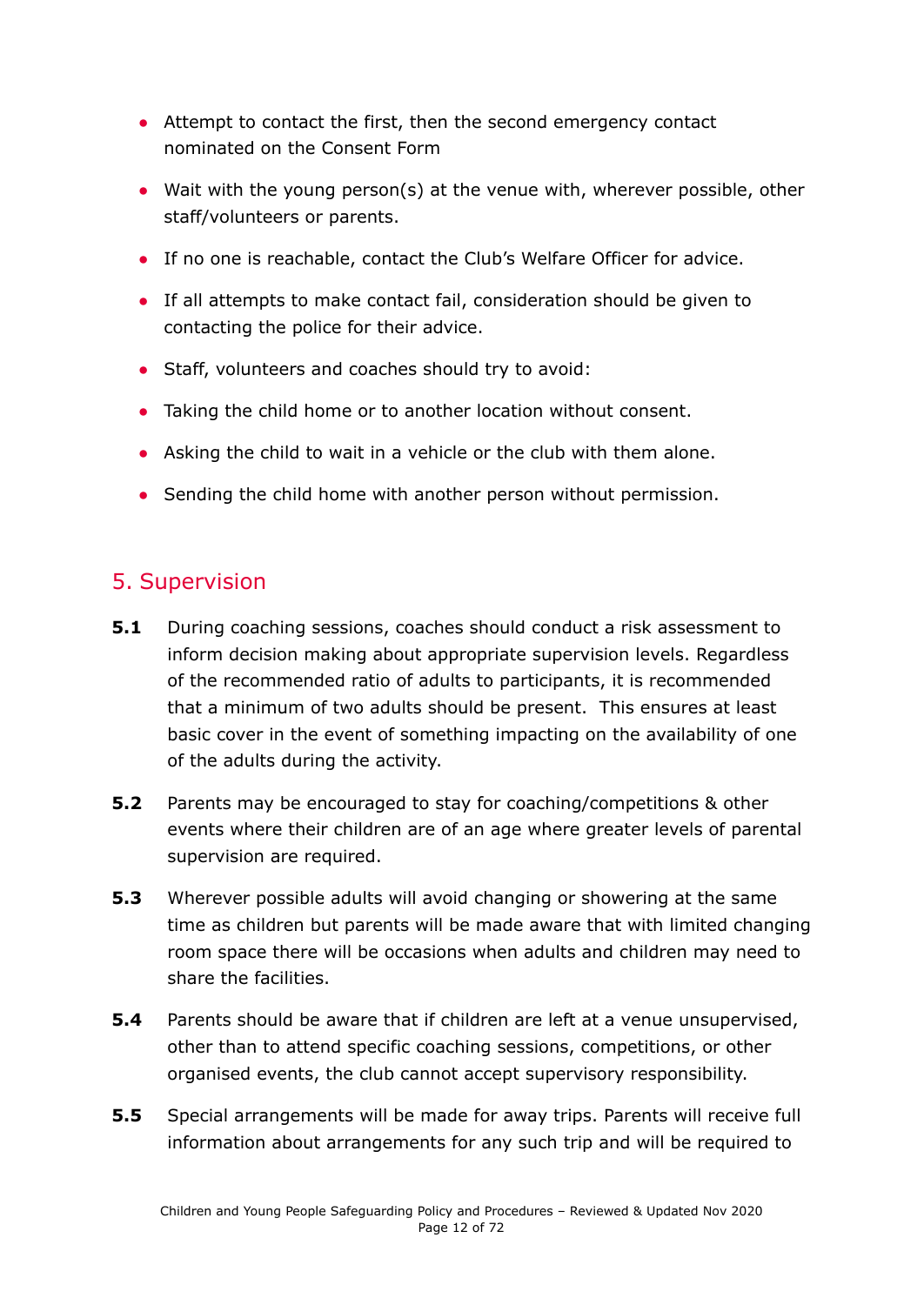- Attempt to contact the first, then the second emergency contact nominated on the Consent Form
- Wait with the young person(s) at the venue with, wherever possible, other staff/volunteers or parents.
- If no one is reachable, contact the Club's Welfare Officer for advice.
- If all attempts to make contact fail, consideration should be given to contacting the police for their advice.
- Staff, volunteers and coaches should try to avoid:
- Taking the child home or to another location without consent.
- Asking the child to wait in a vehicle or the club with them alone.
- Sending the child home with another person without permission.

### <span id="page-11-0"></span>5. Supervision

- **5.1** During coaching sessions, coaches should conduct a risk assessment to inform decision making about appropriate supervision levels. Regardless of the recommended ratio of adults to participants, it is recommended that a minimum of two adults should be present. This ensures at least basic cover in the event of something impacting on the availability of one of the adults during the activity.
- **5.2** Parents may be encouraged to stay for coaching/competitions & other events where their children are of an age where greater levels of parental supervision are required.
- **5.3** Wherever possible adults will avoid changing or showering at the same time as children but parents will be made aware that with limited changing room space there will be occasions when adults and children may need to share the facilities.
- **5.4** Parents should be aware that if children are left at a venue unsupervised, other than to attend specific coaching sessions, competitions, or other organised events, the club cannot accept supervisory responsibility.
- **5.5** Special arrangements will be made for away trips. Parents will receive full information about arrangements for any such trip and will be required to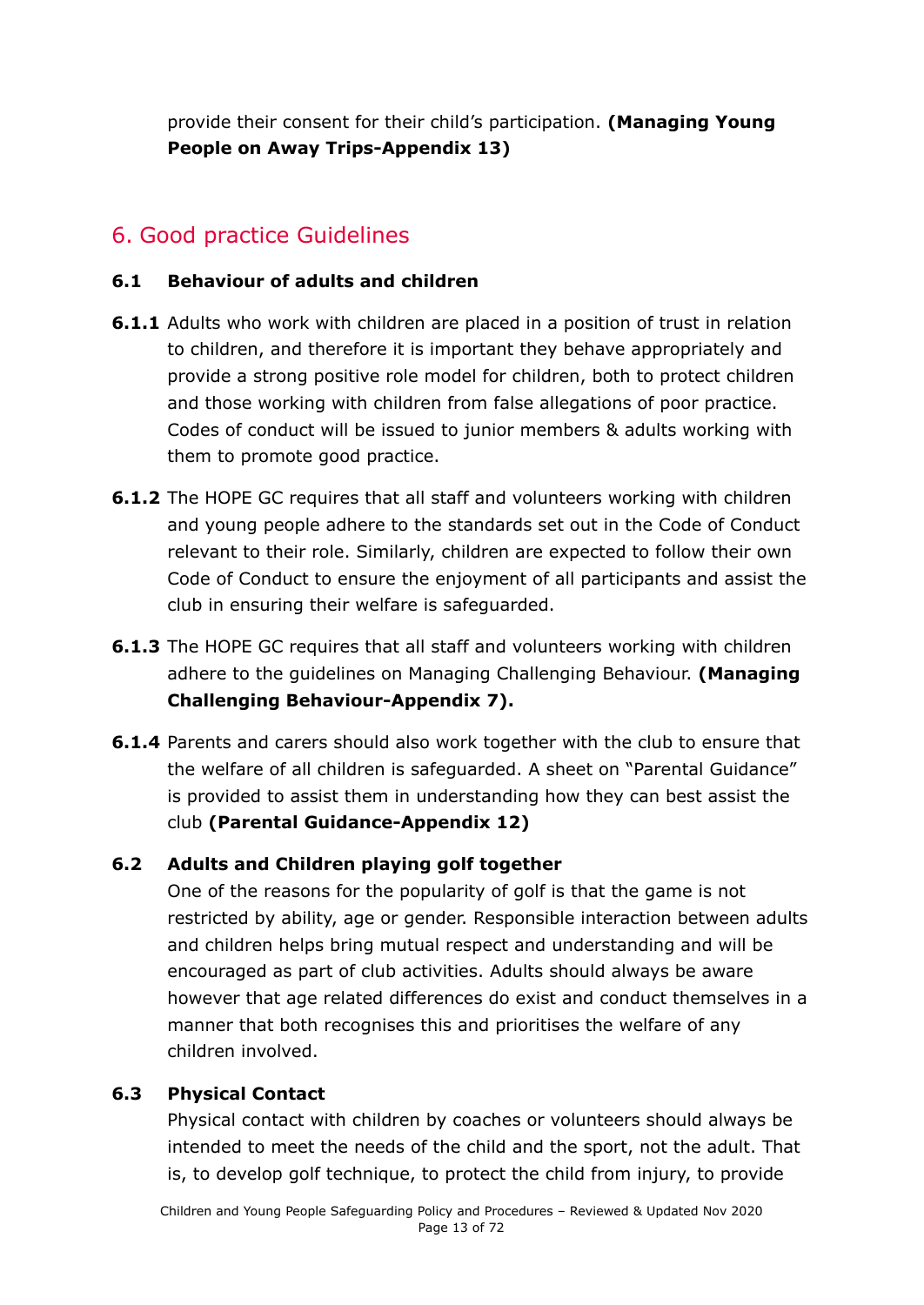provide their consent for their child's participation. **(Managing Young People on Away Trips-Appendix 13)**

### <span id="page-12-0"></span>6. Good practice Guidelines

#### **6.1 Behaviour of adults and children**

- **6.1.1** Adults who work with children are placed in a position of trust in relation to children, and therefore it is important they behave appropriately and provide a strong positive role model for children, both to protect children and those working with children from false allegations of poor practice. Codes of conduct will be issued to junior members & adults working with them to promote good practice.
- **6.1.2** The HOPE GC requires that all staff and volunteers working with children and young people adhere to the standards set out in the Code of Conduct relevant to their role. Similarly, children are expected to follow their own Code of Conduct to ensure the enjoyment of all participants and assist the club in ensuring their welfare is safeguarded.
- **6.1.3** The HOPE GC requires that all staff and volunteers working with children adhere to the guidelines on Managing Challenging Behaviour. **(Managing Challenging Behaviour-Appendix 7).**
- **6.1.4** Parents and carers should also work together with the club to ensure that the welfare of all children is safeguarded. A sheet on "Parental Guidance" is provided to assist them in understanding how they can best assist the club **(Parental Guidance-Appendix 12)**

#### **6.2 Adults and Children playing golf together**

One of the reasons for the popularity of golf is that the game is not restricted by ability, age or gender. Responsible interaction between adults and children helps bring mutual respect and understanding and will be encouraged as part of club activities. Adults should always be aware however that age related differences do exist and conduct themselves in a manner that both recognises this and prioritises the welfare of any children involved.

#### **6.3 Physical Contact**

Physical contact with children by coaches or volunteers should always be intended to meet the needs of the child and the sport, not the adult. That is, to develop golf technique, to protect the child from injury, to provide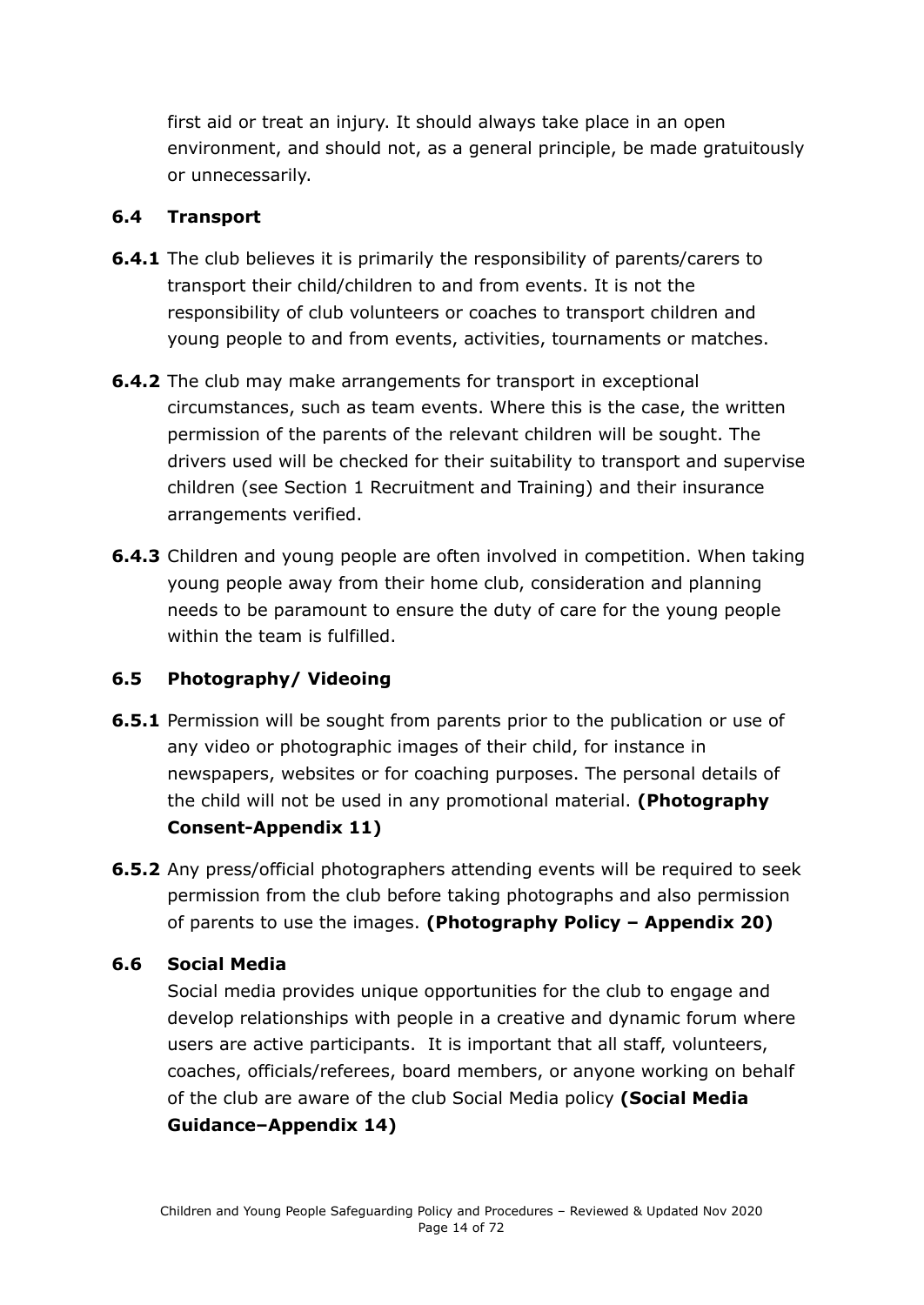first aid or treat an injury. It should always take place in an open environment, and should not, as a general principle, be made gratuitously or unnecessarily.

#### **6.4 Transport**

- **6.4.1** The club believes it is primarily the responsibility of parents/carers to transport their child/children to and from events. It is not the responsibility of club volunteers or coaches to transport children and young people to and from events, activities, tournaments or matches.
- **6.4.2** The club may make arrangements for transport in exceptional circumstances, such as team events. Where this is the case, the written permission of the parents of the relevant children will be sought. The drivers used will be checked for their suitability to transport and supervise children (see Section 1 Recruitment and Training) and their insurance arrangements verified.
- **6.4.3** Children and young people are often involved in competition. When taking young people away from their home club, consideration and planning needs to be paramount to ensure the duty of care for the young people within the team is fulfilled.

### **6.5 Photography/ Videoing**

- **6.5.1** Permission will be sought from parents prior to the publication or use of any video or photographic images of their child, for instance in newspapers, websites or for coaching purposes. The personal details of the child will not be used in any promotional material. **(Photography Consent-Appendix 11)**
- **6.5.2** Any press/official photographers attending events will be required to seek permission from the club before taking photographs and also permission of parents to use the images. **(Photography Policy – Appendix 20)**

### **6.6 Social Media**

Social media provides unique opportunities for the club to engage and develop relationships with people in a creative and dynamic forum where users are active participants. It is important that all staff, volunteers, coaches, officials/referees, board members, or anyone working on behalf of the club are aware of the club Social Media policy **(Social Media Guidance–Appendix 14)**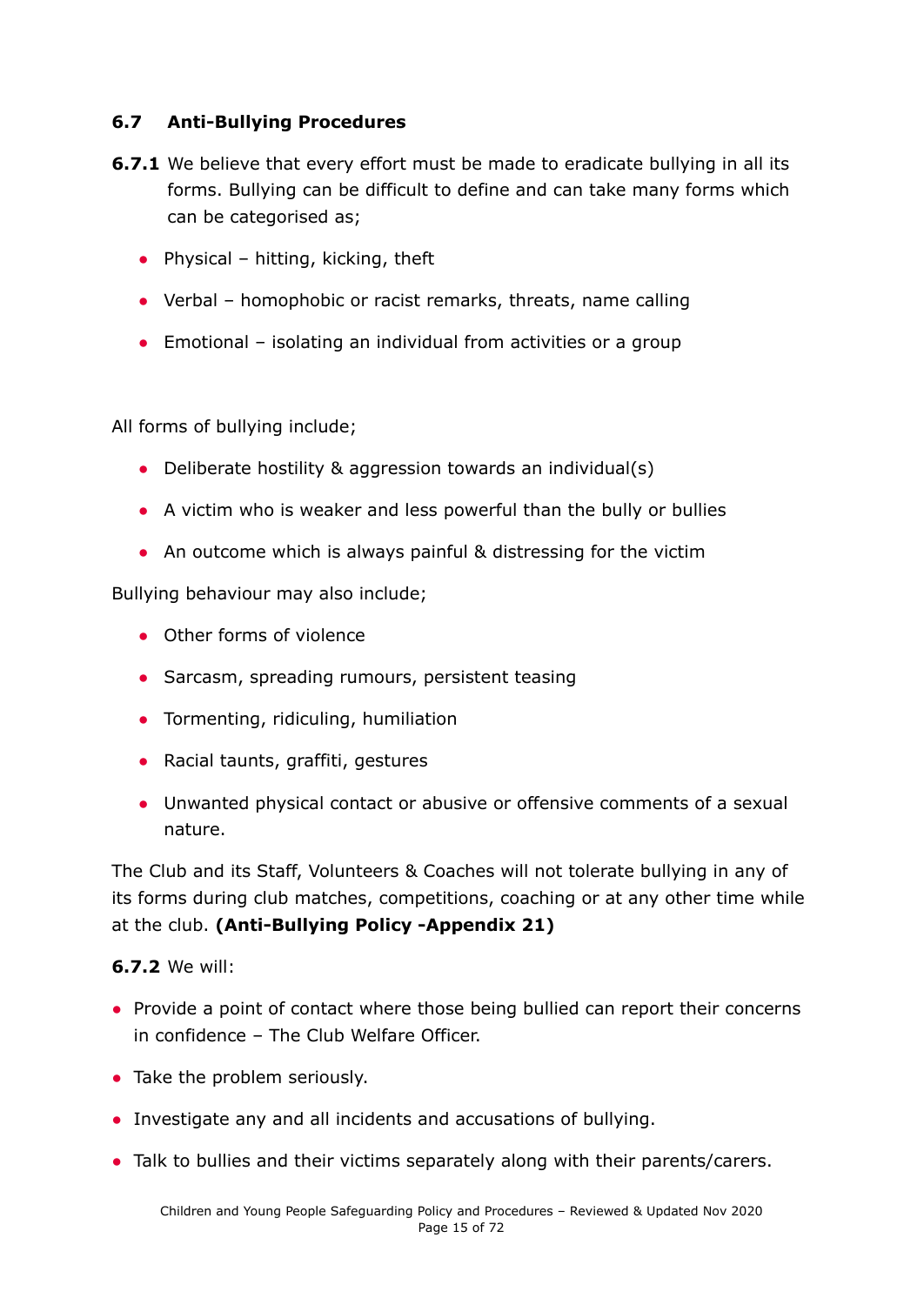### **6.7 Anti-Bullying Procedures**

- **6.7.1** We believe that every effort must be made to eradicate bullying in all its forms. Bullying can be difficult to define and can take many forms which can be categorised as;
	- $\bullet$  Physical hitting, kicking, theft
	- Verbal homophobic or racist remarks, threats, name calling
	- $\bullet$  Emotional isolating an individual from activities or a group

All forms of bullying include;

- Deliberate hostility & aggression towards an individual(s)
- A victim who is weaker and less powerful than the bully or bullies
- An outcome which is always painful & distressing for the victim

Bullying behaviour may also include;

- Other forms of violence
- Sarcasm, spreading rumours, persistent teasing
- Tormenting, ridiculing, humiliation
- Racial taunts, graffiti, gestures
- Unwanted physical contact or abusive or offensive comments of a sexual nature.

The Club and its Staff, Volunteers & Coaches will not tolerate bullying in any of its forms during club matches, competitions, coaching or at any other time while at the club. **(Anti-Bullying Policy -Appendix 21)**

#### **6.7.2** We will:

- Provide a point of contact where those being bullied can report their concerns in confidence – The Club Welfare Officer.
- Take the problem seriously.
- Investigate any and all incidents and accusations of bullying.
- Talk to bullies and their victims separately along with their parents/carers.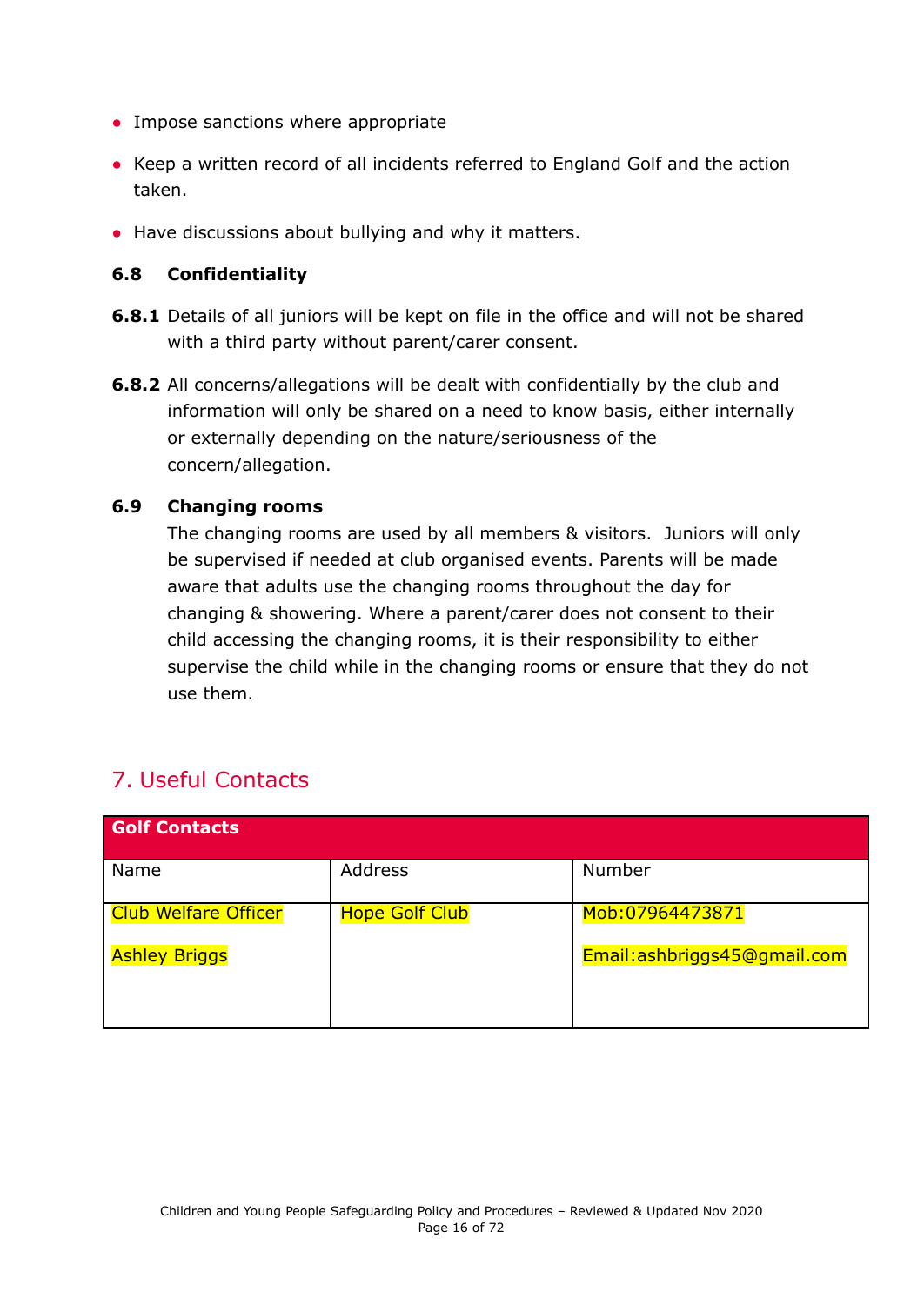- Impose sanctions where appropriate
- Keep a written record of all incidents referred to England Golf and the action taken.
- Have discussions about bullying and why it matters.

#### **6.8 Confidentiality**

- **6.8.1** Details of all juniors will be kept on file in the office and will not be shared with a third party without parent/carer consent.
- **6.8.2** All concerns/allegations will be dealt with confidentially by the club and information will only be shared on a need to know basis, either internally or externally depending on the nature/seriousness of the concern/allegation.

#### **6.9 Changing rooms**

The changing rooms are used by all members & visitors. Juniors will only be supervised if needed at club organised events. Parents will be made aware that adults use the changing rooms throughout the day for changing & showering. Where a parent/carer does not consent to their child accessing the changing rooms, it is their responsibility to either supervise the child while in the changing rooms or ensure that they do not use them.

### <span id="page-15-0"></span>7. Useful Contacts

| <b>Golf Contacts</b>        |                       |                              |
|-----------------------------|-----------------------|------------------------------|
| Name                        | Address               | Number                       |
| <b>Club Welfare Officer</b> | <b>Hope Golf Club</b> | Mob:07964473871              |
| <b>Ashley Briggs</b>        |                       | Email: ashbriggs45@gmail.com |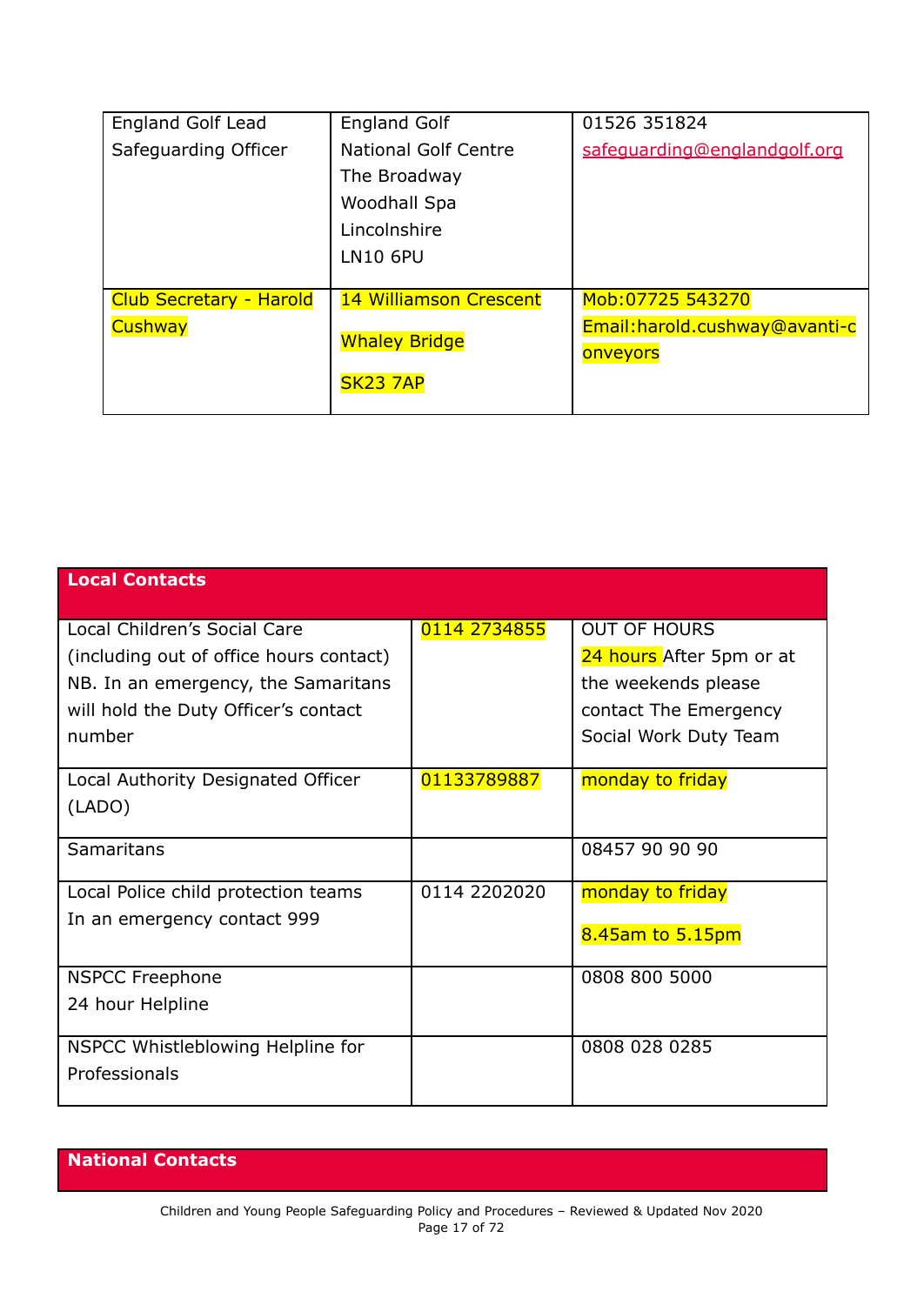| <b>England Golf Lead</b>       | <b>England Golf</b>         | 01526 351824                   |
|--------------------------------|-----------------------------|--------------------------------|
| Safeguarding Officer           | <b>National Golf Centre</b> | safequarding@englandgolf.org   |
|                                | The Broadway                |                                |
|                                | Woodhall Spa                |                                |
|                                | Lincolnshire                |                                |
|                                | <b>LN10 6PU</b>             |                                |
|                                |                             |                                |
| <b>Club Secretary - Harold</b> | 14 Williamson Crescent      | Mob: 07725 543270              |
| <b>Cushway</b>                 |                             | Email: harold.cushway@avanti-c |
|                                | <b>Whaley Bridge</b>        | onveyors                       |
|                                | <b>SK23 7AP</b>             |                                |
|                                |                             |                                |

| <b>Local Contacts</b>                   |              |                          |
|-----------------------------------------|--------------|--------------------------|
| Local Children's Social Care            | 0114 2734855 | <b>OUT OF HOURS</b>      |
| (including out of office hours contact) |              | 24 hours After 5pm or at |
| NB. In an emergency, the Samaritans     |              | the weekends please      |
| will hold the Duty Officer's contact    |              | contact The Emergency    |
| number                                  |              | Social Work Duty Team    |
| Local Authority Designated Officer      | 01133789887  | monday to friday         |
| (LADO)                                  |              |                          |
| Samaritans                              |              | 08457 90 90 90           |
| Local Police child protection teams     | 0114 2202020 | monday to friday         |
| In an emergency contact 999             |              | 8.45am to 5.15pm         |
| <b>NSPCC Freephone</b>                  |              | 0808 800 5000            |
| 24 hour Helpline                        |              |                          |
| NSPCC Whistleblowing Helpline for       |              | 0808 028 0285            |
| Professionals                           |              |                          |

**National Contacts**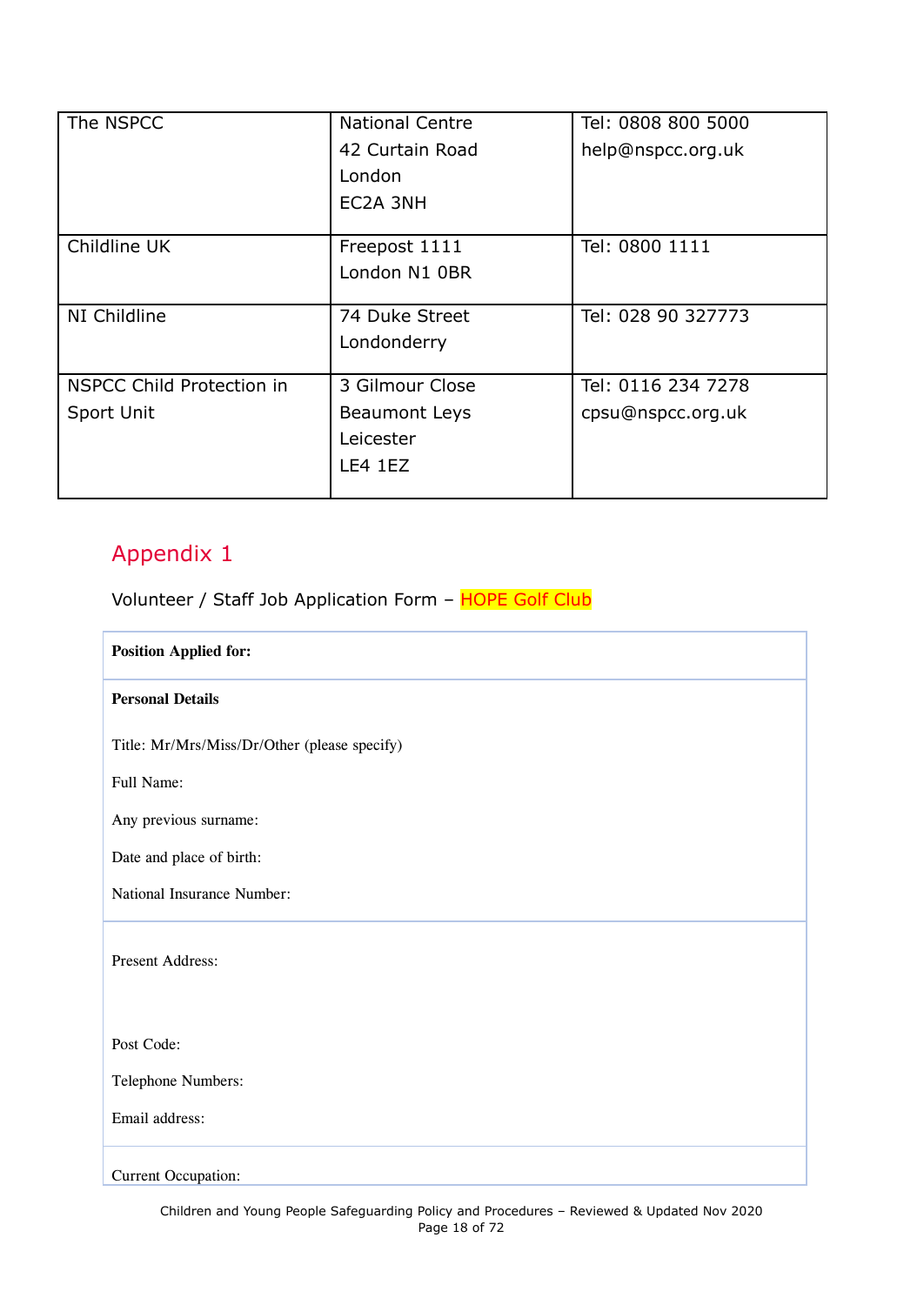| The NSPCC                        | <b>National Centre</b> | Tel: 0808 800 5000 |
|----------------------------------|------------------------|--------------------|
|                                  | 42 Curtain Road        | help@nspcc.org.uk  |
|                                  | London                 |                    |
|                                  | EC2A 3NH               |                    |
|                                  |                        |                    |
| Childline UK                     | Freepost 1111          | Tel: 0800 1111     |
|                                  | London N1 0BR          |                    |
|                                  |                        |                    |
| NI Childline                     | 74 Duke Street         | Tel: 028 90 327773 |
|                                  | Londonderry            |                    |
|                                  |                        |                    |
| <b>NSPCC Child Protection in</b> | 3 Gilmour Close        | Tel: 0116 234 7278 |
| Sport Unit                       | <b>Beaumont Leys</b>   | cpsu@nspcc.org.uk  |
|                                  | Leicester              |                    |
|                                  | LE4 1EZ                |                    |
|                                  |                        |                    |

<span id="page-17-0"></span>Volunteer / Staff Job Application Form - HOPE Golf Club

| <b>Position Applied for:</b>                 |
|----------------------------------------------|
| <b>Personal Details</b>                      |
| Title: Mr/Mrs/Miss/Dr/Other (please specify) |
| Full Name:                                   |
| Any previous surname:                        |
| Date and place of birth:                     |
| National Insurance Number:                   |
| Present Address:                             |
| Post Code:                                   |
| Telephone Numbers:                           |
| Email address:                               |
| Current Occupation:                          |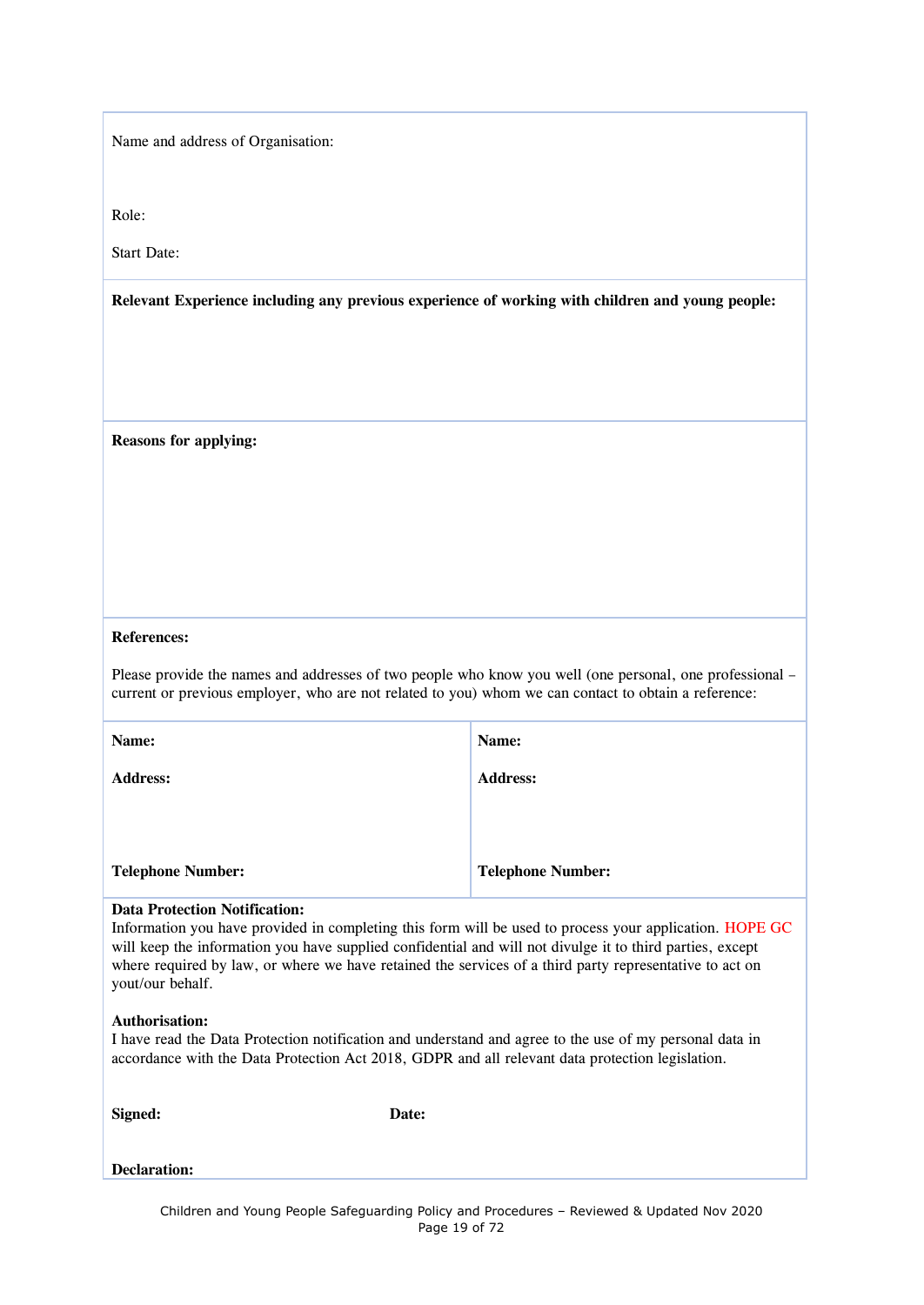Name and address of Organisation:

Role:

Start Date:

**Relevant Experience including any previous experience of working with children and young people:**

**Reasons for applying:**

#### **References:**

Please provide the names and addresses of two people who know you well (one personal, one professional – current or previous employer, who are not related to you) whom we can contact to obtain a reference:

| Name:                    | Name:                    |
|--------------------------|--------------------------|
| <b>Address:</b>          | <b>Address:</b>          |
|                          |                          |
| <b>Telephone Number:</b> | <b>Telephone Number:</b> |

#### **Data Protection Notification:**

Information you have provided in completing this form will be used to process your application. HOPE GC will keep the information you have supplied confidential and will not divulge it to third parties, except where required by law, or where we have retained the services of a third party representative to act on yout/our behalf.

#### **Authorisation:**

I have read the Data Protection notification and understand and agree to the use of my personal data in accordance with the Data Protection Act 2018, GDPR and all relevant data protection legislation.

| <b>Signed:</b>      | Date: |
|---------------------|-------|
| <b>Declaration:</b> |       |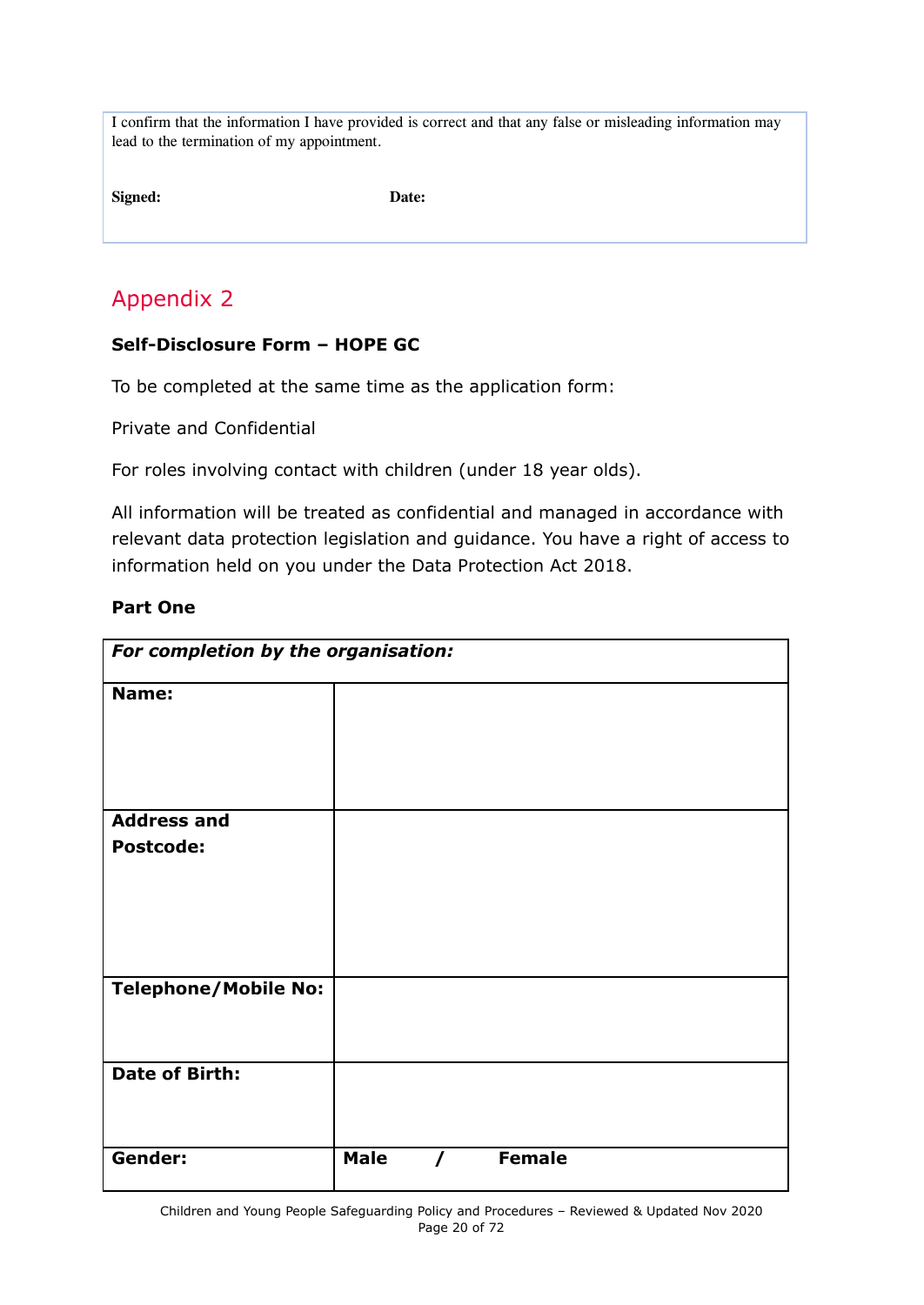I confirm that the information I have provided is correct and that any false or misleading information may lead to the termination of my appointment.

**Signed: Date:**

### <span id="page-19-0"></span>Appendix 2

### **Self-Disclosure Form – HOPE GC**

To be completed at the same time as the application form:

Private and Confidential

For roles involving contact with children (under 18 year olds).

All information will be treated as confidential and managed in accordance with relevant data protection legislation and guidance. You have a right of access to information held on you under the Data Protection Act 2018.

#### **Part One**

| For completion by the organisation: |             |          |               |  |
|-------------------------------------|-------------|----------|---------------|--|
| Name:                               |             |          |               |  |
|                                     |             |          |               |  |
|                                     |             |          |               |  |
| <b>Address and</b>                  |             |          |               |  |
| <b>Postcode:</b>                    |             |          |               |  |
|                                     |             |          |               |  |
|                                     |             |          |               |  |
|                                     |             |          |               |  |
|                                     |             |          |               |  |
| <b>Telephone/Mobile No:</b>         |             |          |               |  |
|                                     |             |          |               |  |
|                                     |             |          |               |  |
| <b>Date of Birth:</b>               |             |          |               |  |
|                                     |             |          |               |  |
|                                     |             |          |               |  |
| Gender:                             | <b>Male</b> | $\prime$ | <b>Female</b> |  |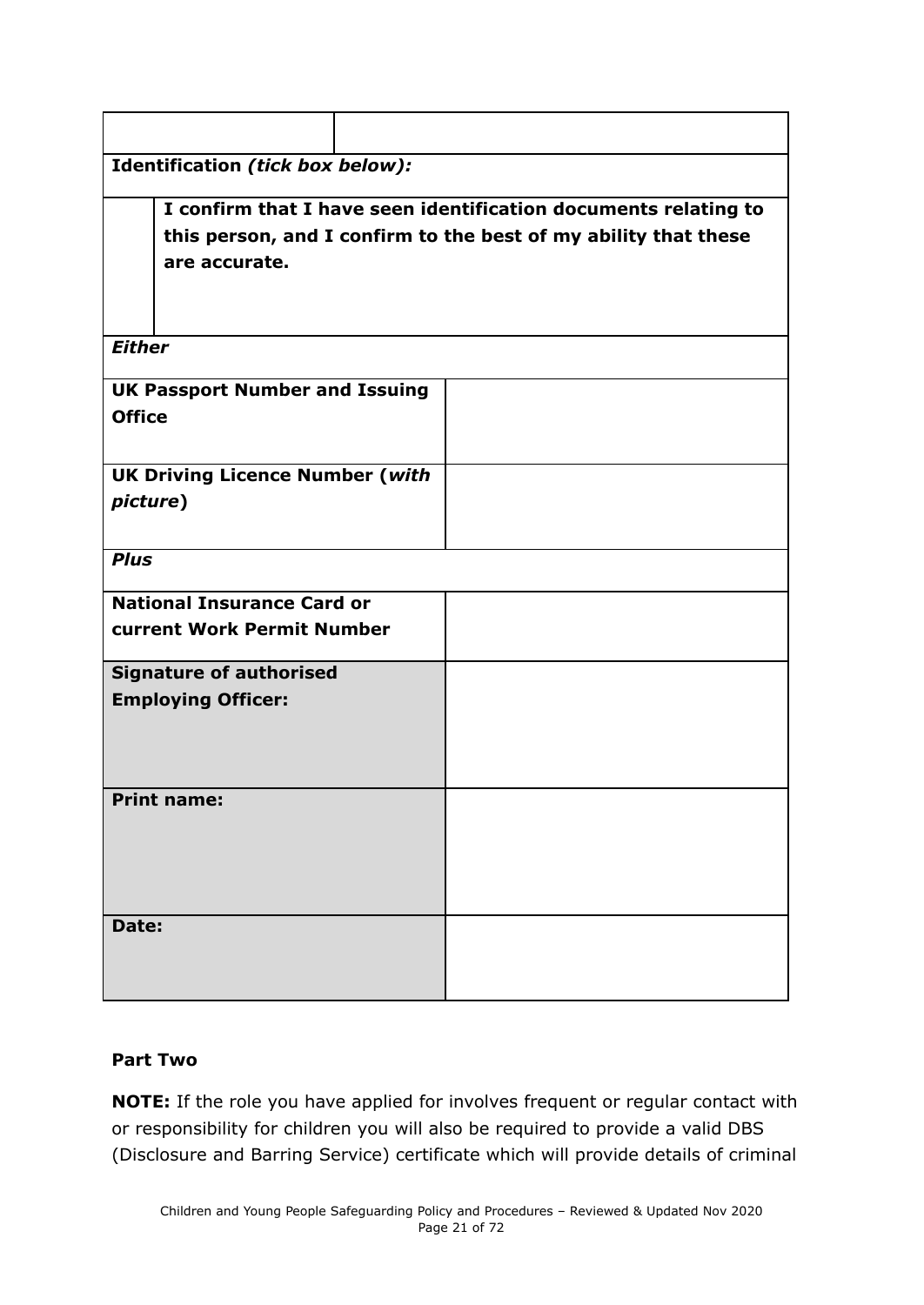| Identification (tick box below):       |                                                                 |  |  |
|----------------------------------------|-----------------------------------------------------------------|--|--|
|                                        |                                                                 |  |  |
|                                        | I confirm that I have seen identification documents relating to |  |  |
|                                        | this person, and I confirm to the best of my ability that these |  |  |
| are accurate.                          |                                                                 |  |  |
|                                        |                                                                 |  |  |
|                                        |                                                                 |  |  |
| <b>Either</b>                          |                                                                 |  |  |
| <b>UK Passport Number and Issuing</b>  |                                                                 |  |  |
| <b>Office</b>                          |                                                                 |  |  |
|                                        |                                                                 |  |  |
| <b>UK Driving Licence Number (with</b> |                                                                 |  |  |
| picture)                               |                                                                 |  |  |
|                                        |                                                                 |  |  |
| <b>Plus</b>                            |                                                                 |  |  |
| <b>National Insurance Card or</b>      |                                                                 |  |  |
| current Work Permit Number             |                                                                 |  |  |
| <b>Signature of authorised</b>         |                                                                 |  |  |
| <b>Employing Officer:</b>              |                                                                 |  |  |
|                                        |                                                                 |  |  |
|                                        |                                                                 |  |  |
| <b>Print name:</b>                     |                                                                 |  |  |
|                                        |                                                                 |  |  |
|                                        |                                                                 |  |  |
|                                        |                                                                 |  |  |
| Date:                                  |                                                                 |  |  |
|                                        |                                                                 |  |  |
|                                        |                                                                 |  |  |
|                                        |                                                                 |  |  |

#### **Part Two**

**NOTE:** If the role you have applied for involves frequent or regular contact with or responsibility for children you will also be required to provide a valid DBS (Disclosure and Barring Service) certificate which will provide details of criminal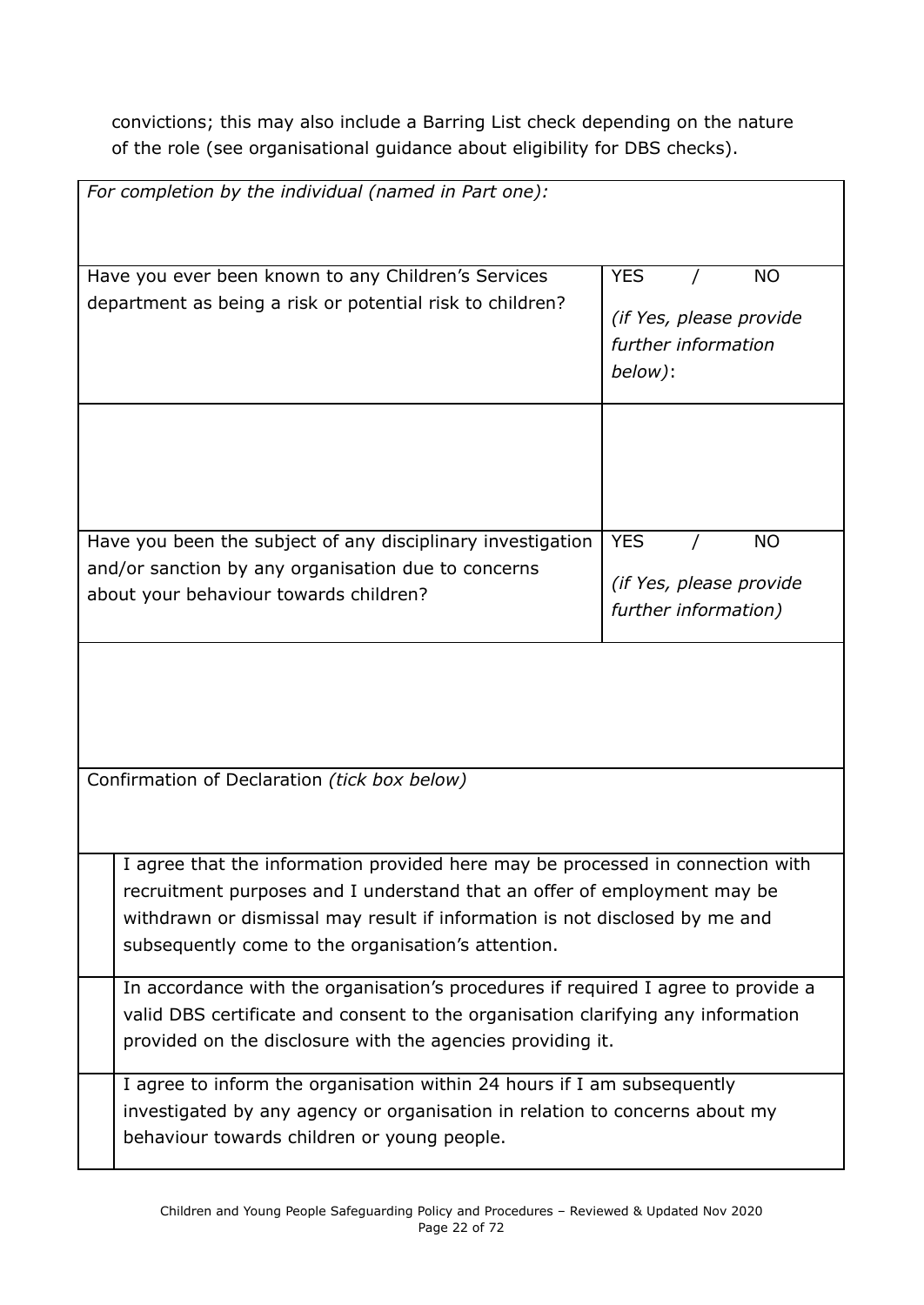convictions; this may also include a Barring List check depending on the nature of the role (see organisational guidance about eligibility for DBS checks).

| For completion by the individual (named in Part one):                                                                                                                                                                                                                                           |                                                                                      |  |  |  |
|-------------------------------------------------------------------------------------------------------------------------------------------------------------------------------------------------------------------------------------------------------------------------------------------------|--------------------------------------------------------------------------------------|--|--|--|
| Have you ever been known to any Children's Services<br>department as being a risk or potential risk to children?                                                                                                                                                                                | <b>YES</b><br><b>NO</b><br>(if Yes, please provide<br>further information<br>below): |  |  |  |
|                                                                                                                                                                                                                                                                                                 |                                                                                      |  |  |  |
| Have you been the subject of any disciplinary investigation<br>and/or sanction by any organisation due to concerns<br>about your behaviour towards children?                                                                                                                                    | <b>YES</b><br><b>NO</b><br>(if Yes, please provide<br>further information)           |  |  |  |
|                                                                                                                                                                                                                                                                                                 |                                                                                      |  |  |  |
| Confirmation of Declaration (tick box below)                                                                                                                                                                                                                                                    |                                                                                      |  |  |  |
| I agree that the information provided here may be processed in connection with<br>recruitment purposes and I understand that an offer of employment may be<br>withdrawn or dismissal may result if information is not disclosed by me and<br>subsequently come to the organisation's attention. |                                                                                      |  |  |  |
| In accordance with the organisation's procedures if required I agree to provide a<br>valid DBS certificate and consent to the organisation clarifying any information<br>provided on the disclosure with the agencies providing it.                                                             |                                                                                      |  |  |  |
| I agree to inform the organisation within 24 hours if I am subsequently<br>investigated by any agency or organisation in relation to concerns about my<br>behaviour towards children or young people.                                                                                           |                                                                                      |  |  |  |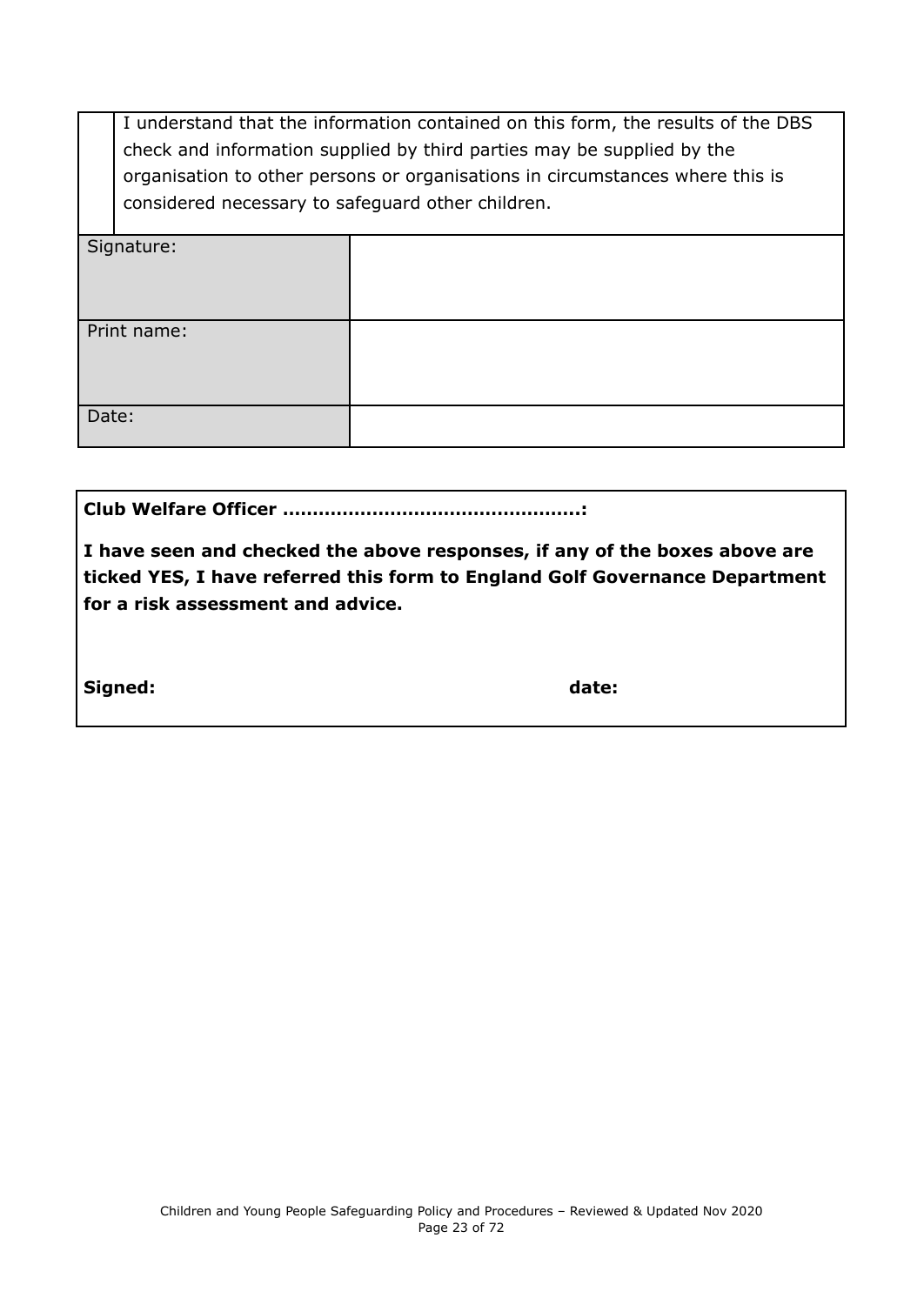I understand that the information contained on this form, the results of the DBS check and information supplied by third parties may be supplied by the organisation to other persons or organisations in circumstances where this is considered necessary to safeguard other children.

|       | Signature:  |  |
|-------|-------------|--|
|       | Print name: |  |
| Date: |             |  |

**Club Welfare Officer …………………………………………..:**

**I have seen and checked the above responses, if any of the boxes above are ticked YES, I have referred this form to England Golf Governance Department for a risk assessment and advice.**

**Signed: date:**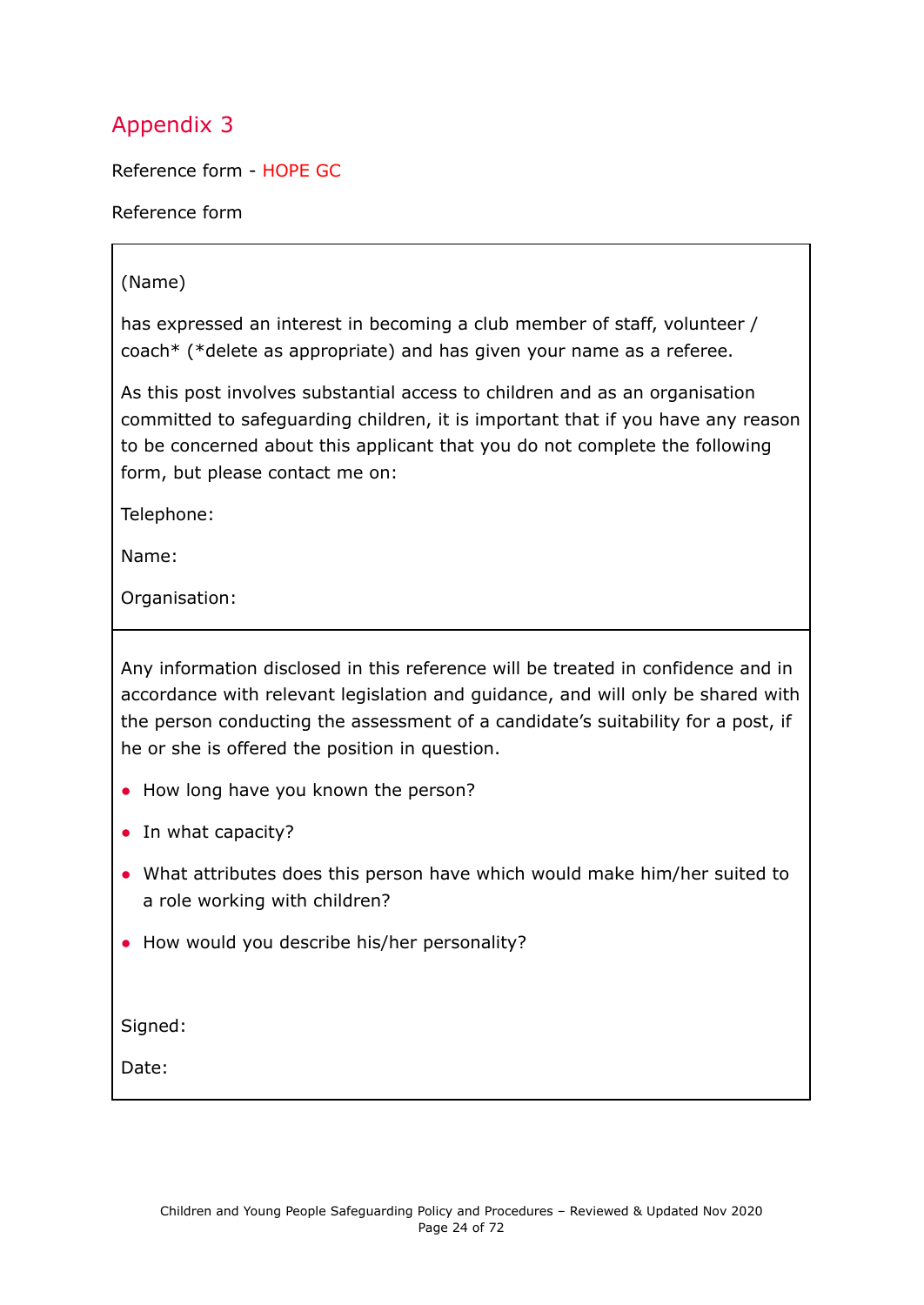<span id="page-23-0"></span>Reference form - HOPE GC

Reference form

#### (Name)

has expressed an interest in becoming a club member of staff, volunteer / coach\* (\*delete as appropriate) and has given your name as a referee.

As this post involves substantial access to children and as an organisation committed to safeguarding children, it is important that if you have any reason to be concerned about this applicant that you do not complete the following form, but please contact me on:

Telephone:

Name:

Organisation:

Any information disclosed in this reference will be treated in confidence and in accordance with relevant legislation and guidance, and will only be shared with the person conducting the assessment of a candidate's suitability for a post, if he or she is offered the position in question.

- How long have you known the person?
- In what capacity?
- What attributes does this person have which would make him/her suited to a role working with children?
- How would you describe his/her personality?

Signed:

Date: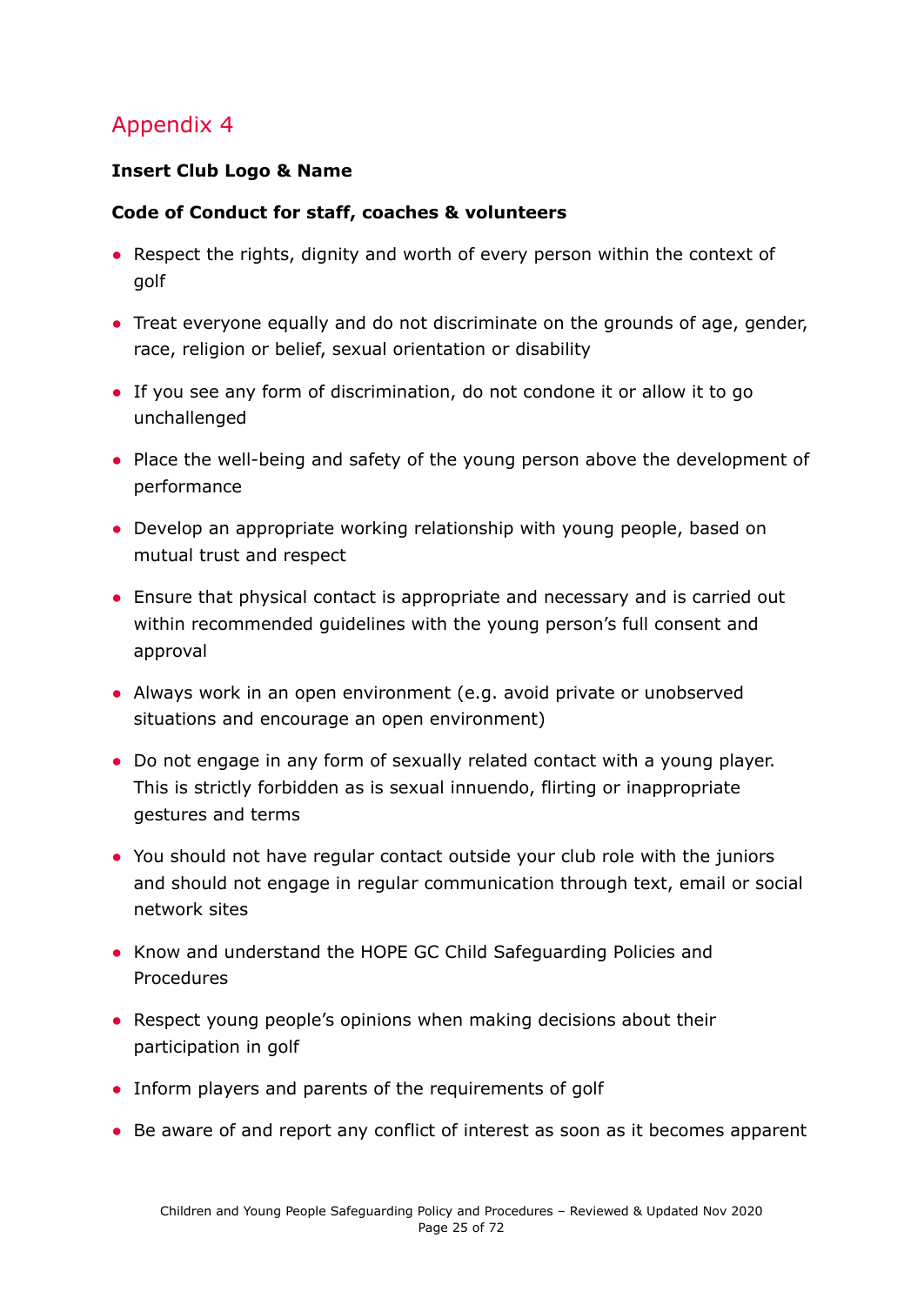#### <span id="page-24-0"></span>**Insert Club Logo & Name**

### **Code of Conduct for staff, coaches & volunteers**

- Respect the rights, dignity and worth of every person within the context of golf
- Treat everyone equally and do not discriminate on the grounds of age, gender, race, religion or belief, sexual orientation or disability
- If you see any form of discrimination, do not condone it or allow it to go unchallenged
- Place the well-being and safety of the young person above the development of performance
- Develop an appropriate working relationship with young people, based on mutual trust and respect
- Ensure that physical contact is appropriate and necessary and is carried out within recommended guidelines with the young person's full consent and approval
- Always work in an open environment (e.g. avoid private or unobserved situations and encourage an open environment)
- Do not engage in any form of sexually related contact with a young player. This is strictly forbidden as is sexual innuendo, flirting or inappropriate gestures and terms
- You should not have regular contact outside your club role with the juniors and should not engage in regular communication through text, email or social network sites
- Know and understand the HOPE GC Child Safeguarding Policies and **Procedures**
- Respect young people's opinions when making decisions about their participation in golf
- Inform players and parents of the requirements of golf
- Be aware of and report any conflict of interest as soon as it becomes apparent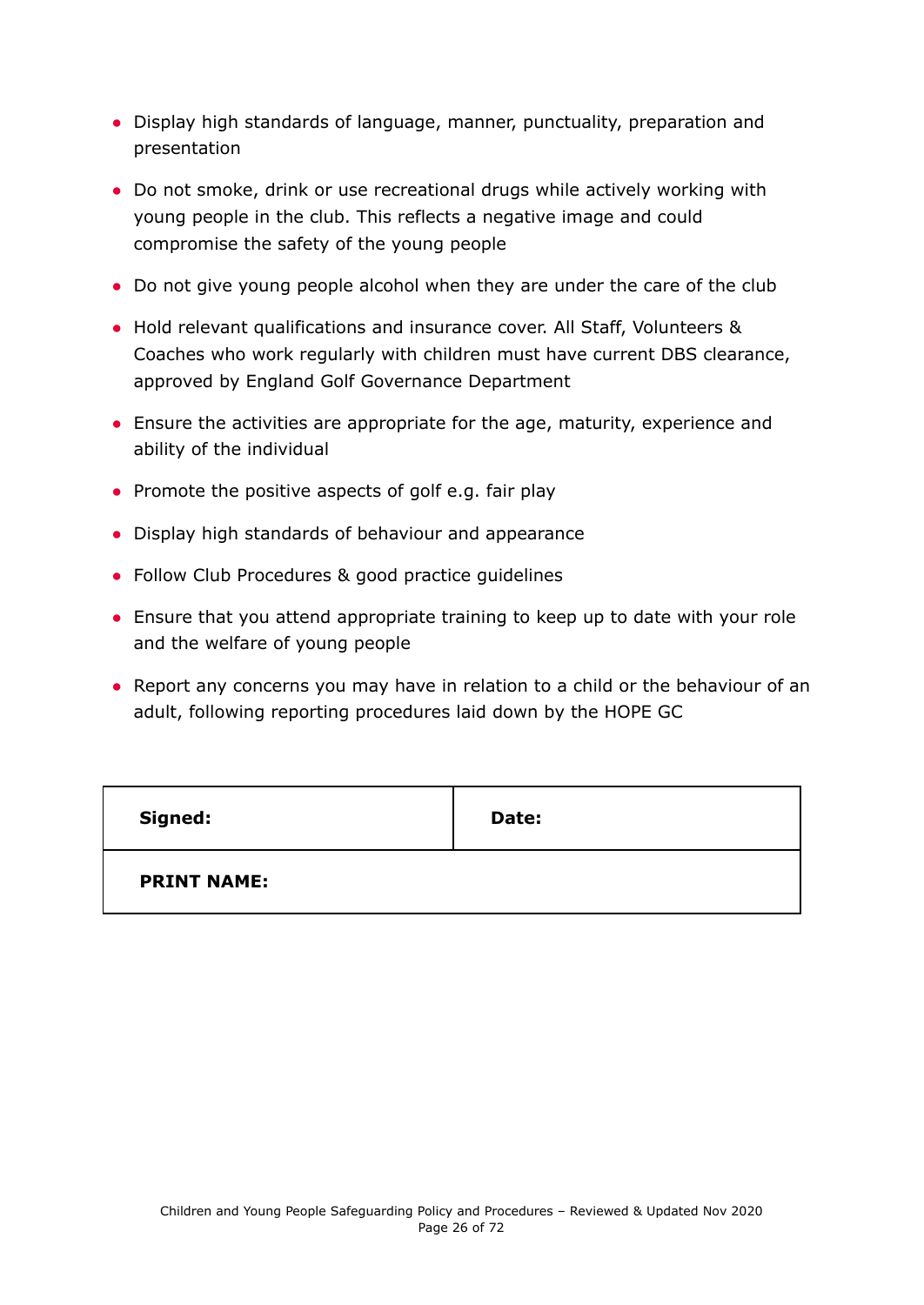- Display high standards of language, manner, punctuality, preparation and presentation
- Do not smoke, drink or use recreational drugs while actively working with young people in the club. This reflects a negative image and could compromise the safety of the young people
- Do not give young people alcohol when they are under the care of the club
- Hold relevant qualifications and insurance cover. All Staff, Volunteers & Coaches who work regularly with children must have current DBS clearance, approved by England Golf Governance Department
- Ensure the activities are appropriate for the age, maturity, experience and ability of the individual
- Promote the positive aspects of golf e.g. fair play
- Display high standards of behaviour and appearance
- Follow Club Procedures & good practice guidelines
- Ensure that you attend appropriate training to keep up to date with your role and the welfare of young people
- Report any concerns you may have in relation to a child or the behaviour of an adult, following reporting procedures laid down by the HOPE GC

| Signed:            | Date: |
|--------------------|-------|
| <b>PRINT NAME:</b> |       |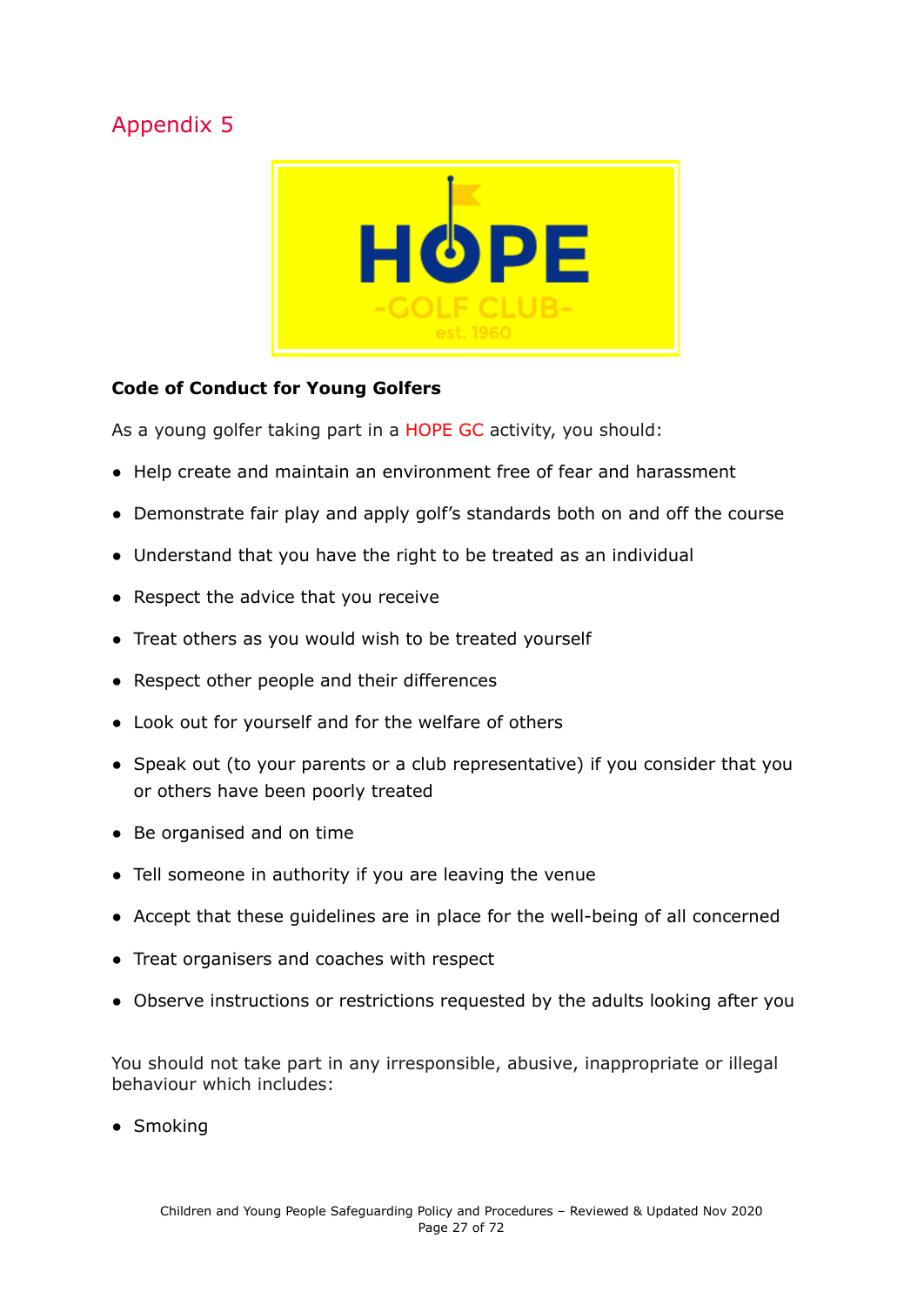<span id="page-26-0"></span>

#### **Code of Conduct for Young Golfers**

As a young golfer taking part in a HOPE GC activity, you should:

- Help create and maintain an environment free of fear and harassment
- Demonstrate fair play and apply golf's standards both on and off the course
- Understand that you have the right to be treated as an individual
- Respect the advice that you receive
- Treat others as you would wish to be treated yourself
- Respect other people and their differences
- Look out for yourself and for the welfare of others
- Speak out (to your parents or a club representative) if you consider that you or others have been poorly treated
- Be organised and on time
- Tell someone in authority if you are leaving the venue
- Accept that these guidelines are in place for the well-being of all concerned
- Treat organisers and coaches with respect
- Observe instructions or restrictions requested by the adults looking after you

You should not take part in any irresponsible, abusive, inappropriate or illegal behaviour which includes:

• Smoking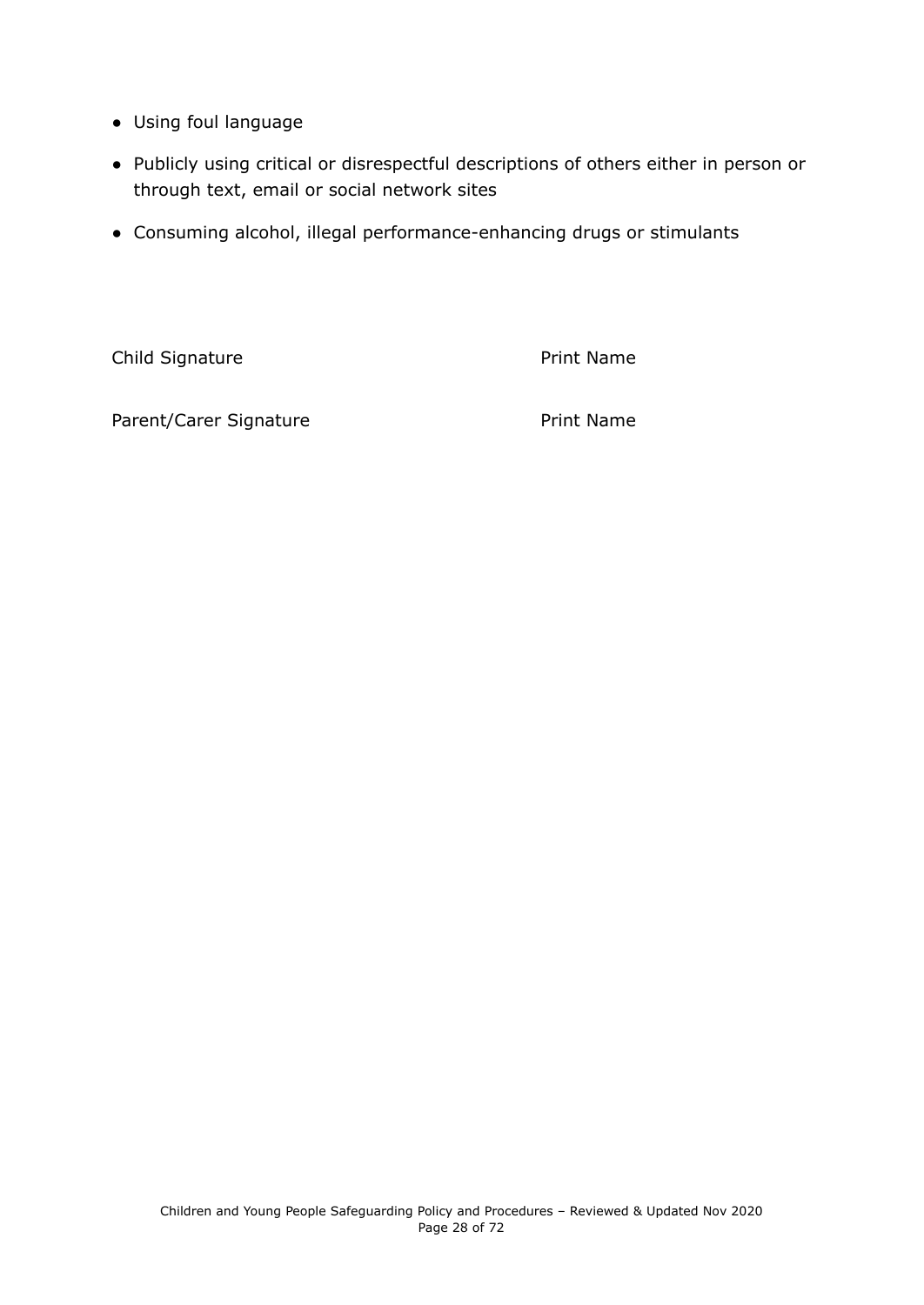- Using foul language
- Publicly using critical or disrespectful descriptions of others either in person or through text, email or social network sites
- Consuming alcohol, illegal performance-enhancing drugs or stimulants

Child Signature **Print Name** 

Parent/Carer Signature **Print Name**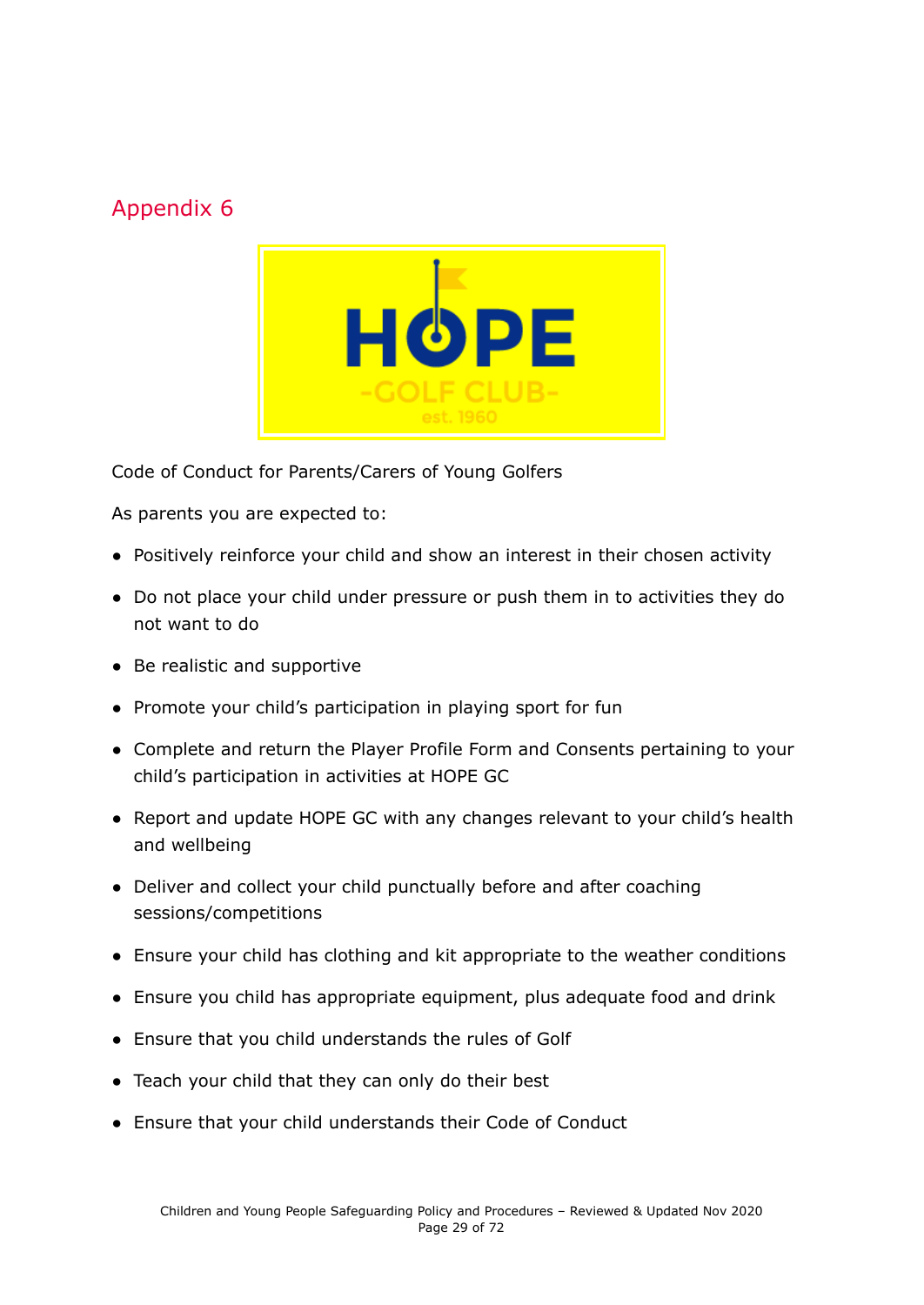<span id="page-28-0"></span>

Code of Conduct for Parents/Carers of Young Golfers

As parents you are expected to:

- Positively reinforce your child and show an interest in their chosen activity
- Do not place your child under pressure or push them in to activities they do not want to do
- Be realistic and supportive
- Promote your child's participation in playing sport for fun
- Complete and return the Player Profile Form and Consents pertaining to your child's participation in activities at HOPE GC
- Report and update HOPE GC with any changes relevant to your child's health and wellbeing
- Deliver and collect your child punctually before and after coaching sessions/competitions
- Ensure your child has clothing and kit appropriate to the weather conditions
- Ensure you child has appropriate equipment, plus adequate food and drink
- Ensure that you child understands the rules of Golf
- Teach your child that they can only do their best
- Ensure that your child understands their Code of Conduct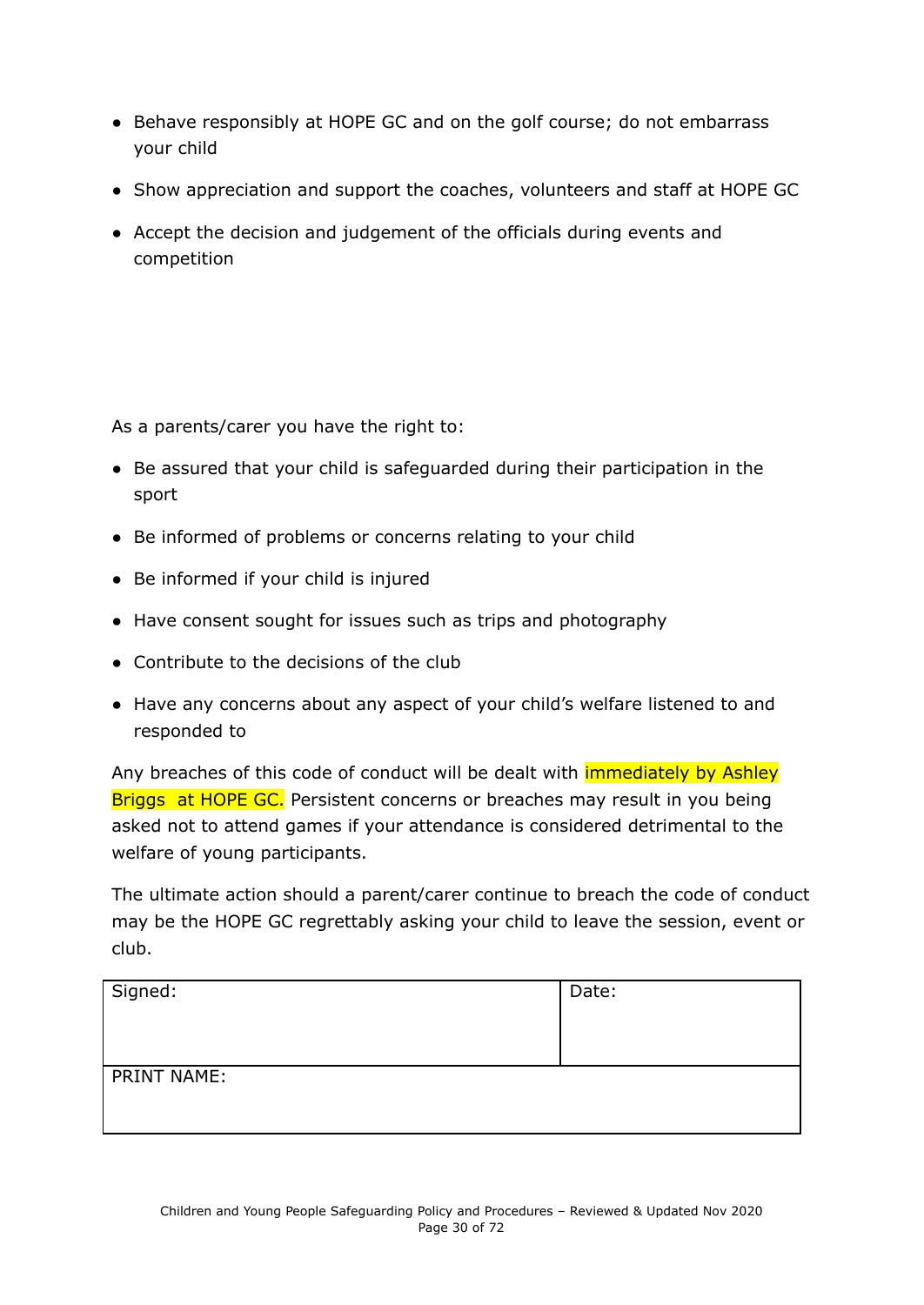- Behave responsibly at HOPE GC and on the golf course; do not embarrass your child
- Show appreciation and support the coaches, volunteers and staff at HOPE GC
- Accept the decision and judgement of the officials during events and competition

As a parents/carer you have the right to:

- Be assured that your child is safeguarded during their participation in the sport
- Be informed of problems or concerns relating to your child
- Be informed if your child is injured
- Have consent sought for issues such as trips and photography
- Contribute to the decisions of the club
- Have any concerns about any aspect of your child's welfare listened to and responded to

Any breaches of this code of conduct will be dealt with *immediately by Ashley* Briggs at HOPE GC. Persistent concerns or breaches may result in you being asked not to attend games if your attendance is considered detrimental to the welfare of young participants.

The ultimate action should a parent/carer continue to breach the code of conduct may be the HOPE GC regrettably asking your child to leave the session, event or club.

| Signed:            | Date: |
|--------------------|-------|
| <b>PRINT NAME:</b> |       |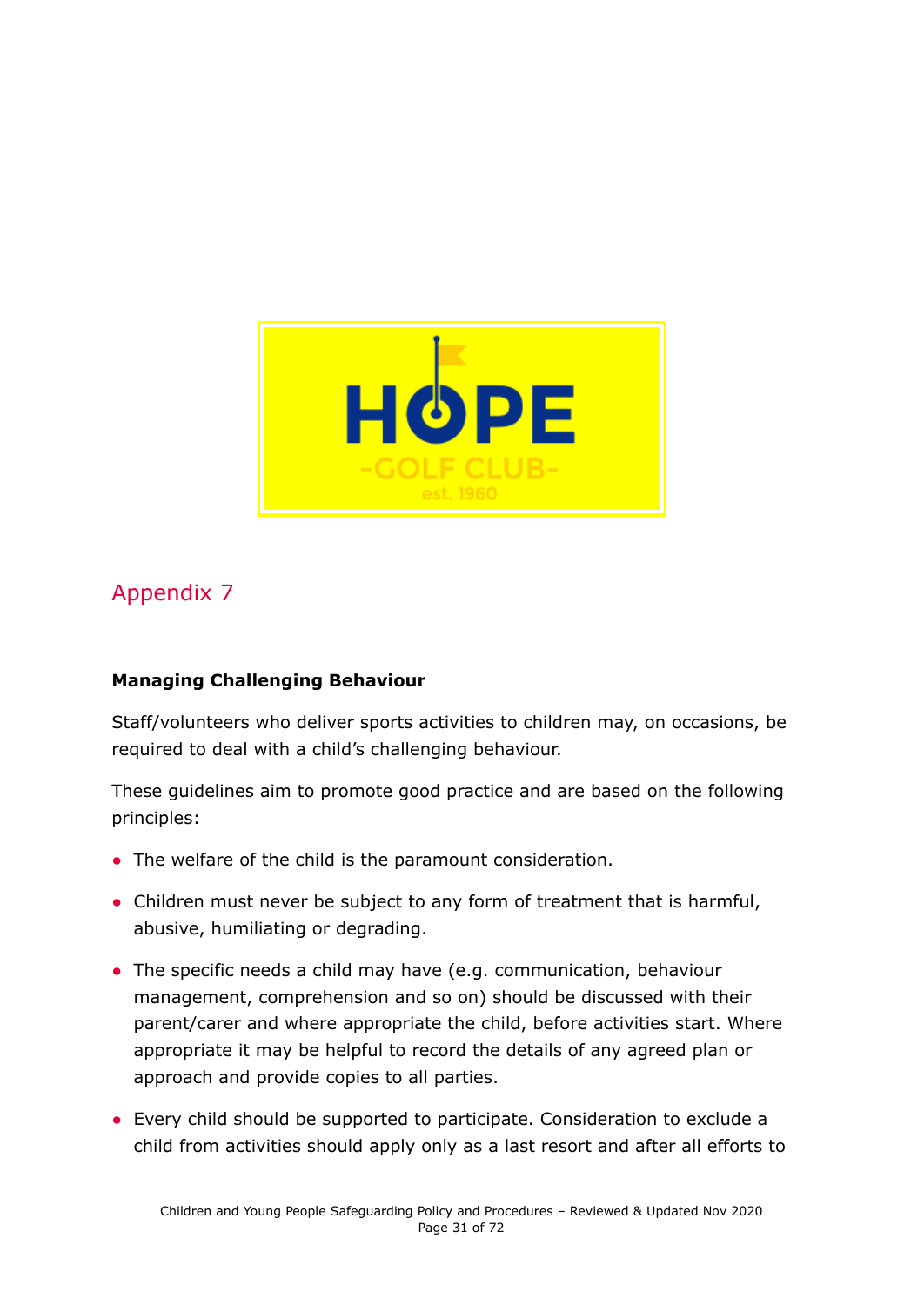

#### **Managing Challenging Behaviour**

Staff/volunteers who deliver sports activities to children may, on occasions, be required to deal with a child's challenging behaviour.

These guidelines aim to promote good practice and are based on the following principles:

- The welfare of the child is the paramount consideration.
- Children must never be subject to any form of treatment that is harmful, abusive, humiliating or degrading.
- The specific needs a child may have (e.g. communication, behaviour management, comprehension and so on) should be discussed with their parent/carer and where appropriate the child, before activities start. Where appropriate it may be helpful to record the details of any agreed plan or approach and provide copies to all parties.
- Every child should be supported to participate. Consideration to exclude a child from activities should apply only as a last resort and after all efforts to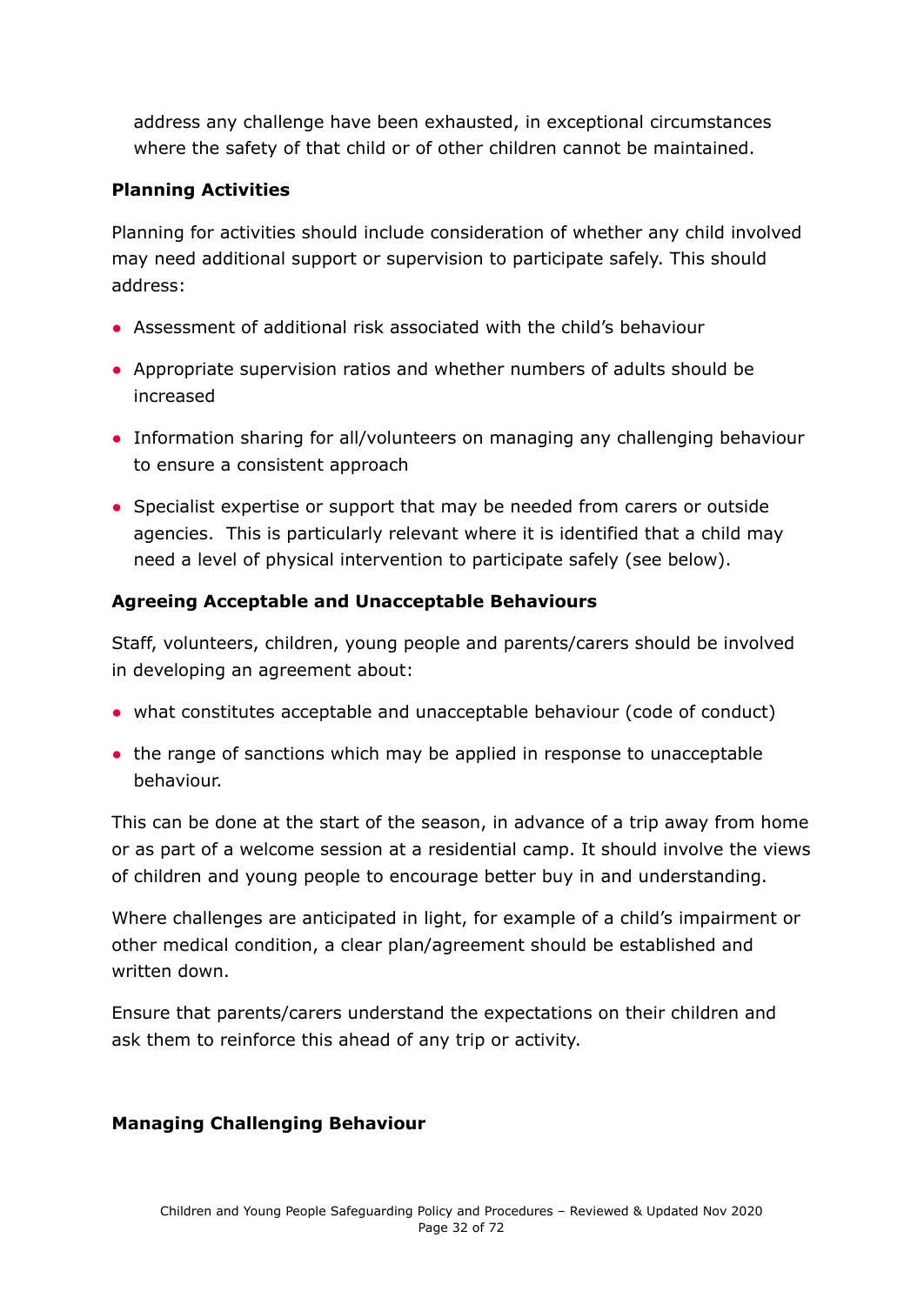address any challenge have been exhausted, in exceptional circumstances where the safety of that child or of other children cannot be maintained.

### **Planning Activities**

Planning for activities should include consideration of whether any child involved may need additional support or supervision to participate safely. This should address:

- Assessment of additional risk associated with the child's behaviour
- Appropriate supervision ratios and whether numbers of adults should be increased
- Information sharing for all/volunteers on managing any challenging behaviour to ensure a consistent approach
- Specialist expertise or support that may be needed from carers or outside agencies. This is particularly relevant where it is identified that a child may need a level of physical intervention to participate safely (see below).

### **Agreeing Acceptable and Unacceptable Behaviours**

Staff, volunteers, children, young people and parents/carers should be involved in developing an agreement about:

- what constitutes acceptable and unacceptable behaviour (code of conduct)
- the range of sanctions which may be applied in response to unacceptable behaviour.

This can be done at the start of the season, in advance of a trip away from home or as part of a welcome session at a residential camp. It should involve the views of children and young people to encourage better buy in and understanding.

Where challenges are anticipated in light, for example of a child's impairment or other medical condition, a clear plan/agreement should be established and written down.

Ensure that parents/carers understand the expectations on their children and ask them to reinforce this ahead of any trip or activity.

#### **Managing Challenging Behaviour**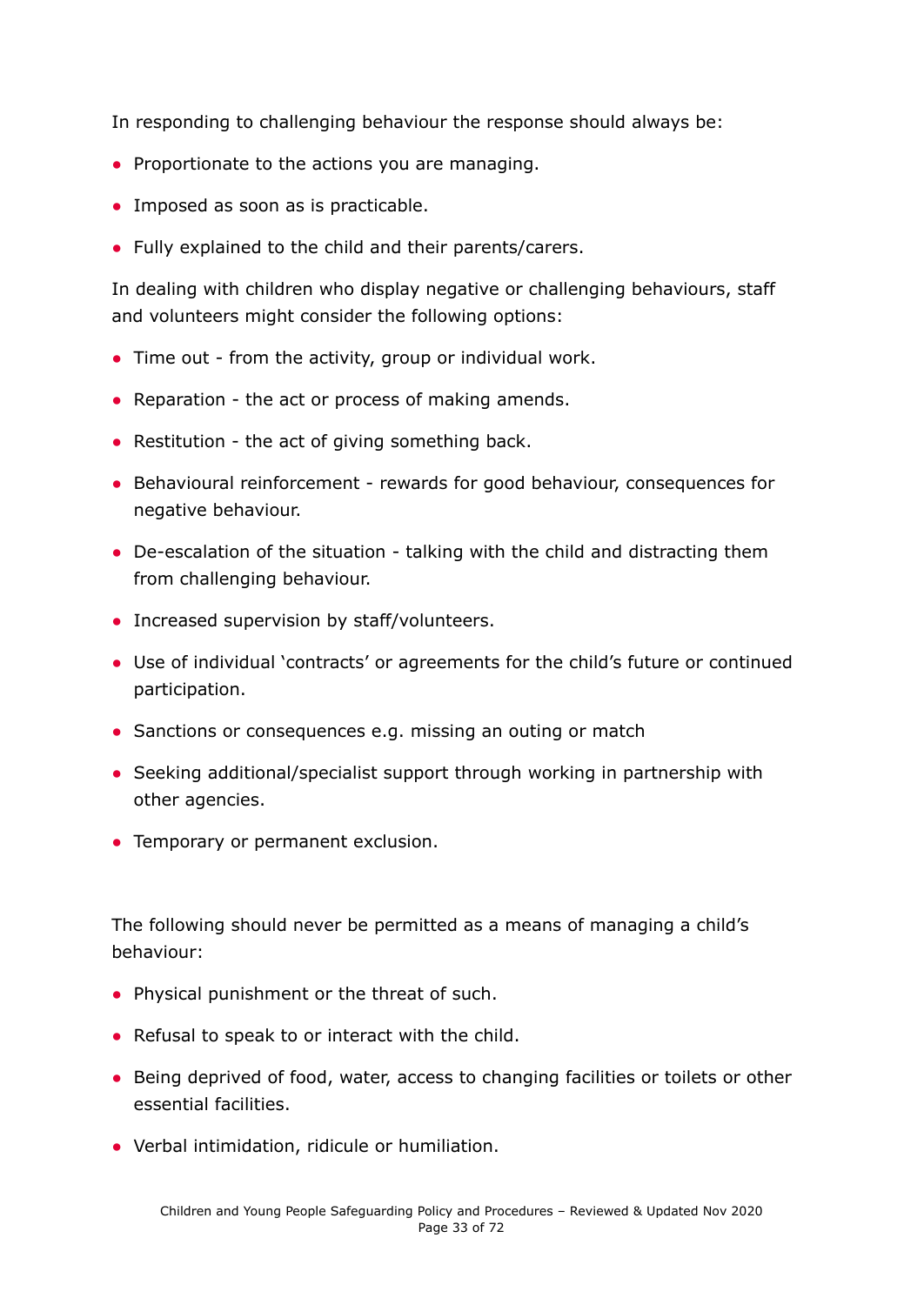In responding to challenging behaviour the response should always be:

- Proportionate to the actions you are managing.
- Imposed as soon as is practicable.
- Fully explained to the child and their parents/carers.

In dealing with children who display negative or challenging behaviours, staff and volunteers might consider the following options:

- Time out from the activity, group or individual work.
- Reparation the act or process of making amends.
- Restitution the act of giving something back.
- Behavioural reinforcement rewards for good behaviour, consequences for negative behaviour.
- De-escalation of the situation talking with the child and distracting them from challenging behaviour.
- Increased supervision by staff/volunteers.
- Use of individual 'contracts' or agreements for the child's future or continued participation.
- Sanctions or consequences e.g. missing an outing or match
- Seeking additional/specialist support through working in partnership with other agencies.
- Temporary or permanent exclusion.

The following should never be permitted as a means of managing a child's behaviour:

- Physical punishment or the threat of such.
- Refusal to speak to or interact with the child.
- Being deprived of food, water, access to changing facilities or toilets or other essential facilities.
- Verbal intimidation, ridicule or humiliation.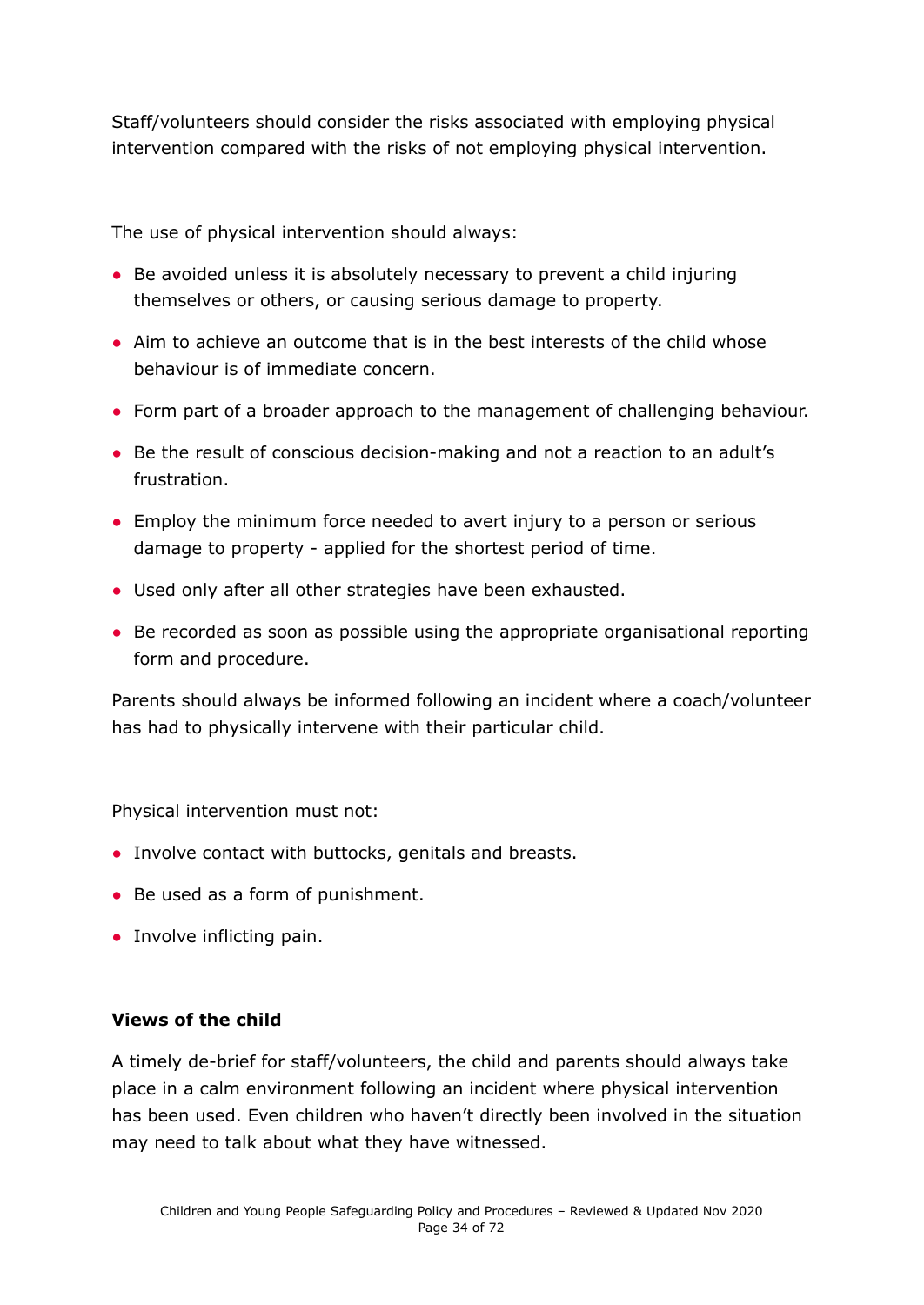Staff/volunteers should consider the risks associated with employing physical intervention compared with the risks of not employing physical intervention.

The use of physical intervention should always:

- Be avoided unless it is absolutely necessary to prevent a child injuring themselves or others, or causing serious damage to property.
- Aim to achieve an outcome that is in the best interests of the child whose behaviour is of immediate concern.
- Form part of a broader approach to the management of challenging behaviour.
- Be the result of conscious decision-making and not a reaction to an adult's frustration.
- Employ the minimum force needed to avert injury to a person or serious damage to property - applied for the shortest period of time.
- Used only after all other strategies have been exhausted.
- Be recorded as soon as possible using the appropriate organisational reporting form and procedure.

Parents should always be informed following an incident where a coach/volunteer has had to physically intervene with their particular child.

Physical intervention must not:

- Involve contact with buttocks, genitals and breasts.
- Be used as a form of punishment.
- Involve inflicting pain.

#### **Views of the child**

A timely de-brief for staff/volunteers, the child and parents should always take place in a calm environment following an incident where physical intervention has been used. Even children who haven't directly been involved in the situation may need to talk about what they have witnessed.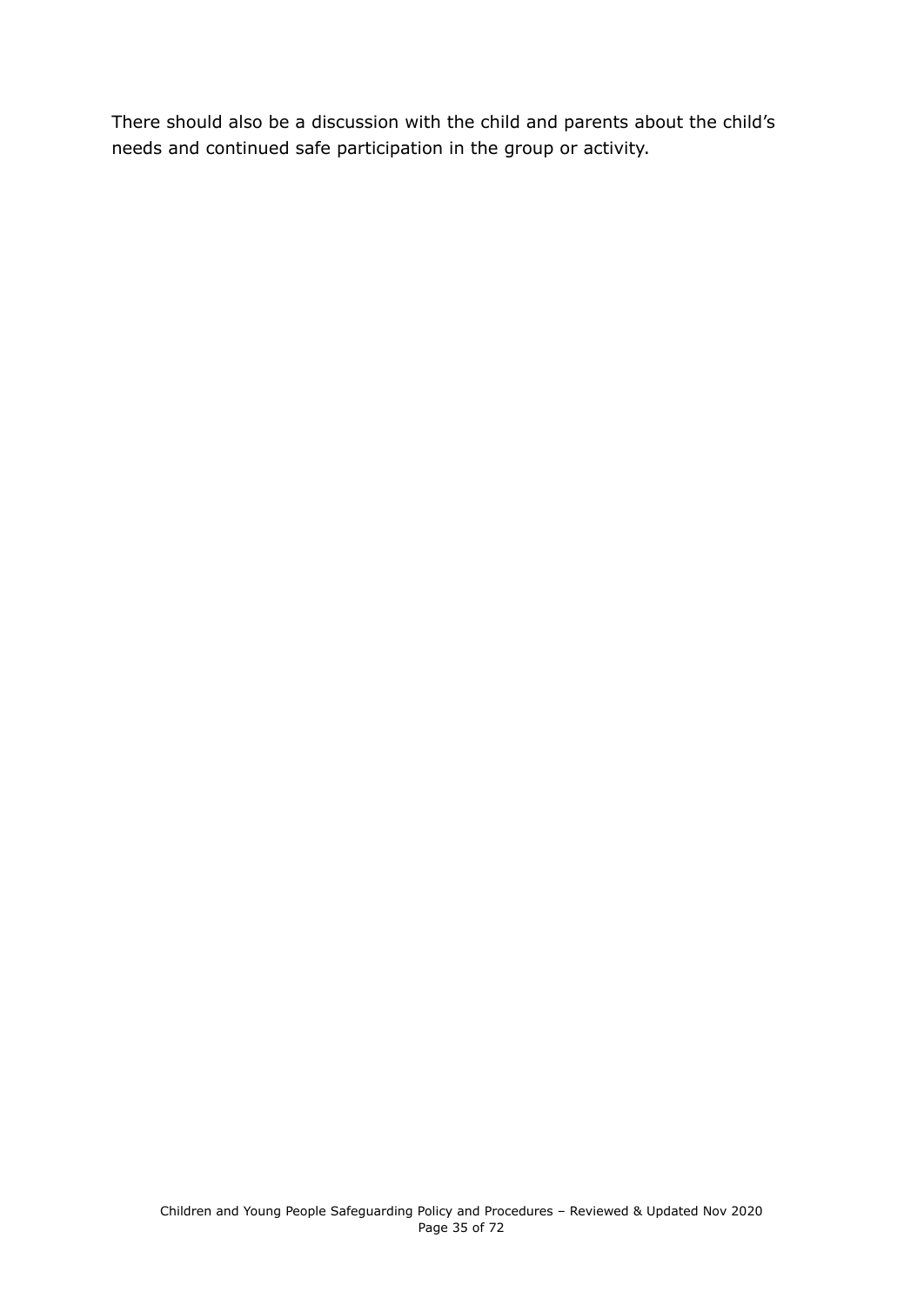There should also be a discussion with the child and parents about the child's needs and continued safe participation in the group or activity.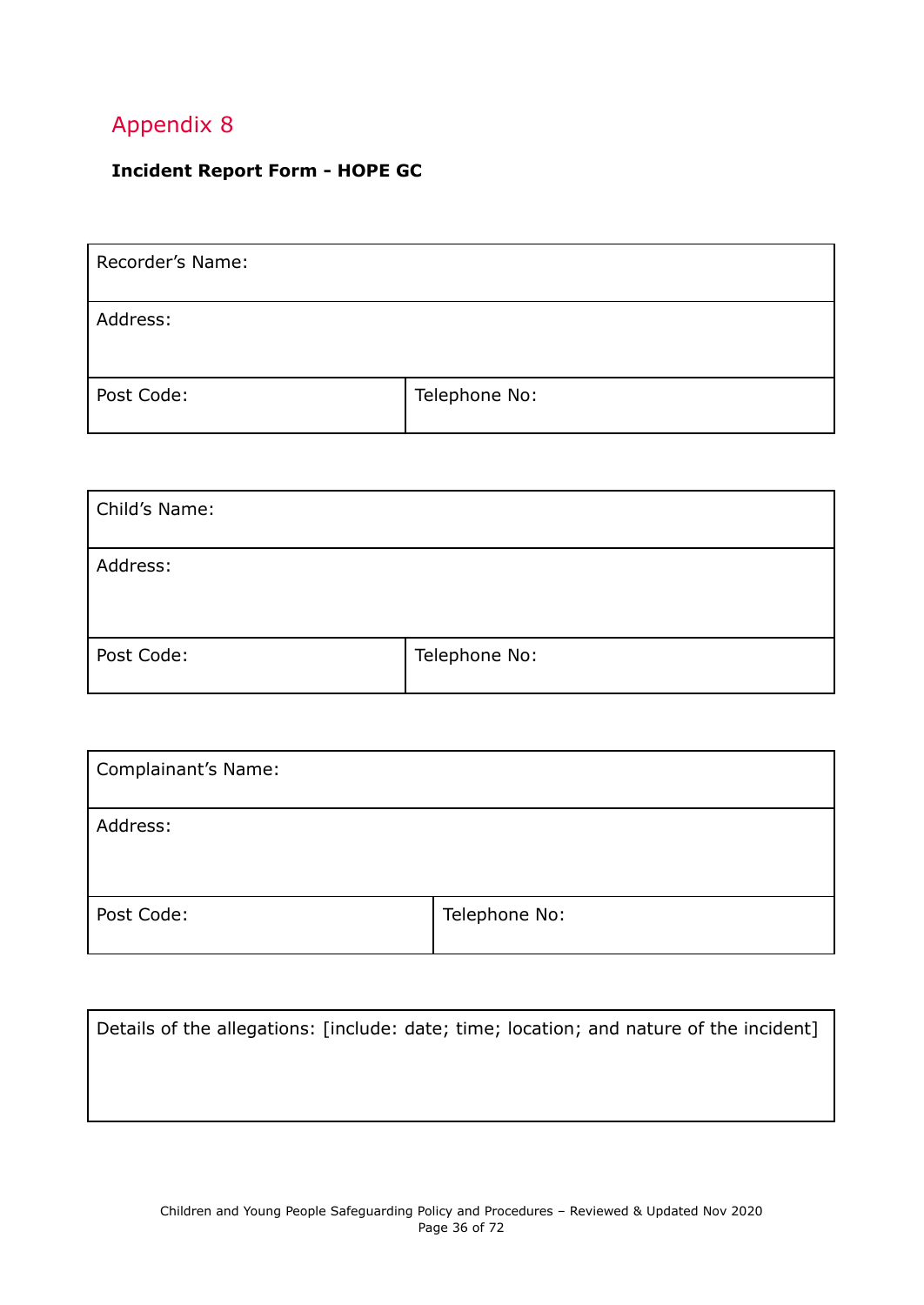### <span id="page-35-0"></span>**Incident Report Form - HOPE GC**

| Recorder's Name: |               |  |  |  |  |
|------------------|---------------|--|--|--|--|
| Address:         |               |  |  |  |  |
| Post Code:       | Telephone No: |  |  |  |  |

| Child's Name: |               |  |  |
|---------------|---------------|--|--|
| Address:      |               |  |  |
| Post Code:    | Telephone No: |  |  |

| <b>Complainant's Name:</b> |               |  |  |  |
|----------------------------|---------------|--|--|--|
| Address:                   |               |  |  |  |
| Post Code:                 | Telephone No: |  |  |  |

| Details of the allegations: [include: date; time; location; and nature of the incident] |  |
|-----------------------------------------------------------------------------------------|--|
|                                                                                         |  |
|                                                                                         |  |
|                                                                                         |  |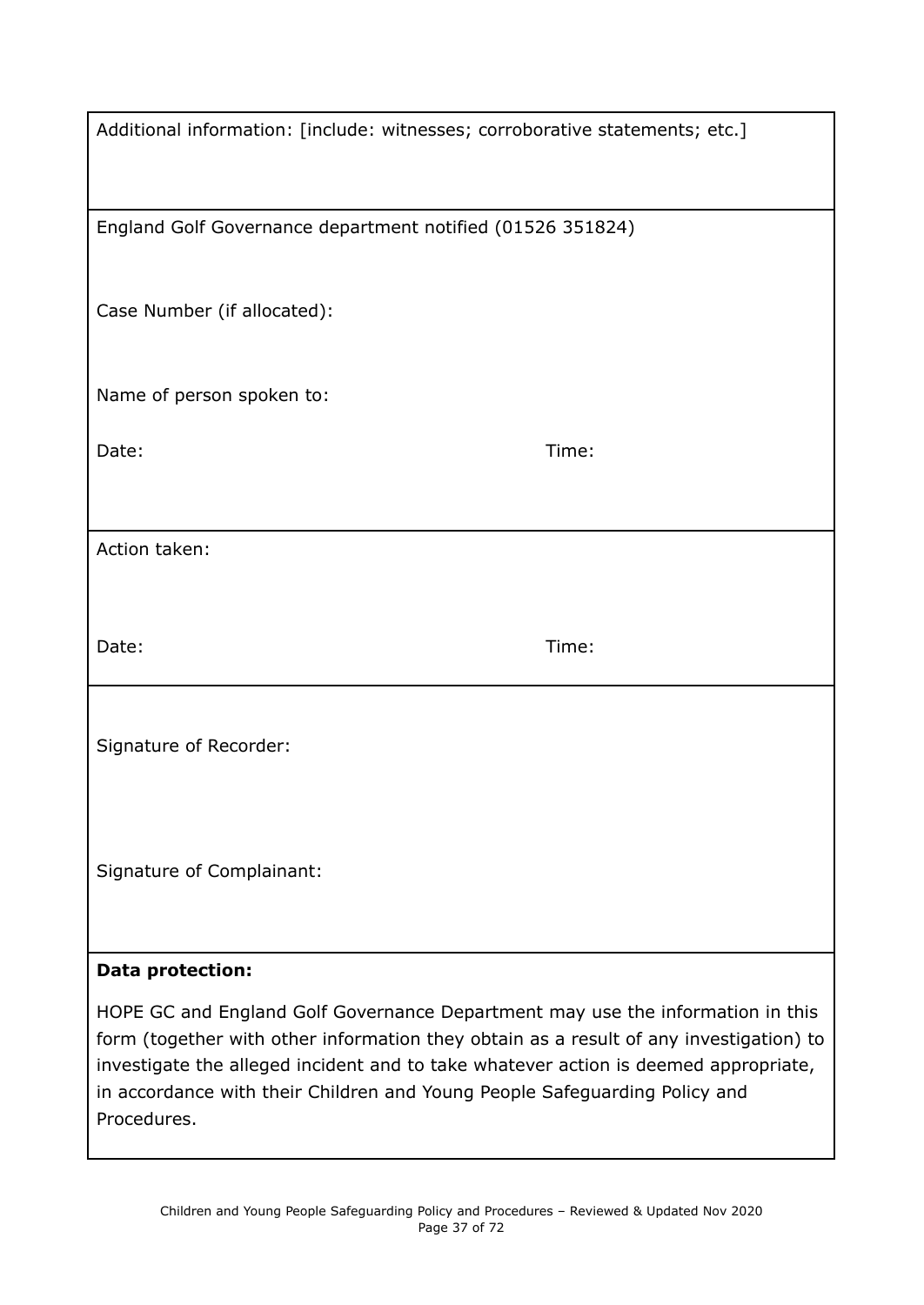| Additional information: [include: witnesses; corroborative statements; etc.]                                                                                                                                                                                                                                                                                 |
|--------------------------------------------------------------------------------------------------------------------------------------------------------------------------------------------------------------------------------------------------------------------------------------------------------------------------------------------------------------|
| England Golf Governance department notified (01526 351824)                                                                                                                                                                                                                                                                                                   |
| Case Number (if allocated):                                                                                                                                                                                                                                                                                                                                  |
| Name of person spoken to:                                                                                                                                                                                                                                                                                                                                    |
| Date:<br>Time:                                                                                                                                                                                                                                                                                                                                               |
| Action taken:                                                                                                                                                                                                                                                                                                                                                |
| Time:<br>Date:                                                                                                                                                                                                                                                                                                                                               |
| Signature of Recorder:                                                                                                                                                                                                                                                                                                                                       |
| Signature of Complainant:                                                                                                                                                                                                                                                                                                                                    |
| <b>Data protection:</b>                                                                                                                                                                                                                                                                                                                                      |
| HOPE GC and England Golf Governance Department may use the information in this<br>form (together with other information they obtain as a result of any investigation) to<br>investigate the alleged incident and to take whatever action is deemed appropriate,<br>in accordance with their Children and Young People Safeguarding Policy and<br>Procedures. |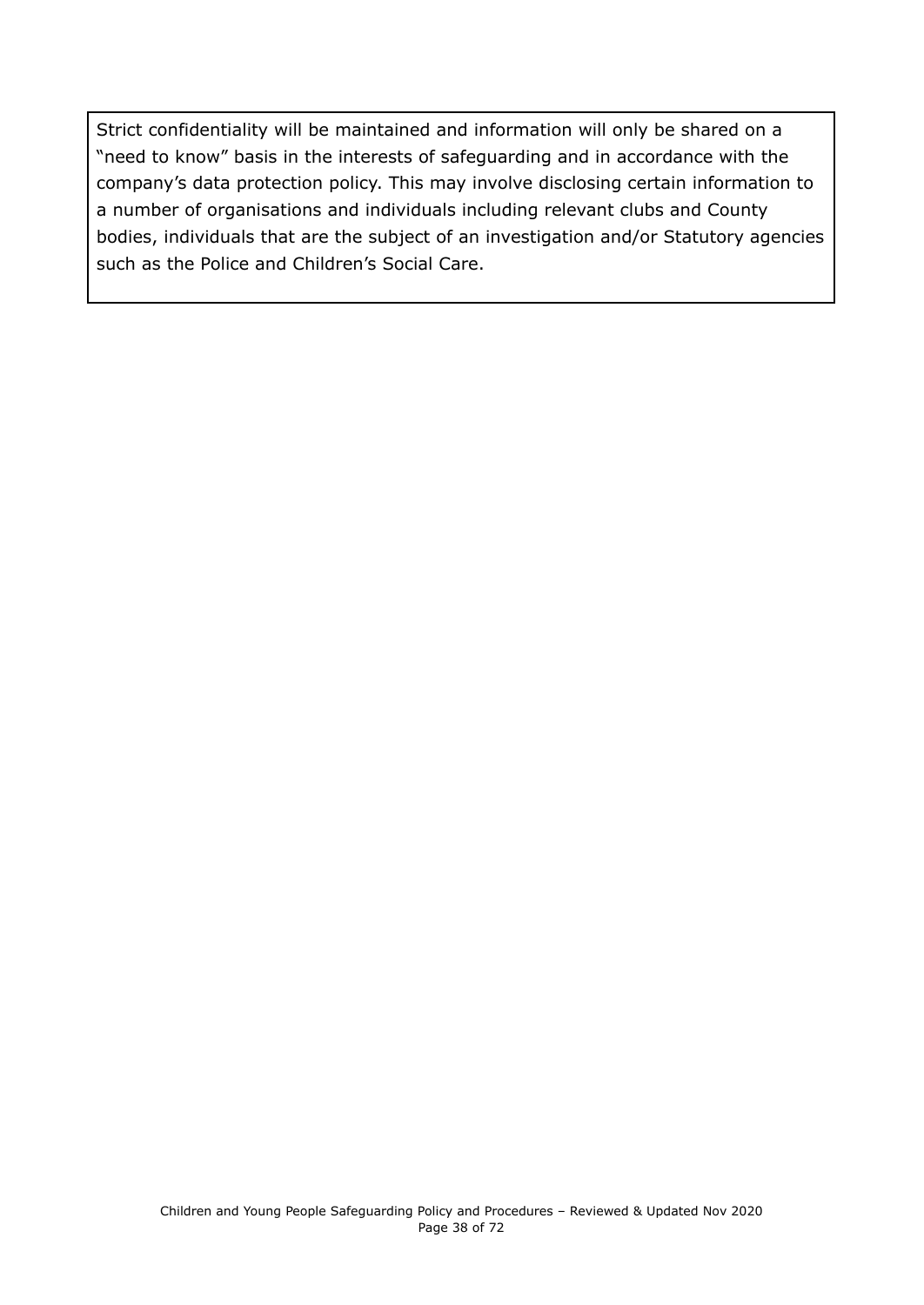Strict confidentiality will be maintained and information will only be shared on a "need to know" basis in the interests of safeguarding and in accordance with the company's data protection policy. This may involve disclosing certain information to a number of organisations and individuals including relevant clubs and County bodies, individuals that are the subject of an investigation and/or Statutory agencies such as the Police and Children's Social Care.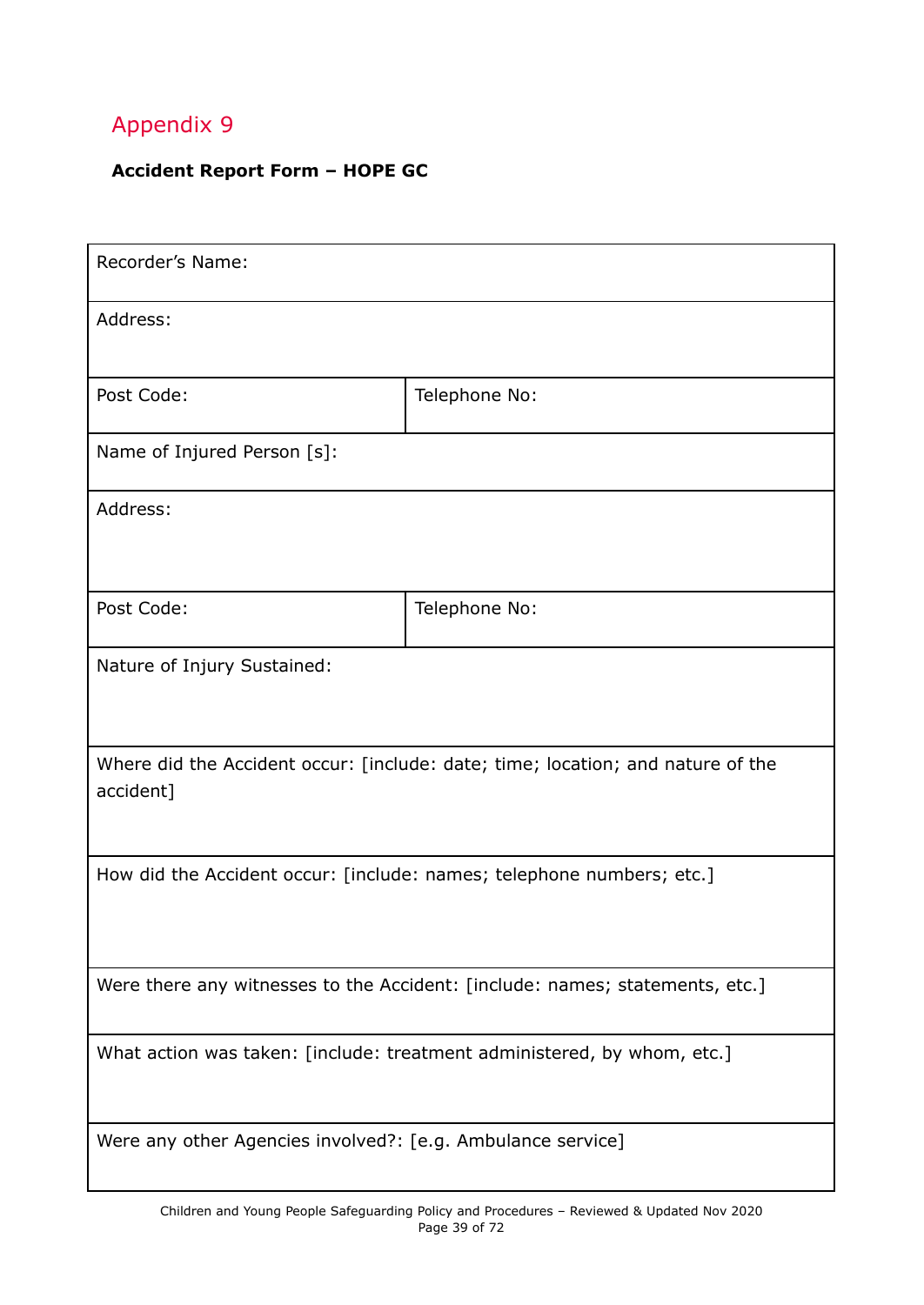## **Accident Report Form – HOPE GC**

| Recorder's Name:                                                                             |               |  |  |
|----------------------------------------------------------------------------------------------|---------------|--|--|
| Address:                                                                                     |               |  |  |
| Post Code:                                                                                   | Telephone No: |  |  |
| Name of Injured Person [s]:                                                                  |               |  |  |
| Address:                                                                                     |               |  |  |
| Post Code:                                                                                   | Telephone No: |  |  |
| Nature of Injury Sustained:                                                                  |               |  |  |
| Where did the Accident occur: [include: date; time; location; and nature of the<br>accident] |               |  |  |
| How did the Accident occur: [include: names; telephone numbers; etc.]                        |               |  |  |
| Were there any witnesses to the Accident: [include: names; statements, etc.]                 |               |  |  |
| What action was taken: [include: treatment administered, by whom, etc.]                      |               |  |  |
| Were any other Agencies involved?: [e.g. Ambulance service]                                  |               |  |  |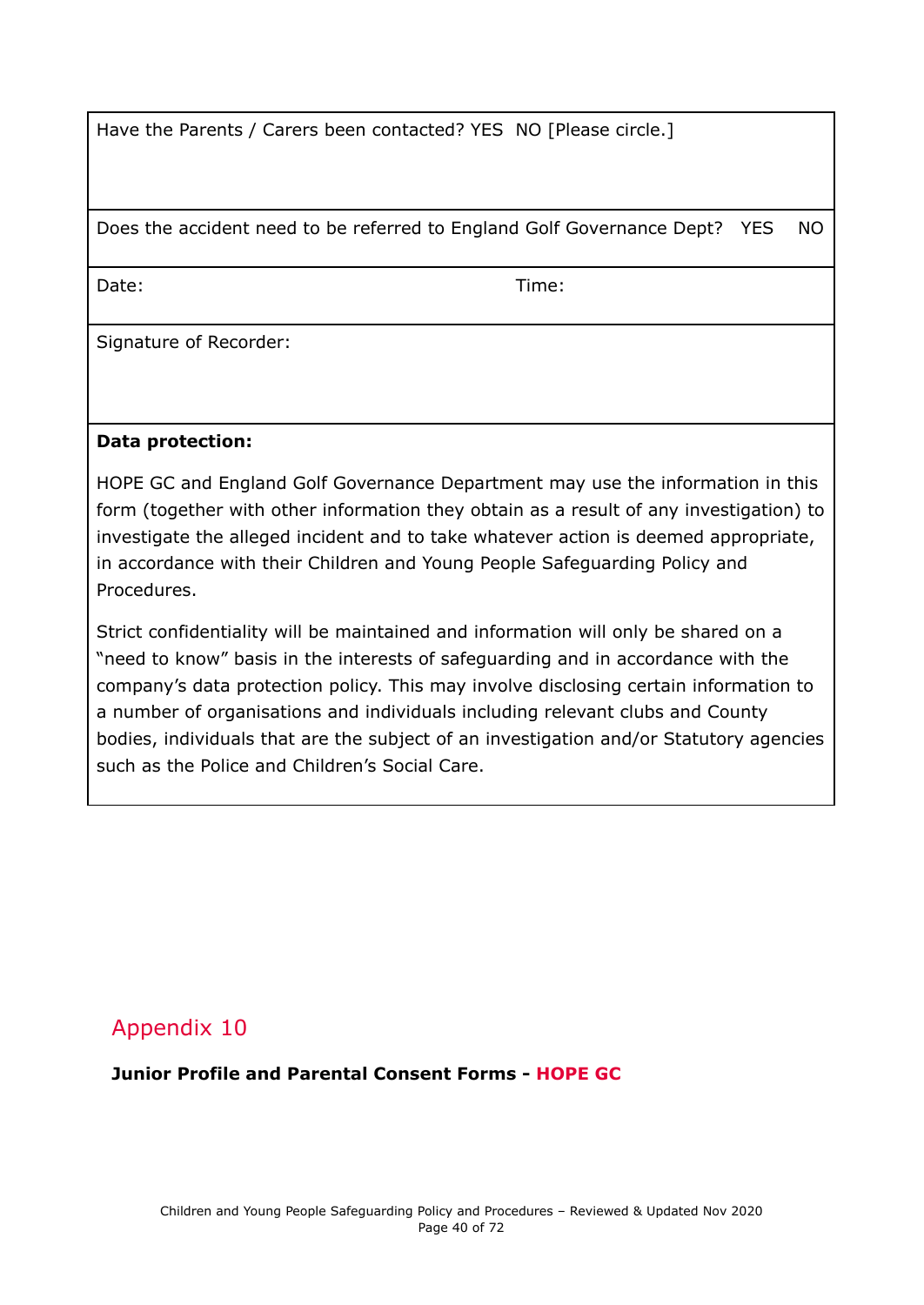Have the Parents / Carers been contacted? YES NO [Please circle.]

Does the accident need to be referred to England Golf Governance Dept? YES NO

Date: Time:

Signature of Recorder:

#### **Data protection:**

HOPE GC and England Golf Governance Department may use the information in this form (together with other information they obtain as a result of any investigation) to investigate the alleged incident and to take whatever action is deemed appropriate, in accordance with their Children and Young People Safeguarding Policy and Procedures.

Strict confidentiality will be maintained and information will only be shared on a "need to know" basis in the interests of safeguarding and in accordance with the company's data protection policy. This may involve disclosing certain information to a number of organisations and individuals including relevant clubs and County bodies, individuals that are the subject of an investigation and/or Statutory agencies such as the Police and Children's Social Care.

## Appendix 10

**Junior Profile and Parental Consent Forms - HOPE GC**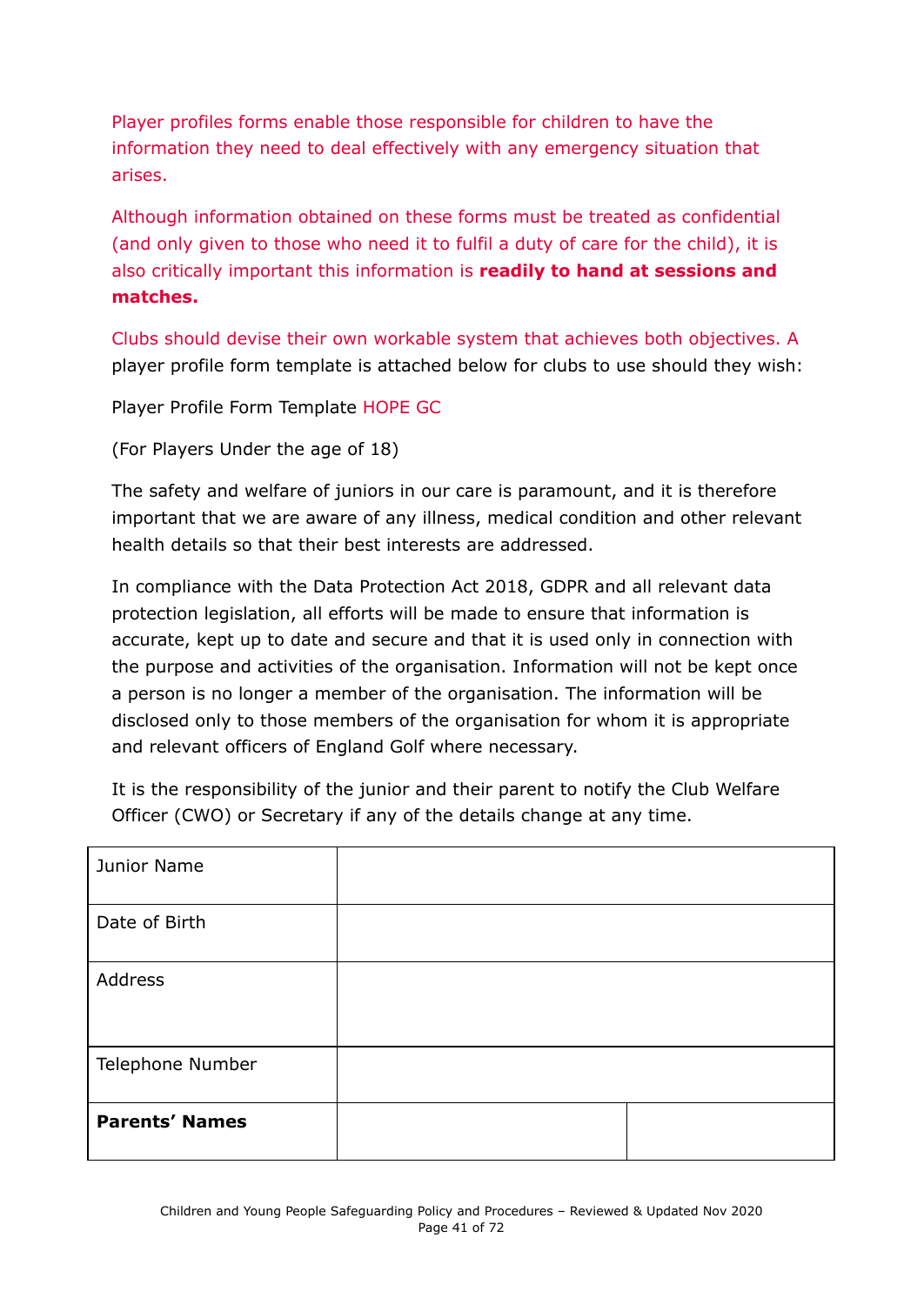Player profiles forms enable those responsible for children to have the information they need to deal effectively with any emergency situation that arises.

Although information obtained on these forms must be treated as confidential (and only given to those who need it to fulfil a duty of care for the child), it is also critically important this information is **readily to hand at sessions and matches.**

Clubs should devise their own workable system that achieves both objectives. A player profile form template is attached below for clubs to use should they wish:

Player Profile Form Template HOPE GC

(For Players Under the age of 18)

The safety and welfare of juniors in our care is paramount, and it is therefore important that we are aware of any illness, medical condition and other relevant health details so that their best interests are addressed.

In compliance with the Data Protection Act 2018, GDPR and all relevant data protection legislation, all efforts will be made to ensure that information is accurate, kept up to date and secure and that it is used only in connection with the purpose and activities of the organisation. Information will not be kept once a person is no longer a member of the organisation. The information will be disclosed only to those members of the organisation for whom it is appropriate and relevant officers of England Golf where necessary.

It is the responsibility of the junior and their parent to notify the Club Welfare Officer (CWO) or Secretary if any of the details change at any time.

| Junior Name           |  |
|-----------------------|--|
| Date of Birth         |  |
| Address               |  |
| Telephone Number      |  |
| <b>Parents' Names</b> |  |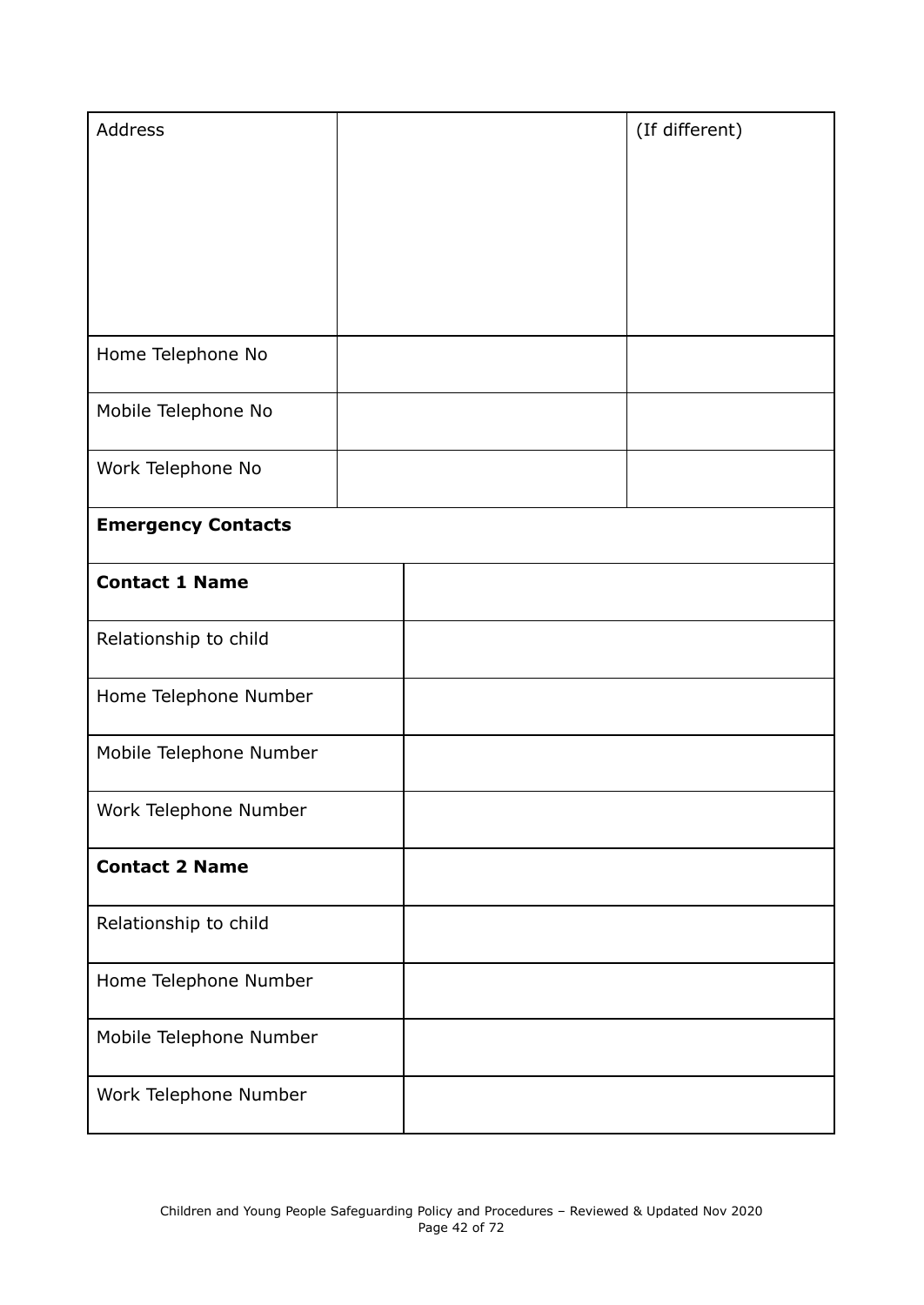| <b>Address</b>            |  | (If different) |
|---------------------------|--|----------------|
|                           |  |                |
|                           |  |                |
|                           |  |                |
|                           |  |                |
|                           |  |                |
| Home Telephone No         |  |                |
| Mobile Telephone No       |  |                |
| Work Telephone No         |  |                |
| <b>Emergency Contacts</b> |  |                |
| <b>Contact 1 Name</b>     |  |                |
| Relationship to child     |  |                |
| Home Telephone Number     |  |                |
| Mobile Telephone Number   |  |                |
| Work Telephone Number     |  |                |
| <b>Contact 2 Name</b>     |  |                |
| Relationship to child     |  |                |
| Home Telephone Number     |  |                |
| Mobile Telephone Number   |  |                |
| Work Telephone Number     |  |                |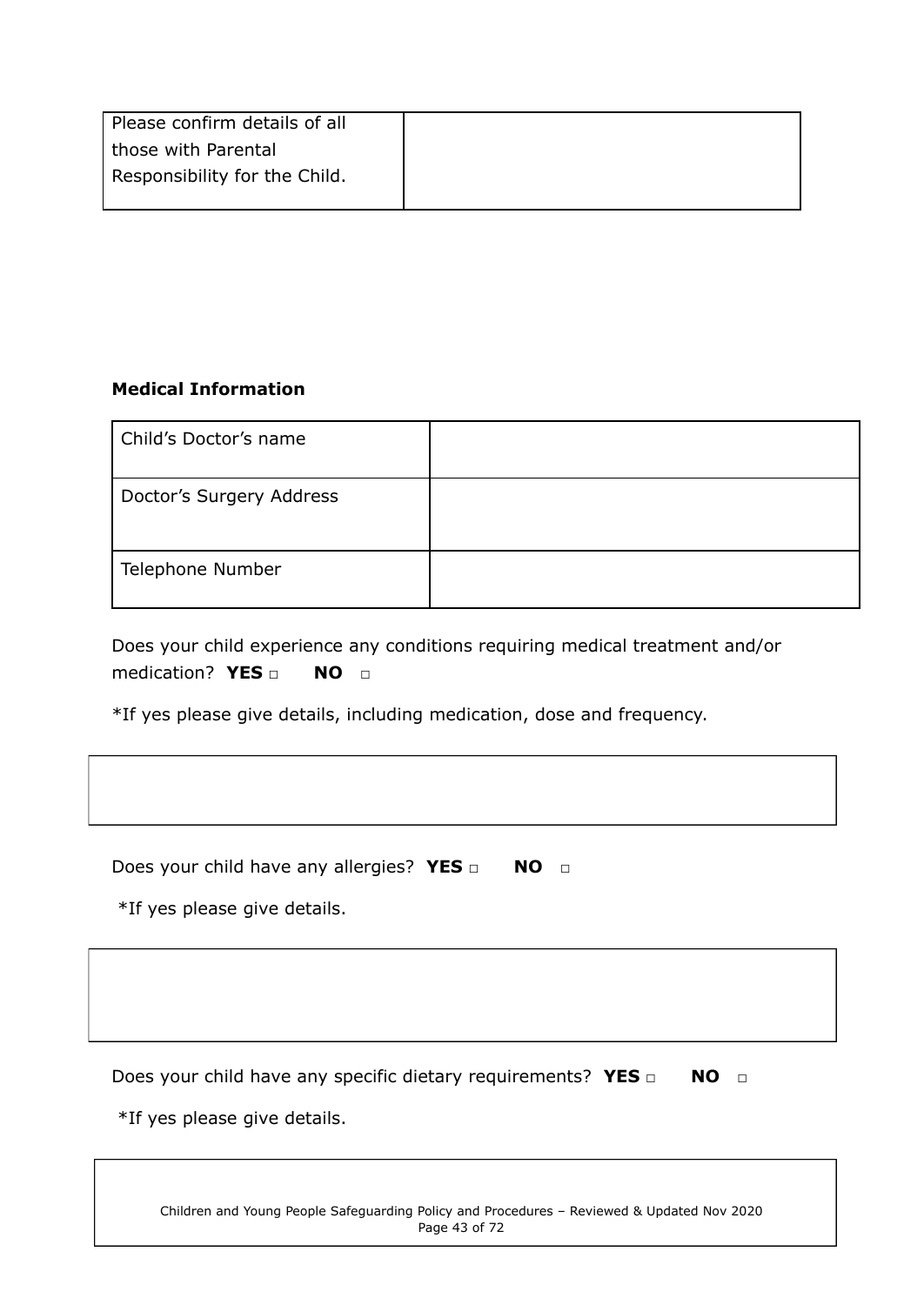| Please confirm details of all |  |
|-------------------------------|--|
| l those with Parental         |  |
| Responsibility for the Child. |  |

#### **Medical Information**

| Child's Doctor's name    |  |
|--------------------------|--|
| Doctor's Surgery Address |  |
| Telephone Number         |  |

Does your child experience any conditions requiring medical treatment and/or medication? **YES □ NO □**

\*If yes please give details, including medication, dose and frequency.

Does your child have any allergies? **YES □ NO □**

\*If yes please give details.

Does your child have any specific dietary requirements? **YES □ NO □**

\*If yes please give details.

Children and Young People Safeguarding Policy and Procedures – Reviewed & Updated Nov 2020 Page 43 of 72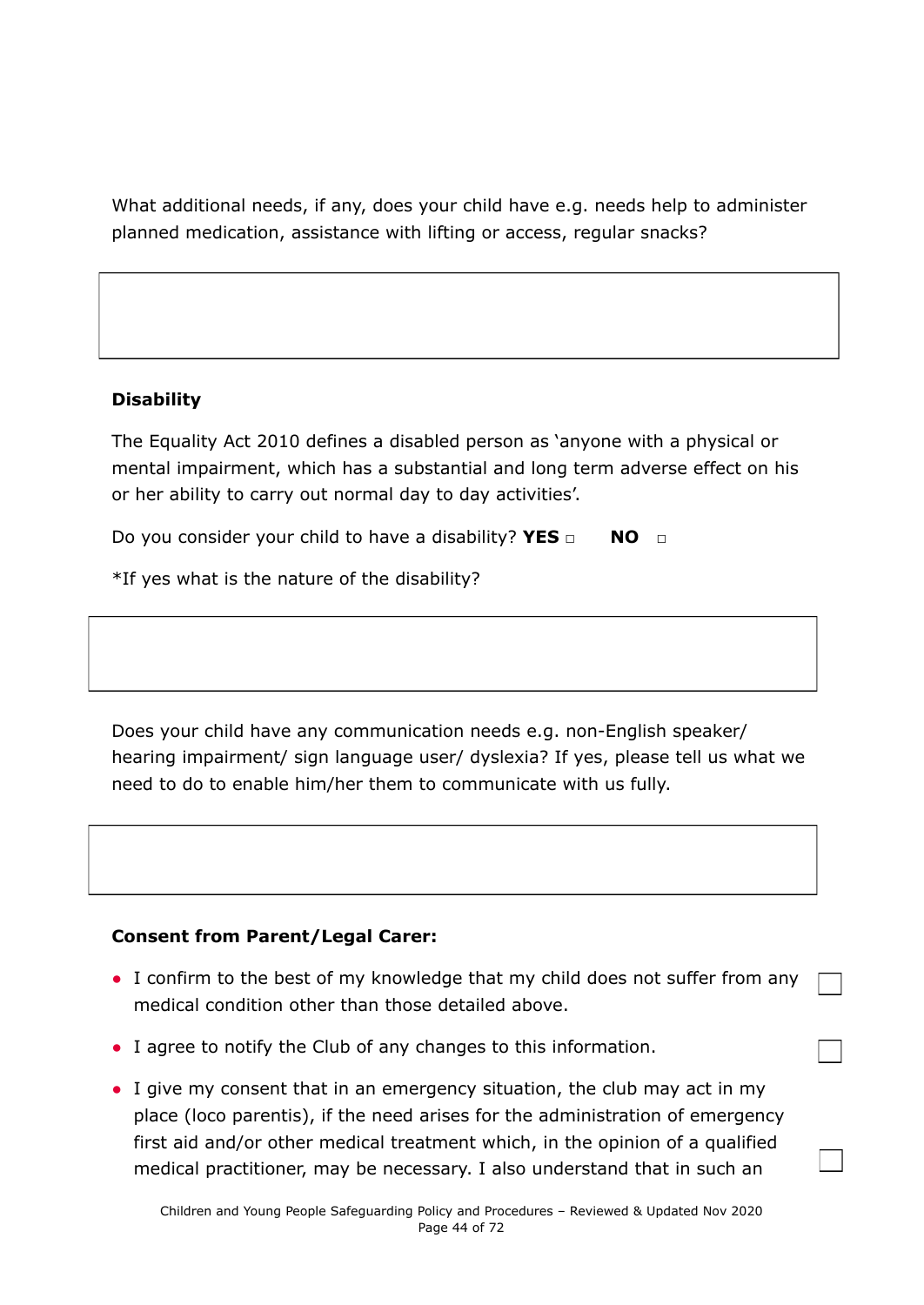What additional needs, if any, does your child have e.g. needs help to administer planned medication, assistance with lifting or access, regular snacks?

#### **Disability**

The Equality Act 2010 defines a disabled person as 'anyone with a physical or mental impairment, which has a substantial and long term adverse effect on his or her ability to carry out normal day to day activities'.

Do you consider your child to have a disability? **YES □ NO □**

\*If yes what is the nature of the disability?

Does your child have any communication needs e.g. non-English speaker/ hearing impairment/ sign language user/ dyslexia? If yes, please tell us what we need to do to enable him/her them to communicate with us fully.

#### **Consent from Parent/Legal Carer:**

- I confirm to the best of my knowledge that my child does not suffer from any medical condition other than those detailed above.
- I agree to notify the Club of any changes to this information.
- I give my consent that in an emergency situation, the club may act in my place (loco parentis), if the need arises for the administration of emergency first aid and/or other medical treatment which, in the opinion of a qualified medical practitioner, may be necessary. I also understand that in such an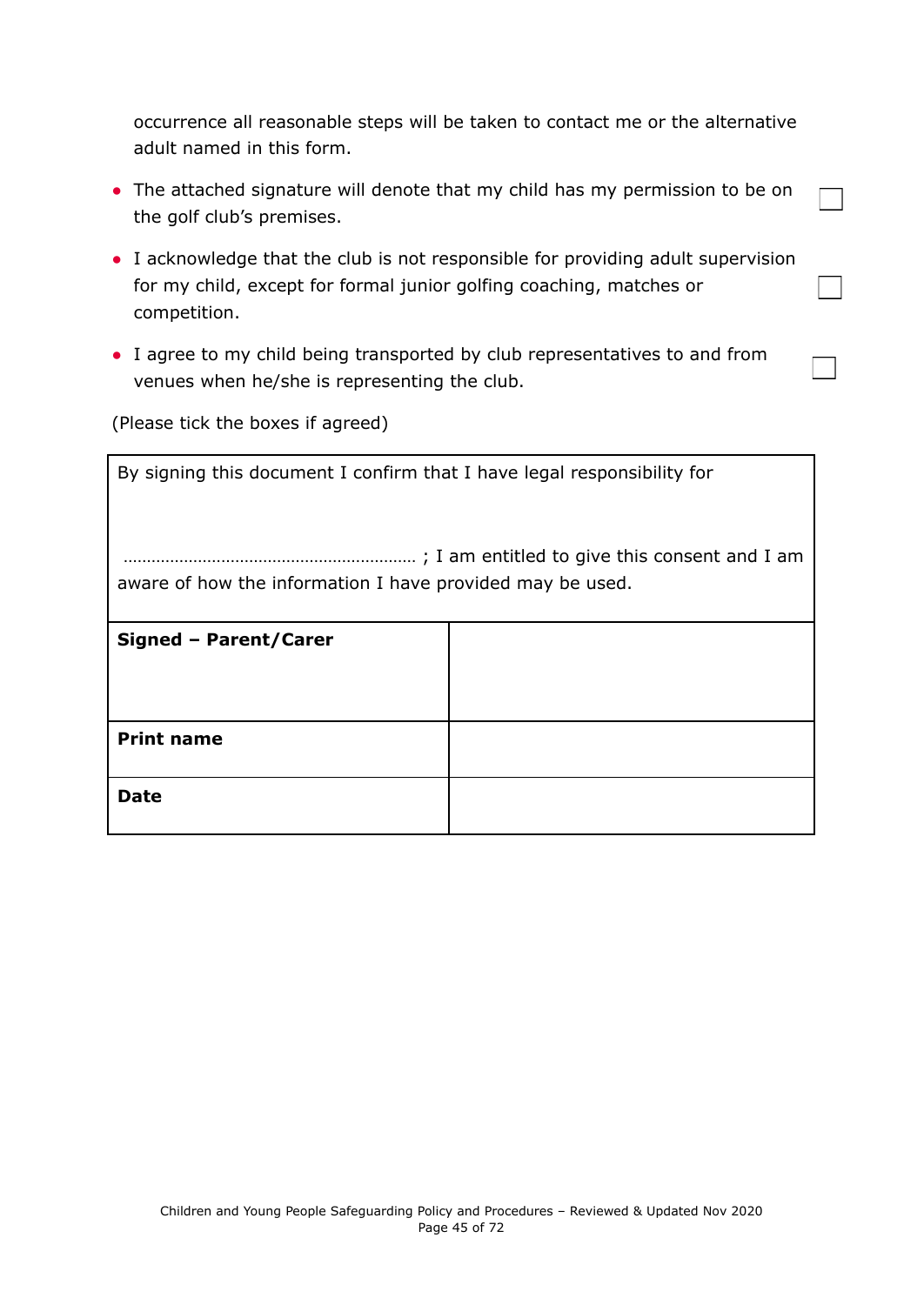occurrence all reasonable steps will be taken to contact me or the alternative adult named in this form.

- The attached signature will denote that my child has my permission to be on the golf club's premises.
- I acknowledge that the club is not responsible for providing adult supervision for my child, except for formal junior golfing coaching, matches or competition.
- I agree to my child being transported by club representatives to and from venues when he/she is representing the club.

(Please tick the boxes if agreed)

| By signing this document I confirm that I have legal responsibility for |  |  |
|-------------------------------------------------------------------------|--|--|
| aware of how the information I have provided may be used.               |  |  |
| Signed - Parent/Carer                                                   |  |  |
|                                                                         |  |  |
| <b>Print name</b>                                                       |  |  |
| Date                                                                    |  |  |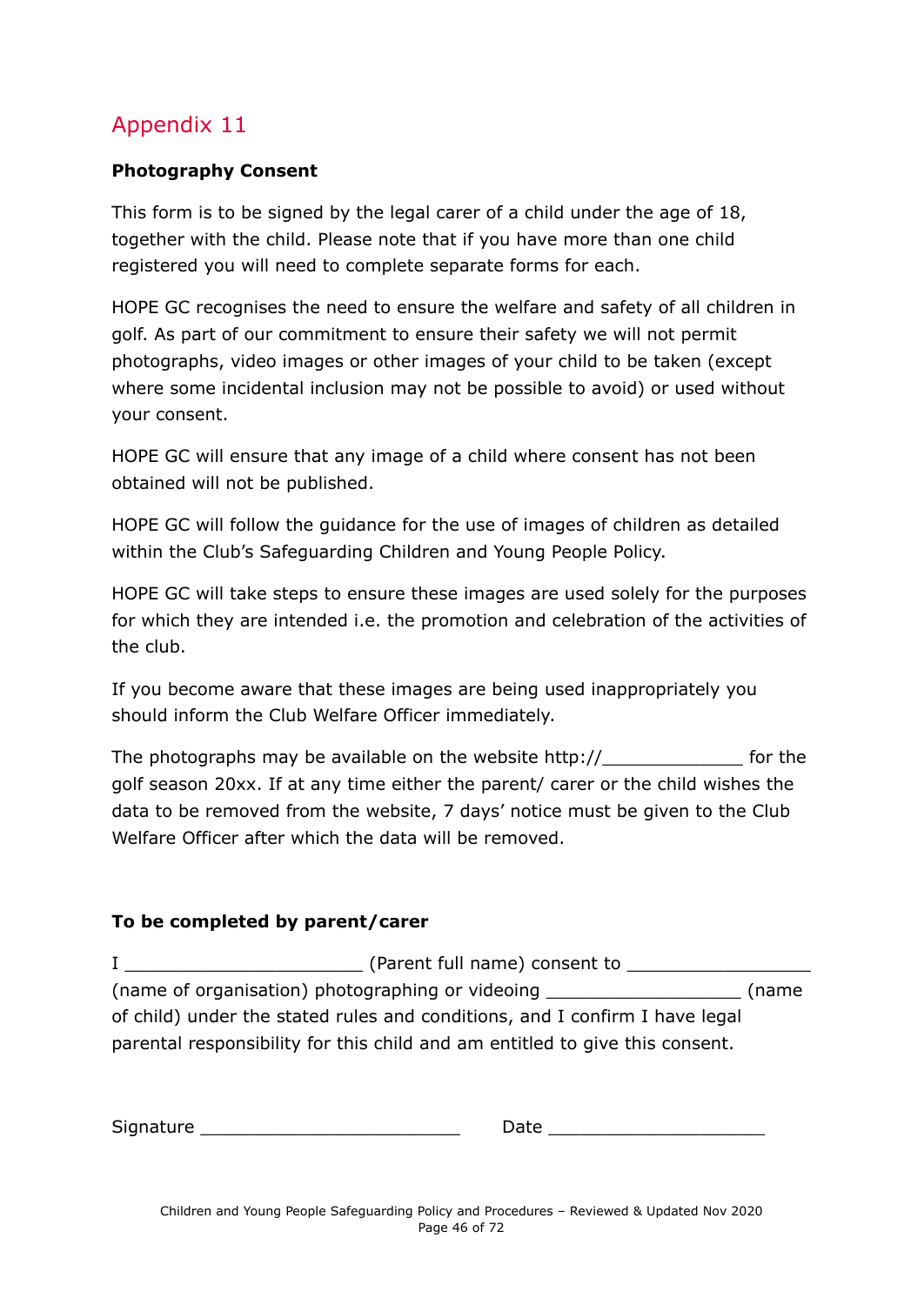### **Photography Consent**

This form is to be signed by the legal carer of a child under the age of 18, together with the child. Please note that if you have more than one child registered you will need to complete separate forms for each.

HOPE GC recognises the need to ensure the welfare and safety of all children in golf. As part of our commitment to ensure their safety we will not permit photographs, video images or other images of your child to be taken (except where some incidental inclusion may not be possible to avoid) or used without your consent.

HOPE GC will ensure that any image of a child where consent has not been obtained will not be published.

HOPE GC will follow the guidance for the use of images of children as detailed within the Club's Safeguarding Children and Young People Policy.

HOPE GC will take steps to ensure these images are used solely for the purposes for which they are intended i.e. the promotion and celebration of the activities of the club.

If you become aware that these images are being used inappropriately you should inform the Club Welfare Officer immediately.

The photographs may be available on the website http:// The photographs of the golf season 20xx. If at any time either the parent/ carer or the child wishes the data to be removed from the website, 7 days' notice must be given to the Club Welfare Officer after which the data will be removed.

#### **To be completed by parent/carer**

I consent full name) consent to  $\blacksquare$ (name of organisation) photographing or videoing \_\_\_\_\_\_\_\_\_\_\_\_\_\_\_\_\_\_ (name of child) under the stated rules and conditions, and I confirm I have legal parental responsibility for this child and am entitled to give this consent.

| $\sim$<br>וכ | __ |  |
|--------------|----|--|
|              |    |  |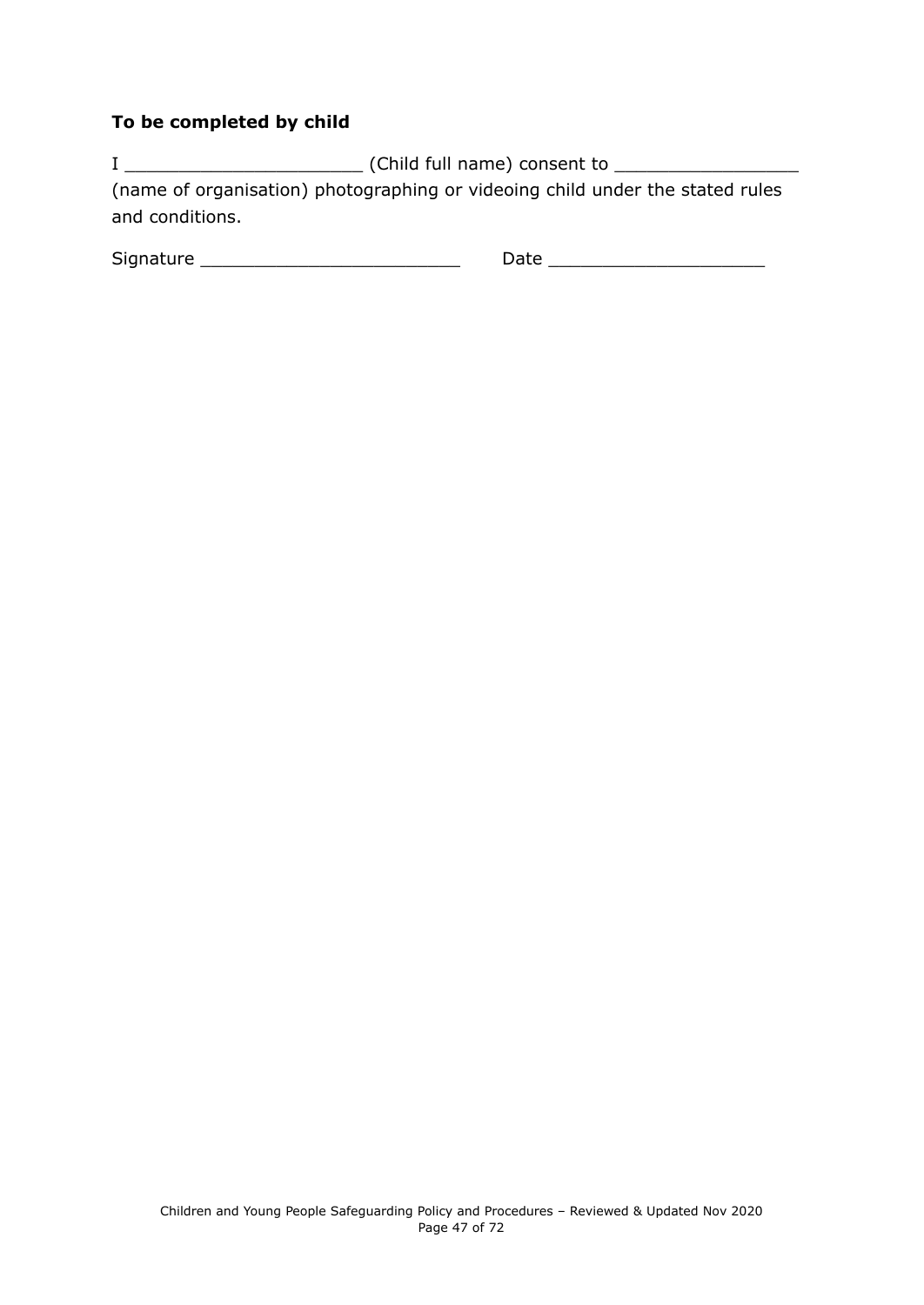#### **To be completed by child**

I \_\_\_\_\_\_\_\_\_\_\_\_\_\_\_\_\_\_\_\_\_\_ (Child full name) consent to \_\_\_\_\_\_\_\_\_\_\_\_\_\_\_\_\_ (name of organisation) photographing or videoing child under the stated rules and conditions.

| -<br>. .<br>- |  |
|---------------|--|
|               |  |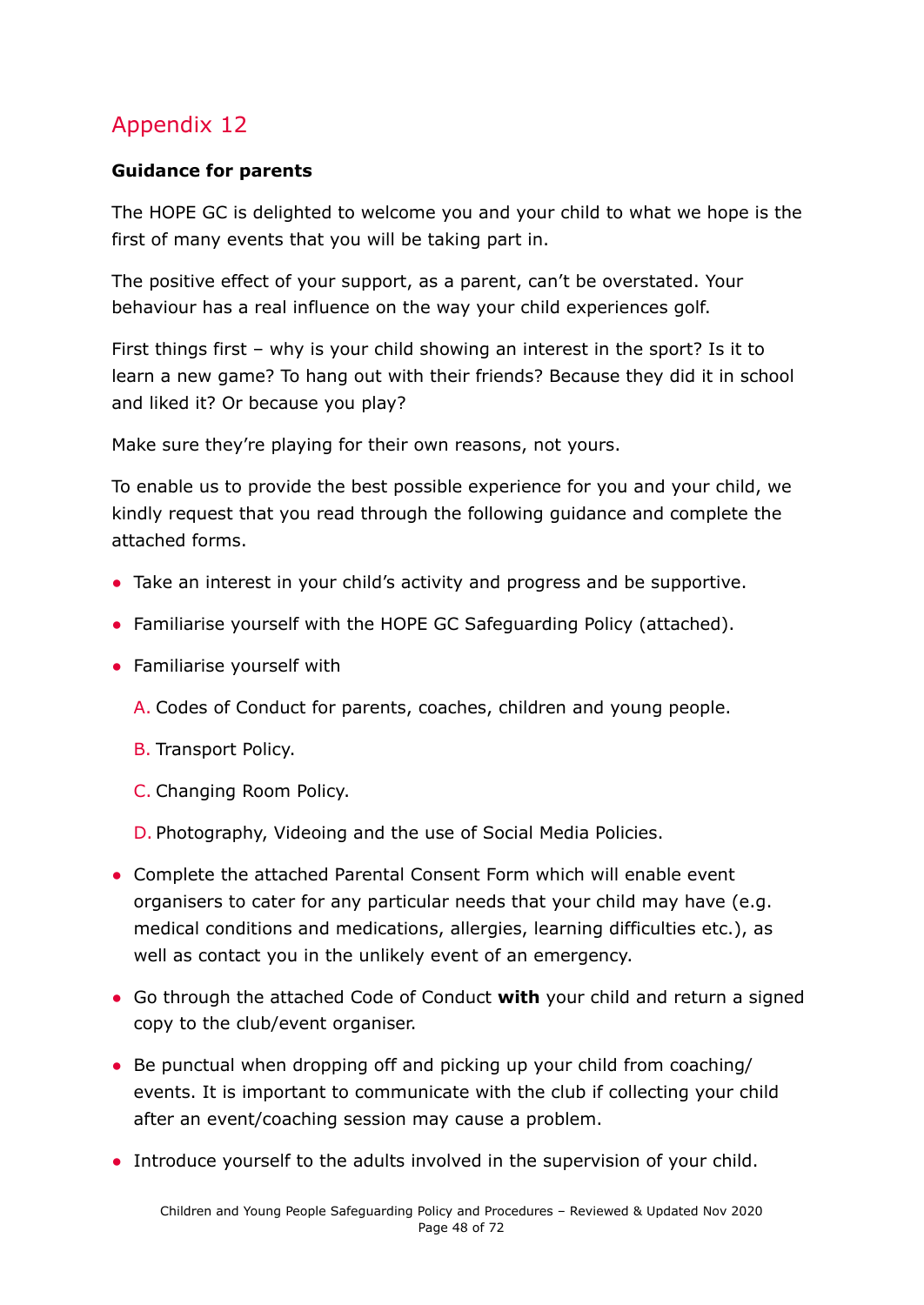### **Guidance for parents**

The HOPE GC is delighted to welcome you and your child to what we hope is the first of many events that you will be taking part in.

The positive effect of your support, as a parent, can't be overstated. Your behaviour has a real influence on the way your child experiences golf.

First things first – why is your child showing an interest in the sport? Is it to learn a new game? To hang out with their friends? Because they did it in school and liked it? Or because you play?

Make sure they're playing for their own reasons, not yours.

To enable us to provide the best possible experience for you and your child, we kindly request that you read through the following guidance and complete the attached forms.

- Take an interest in your child's activity and progress and be supportive.
- Familiarise yourself with the HOPE GC Safeguarding Policy (attached).
- Familiarise yourself with
	- A. Codes of Conduct for parents, coaches, children and young people.
	- B. Transport Policy.
	- C. Changing Room Policy.
	- D. Photography, Videoing and the use of Social Media Policies.
- Complete the attached Parental Consent Form which will enable event organisers to cater for any particular needs that your child may have (e.g. medical conditions and medications, allergies, learning difficulties etc.), as well as contact you in the unlikely event of an emergency.
- Go through the attached Code of Conduct **with** your child and return a signed copy to the club/event organiser.
- Be punctual when dropping off and picking up your child from coaching/ events. It is important to communicate with the club if collecting your child after an event/coaching session may cause a problem.
- Introduce yourself to the adults involved in the supervision of your child.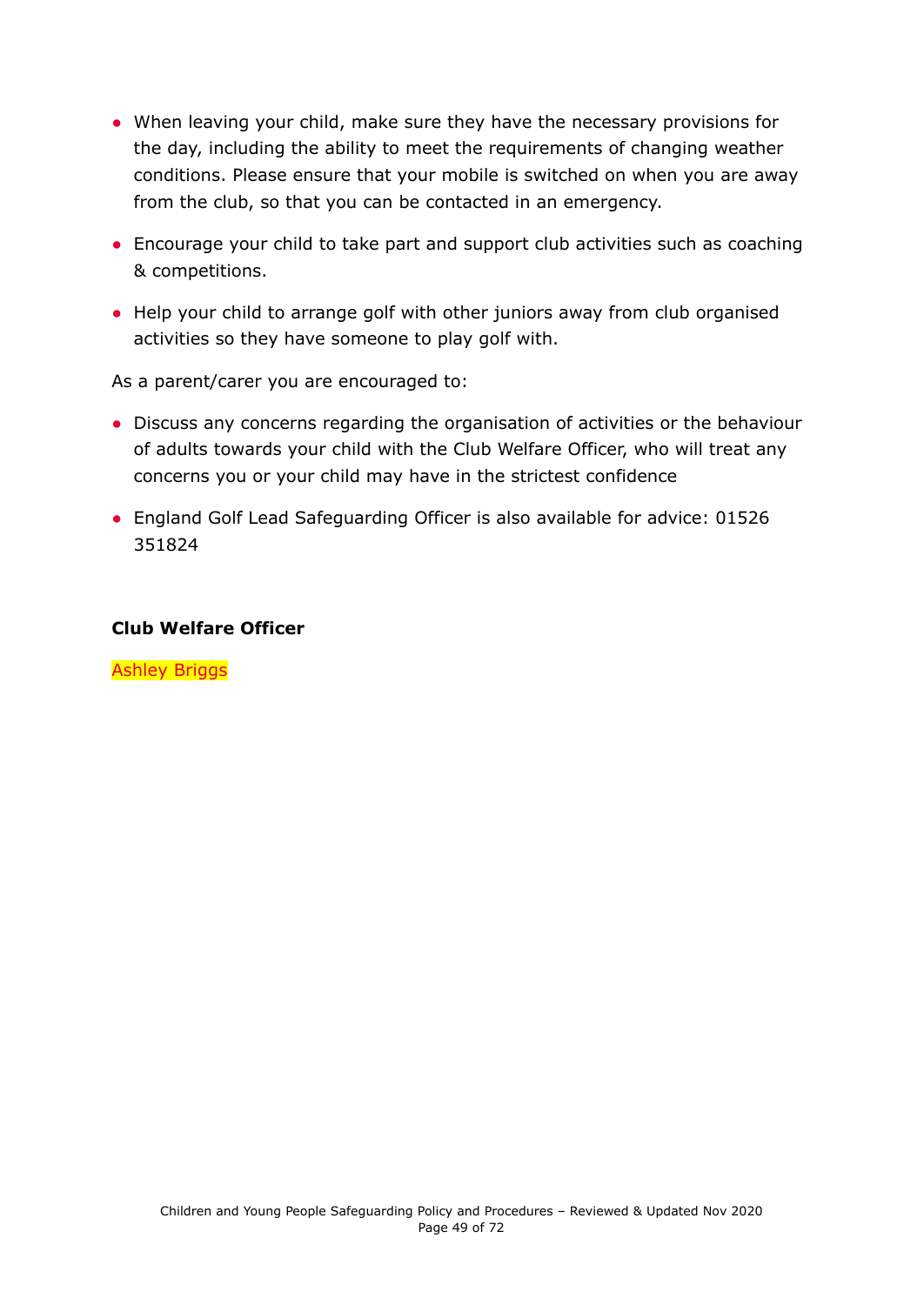- When leaving your child, make sure they have the necessary provisions for the day, including the ability to meet the requirements of changing weather conditions. Please ensure that your mobile is switched on when you are away from the club, so that you can be contacted in an emergency.
- Encourage your child to take part and support club activities such as coaching & competitions.
- Help your child to arrange golf with other juniors away from club organised activities so they have someone to play golf with.

As a parent/carer you are encouraged to:

- Discuss any concerns regarding the organisation of activities or the behaviour of adults towards your child with the Club Welfare Officer, who will treat any concerns you or your child may have in the strictest confidence
- England Golf Lead Safeguarding Officer is also available for advice: 01526 351824

#### **Club Welfare Officer**

**Ashley Briggs**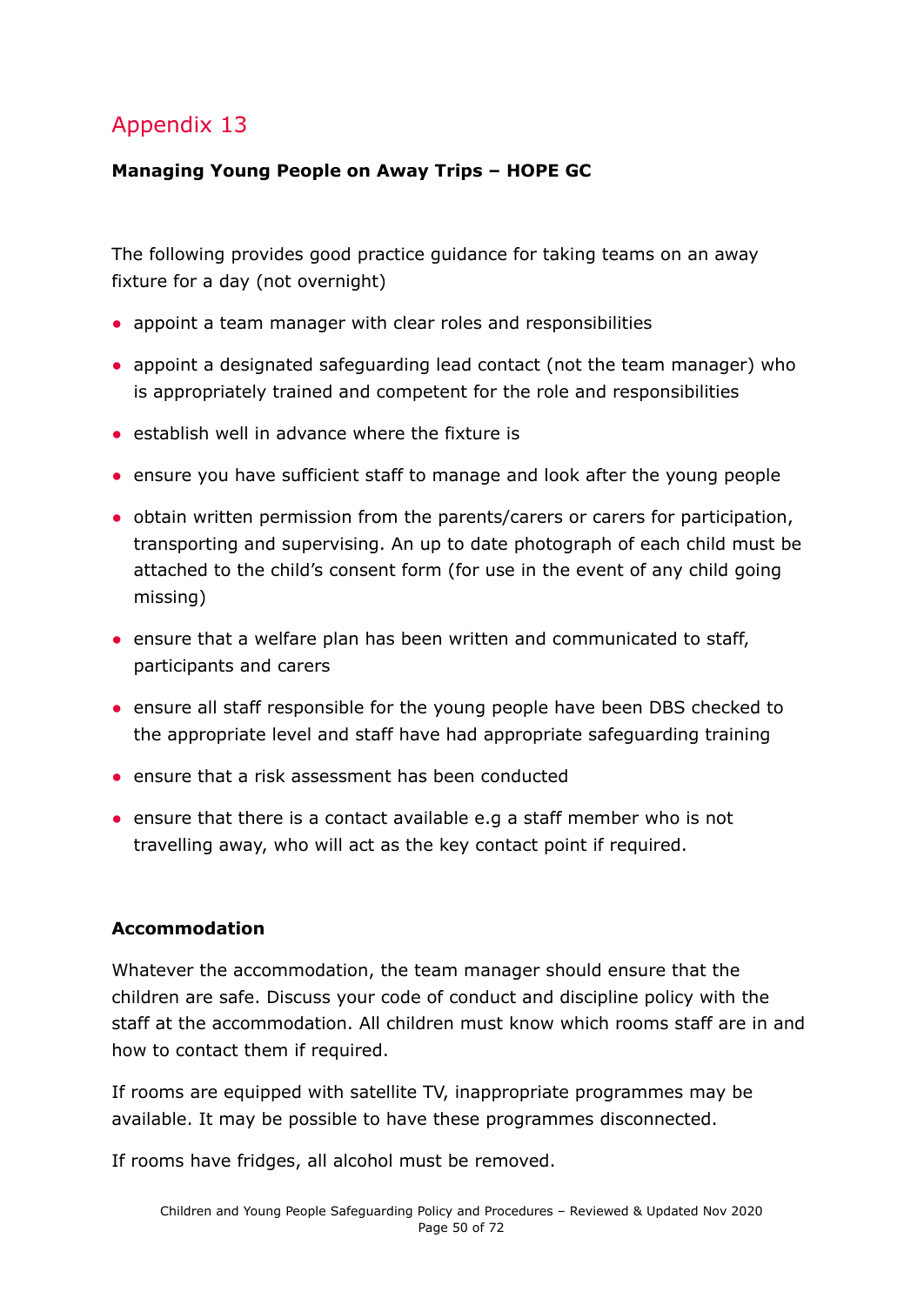## **Managing Young People on Away Trips – HOPE GC**

The following provides good practice guidance for taking teams on an away fixture for a day (not overnight)

- appoint a team manager with clear roles and responsibilities
- appoint a designated safeguarding lead contact (not the team manager) who is appropriately trained and competent for the role and responsibilities
- establish well in advance where the fixture is
- ensure you have sufficient staff to manage and look after the young people
- obtain written permission from the parents/carers or carers for participation, transporting and supervising. An up to date photograph of each child must be attached to the child's consent form (for use in the event of any child going missing)
- ensure that a welfare plan has been written and communicated to staff, participants and carers
- ensure all staff responsible for the young people have been DBS checked to the appropriate level and staff have had appropriate safeguarding training
- ensure that a risk assessment has been conducted
- ensure that there is a contact available e.g a staff member who is not travelling away, who will act as the key contact point if required.

### **Accommodation**

Whatever the accommodation, the team manager should ensure that the children are safe. Discuss your code of conduct and discipline policy with the staff at the accommodation. All children must know which rooms staff are in and how to contact them if required.

If rooms are equipped with satellite TV, inappropriate programmes may be available. It may be possible to have these programmes disconnected.

If rooms have fridges, all alcohol must be removed.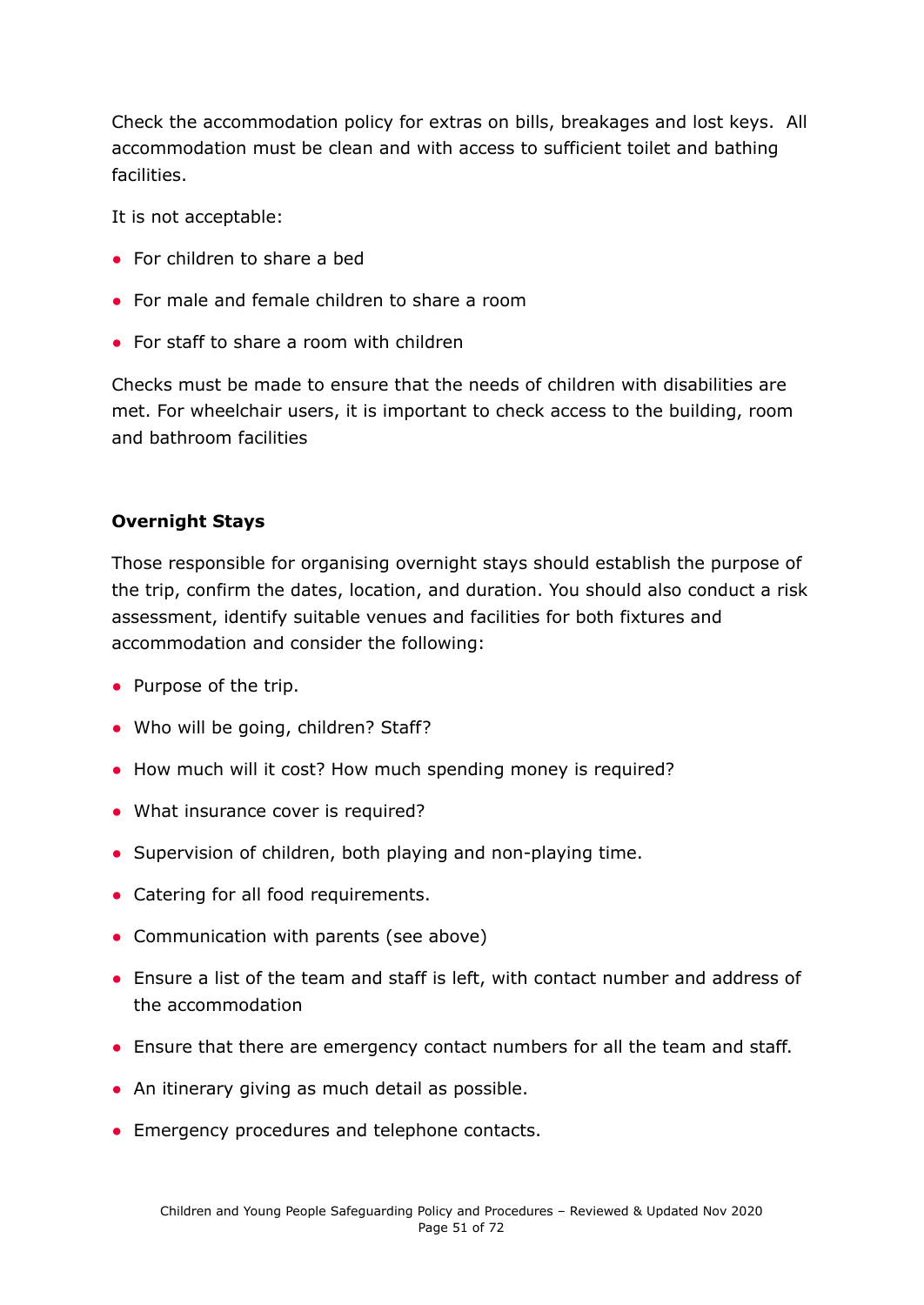Check the accommodation policy for extras on bills, breakages and lost keys. All accommodation must be clean and with access to sufficient toilet and bathing facilities.

It is not acceptable:

- For children to share a bed
- For male and female children to share a room
- For staff to share a room with children

Checks must be made to ensure that the needs of children with disabilities are met. For wheelchair users, it is important to check access to the building, room and bathroom facilities

#### **Overnight Stays**

Those responsible for organising overnight stays should establish the purpose of the trip, confirm the dates, location, and duration. You should also conduct a risk assessment, identify suitable venues and facilities for both fixtures and accommodation and consider the following:

- Purpose of the trip.
- Who will be going, children? Staff?
- How much will it cost? How much spending money is required?
- What insurance cover is required?
- Supervision of children, both playing and non-playing time.
- Catering for all food requirements.
- Communication with parents (see above)
- Ensure a list of the team and staff is left, with contact number and address of the accommodation
- Ensure that there are emergency contact numbers for all the team and staff.
- An itinerary giving as much detail as possible.
- Emergency procedures and telephone contacts.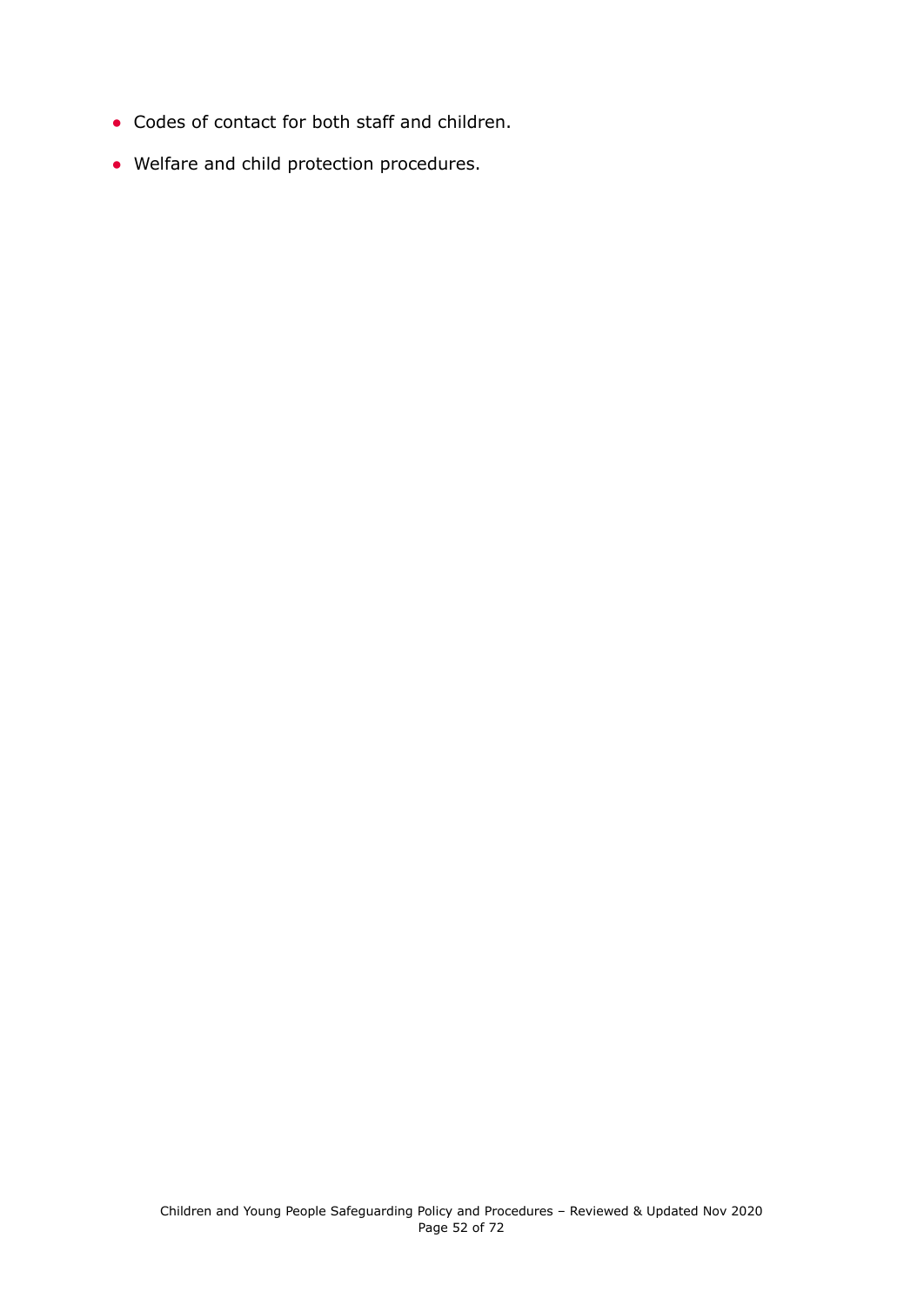- Codes of contact for both staff and children.
- Welfare and child protection procedures.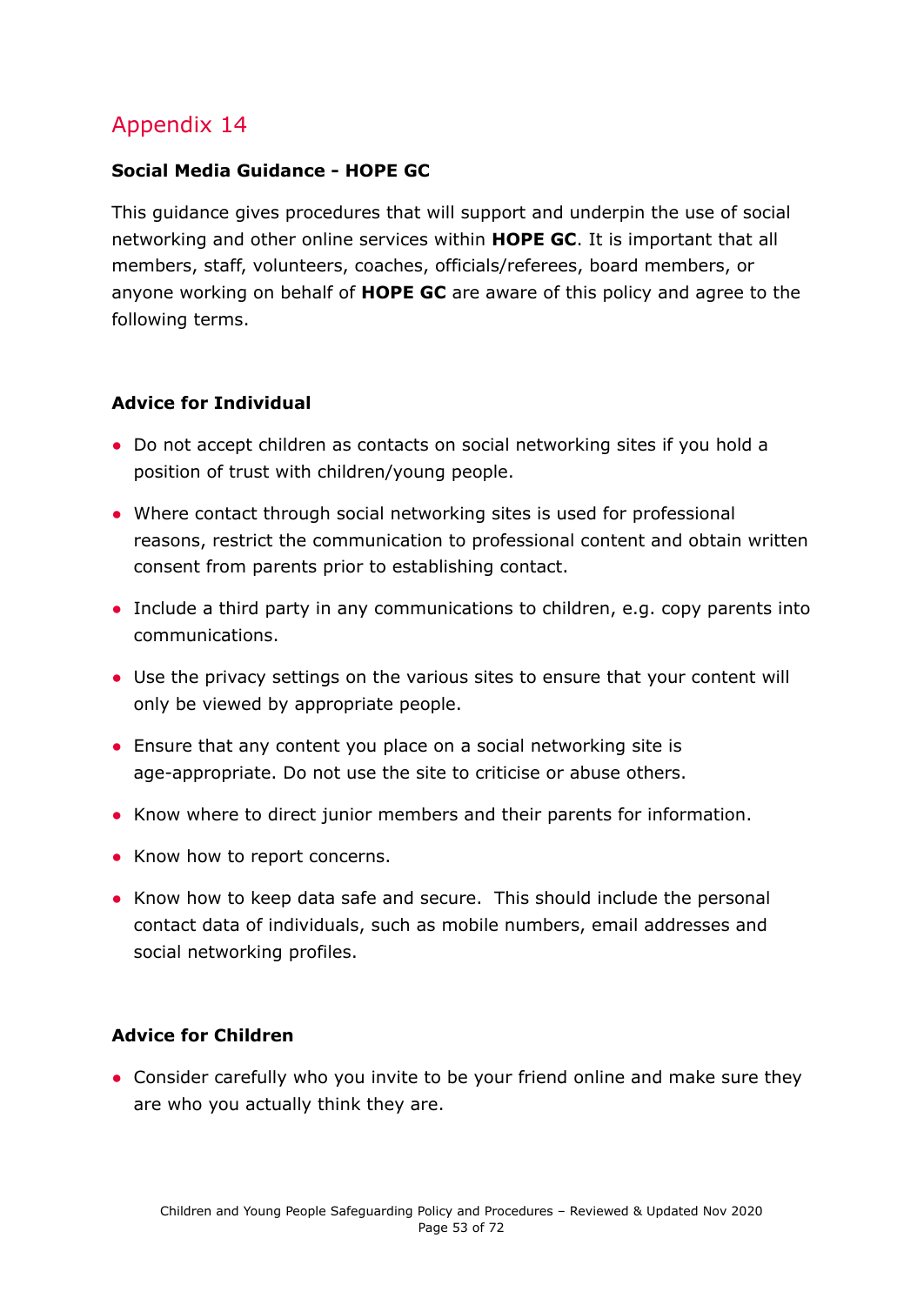### **Social Media Guidance - HOPE GC**

This guidance gives procedures that will support and underpin the use of social networking and other online services within **HOPE GC**. It is important that all members, staff, volunteers, coaches, officials/referees, board members, or anyone working on behalf of **HOPE GC** are aware of this policy and agree to the following terms.

#### **Advice for Individual**

- Do not accept children as contacts on social networking sites if you hold a position of trust with children/young people.
- Where contact through social networking sites is used for professional reasons, restrict the communication to professional content and obtain written consent from parents prior to establishing contact.
- Include a third party in any communications to children, e.g. copy parents into communications.
- Use the privacy settings on the various sites to ensure that your content will only be viewed by appropriate people.
- Ensure that any content you place on a social networking site is age-appropriate. Do not use the site to criticise or abuse others.
- Know where to direct junior members and their parents for information.
- Know how to report concerns.
- Know how to keep data safe and secure. This should include the personal contact data of individuals, such as mobile numbers, email addresses and social networking profiles.

#### **Advice for Children**

• Consider carefully who you invite to be your friend online and make sure they are who you actually think they are.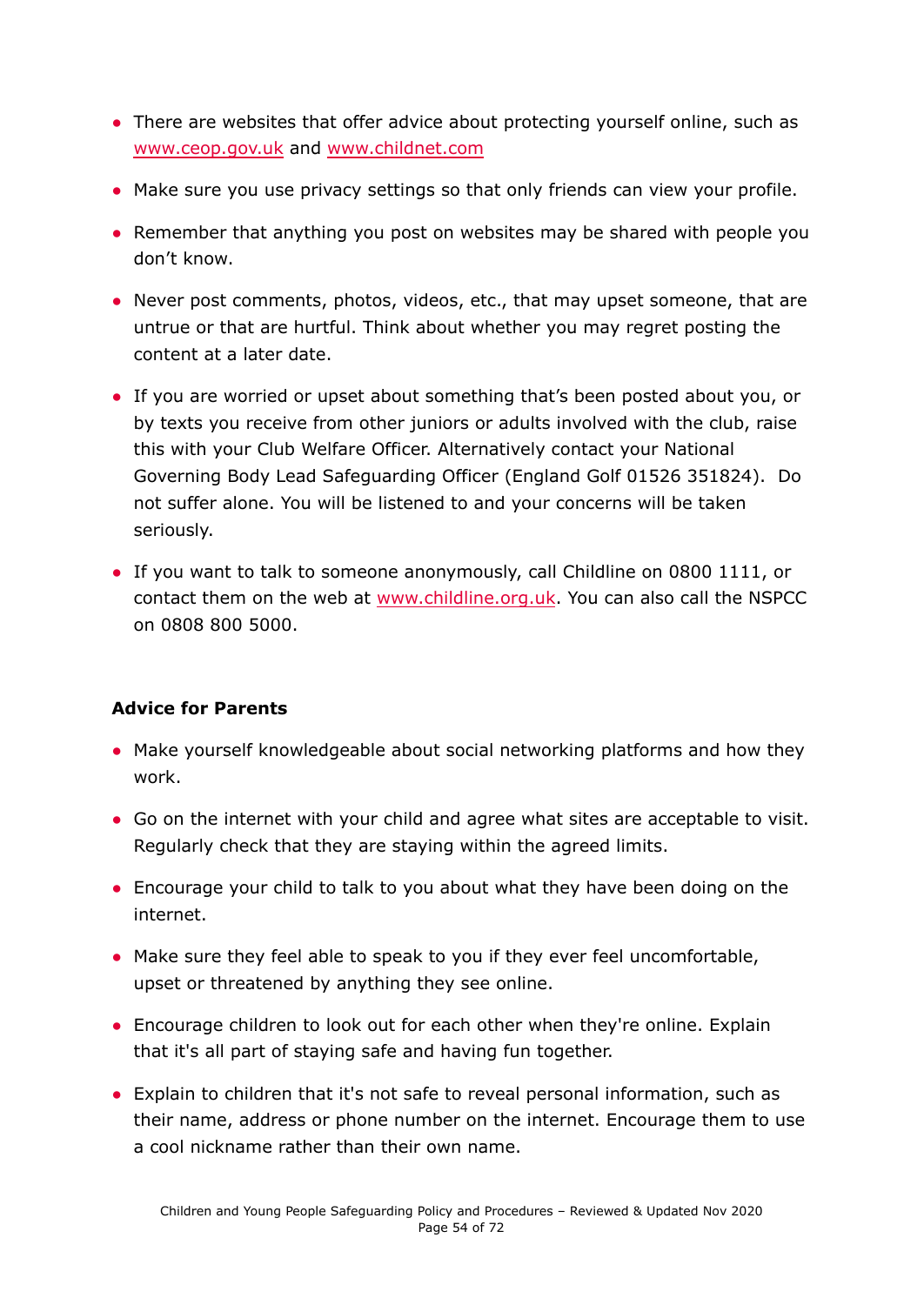- There are websites that offer advice about protecting yourself online, such as [www.ceop.gov.uk](http://www.ceop.gov.uk) and [www.childnet.com](http://www.childnet.com)
- Make sure you use privacy settings so that only friends can view your profile.
- Remember that anything you post on websites may be shared with people you don't know.
- Never post comments, photos, videos, etc., that may upset someone, that are untrue or that are hurtful. Think about whether you may regret posting the content at a later date.
- If you are worried or upset about something that's been posted about you, or by texts you receive from other juniors or adults involved with the club, raise this with your Club Welfare Officer. Alternatively contact your National Governing Body Lead Safeguarding Officer (England Golf 01526 351824). Do not suffer alone. You will be listened to and your concerns will be taken seriously.
- If you want to talk to someone anonymously, call Childline on 0800 1111, or contact them on the web at [www.childline.org.uk](http://www.childline.org.uk). You can also call the NSPCC on 0808 800 5000.

### **Advice for Parents**

- Make yourself knowledgeable about social networking platforms and how they work.
- Go on the internet with your child and agree what sites are acceptable to visit. Regularly check that they are staying within the agreed limits.
- Encourage your child to talk to you about what they have been doing on the internet.
- Make sure they feel able to speak to you if they ever feel uncomfortable, upset or threatened by anything they see online.
- Encourage children to look out for each other when they're online. Explain that it's all part of staying safe and having fun together.
- Explain to children that it's not safe to reveal personal information, such as their name, address or phone number on the internet. Encourage them to use a cool nickname rather than their own name.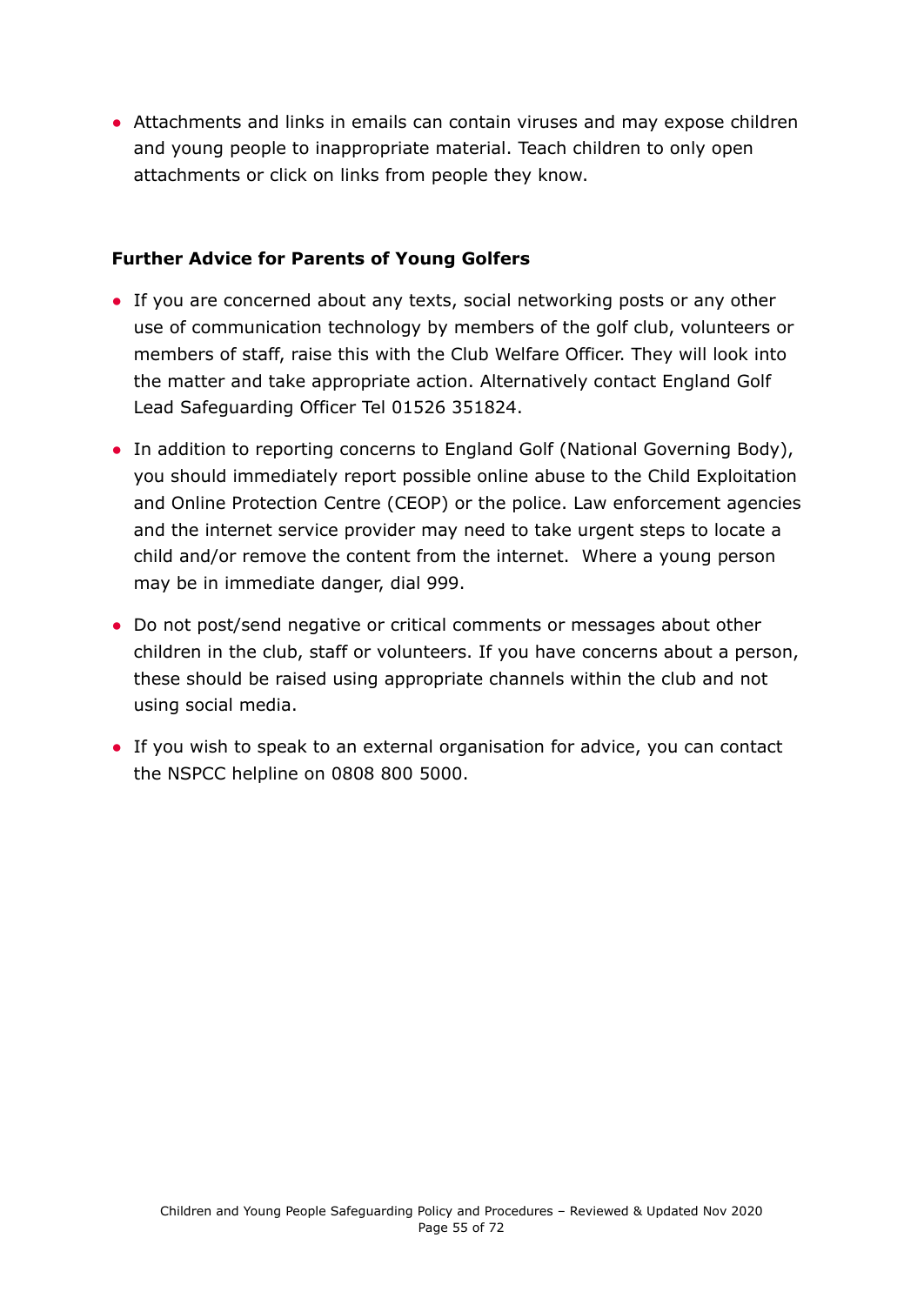• Attachments and links in emails can contain viruses and may expose children and young people to inappropriate material. Teach children to only open attachments or click on links from people they know.

#### **Further Advice for Parents of Young Golfers**

- If you are concerned about any texts, social networking posts or any other use of communication technology by members of the golf club, volunteers or members of staff, raise this with the Club Welfare Officer. They will look into the matter and take appropriate action. Alternatively contact England Golf Lead Safeguarding Officer Tel 01526 351824.
- In addition to reporting concerns to England Golf (National Governing Body), you should immediately report possible online abuse to the Child Exploitation and Online Protection Centre (CEOP) or the police. Law enforcement agencies and the internet service provider may need to take urgent steps to locate a child and/or remove the content from the internet. Where a young person may be in immediate danger, dial 999.
- Do not post/send negative or critical comments or messages about other children in the club, staff or volunteers. If you have concerns about a person, these should be raised using appropriate channels within the club and not using social media.
- If you wish to speak to an external organisation for advice, you can contact the NSPCC helpline on 0808 800 5000.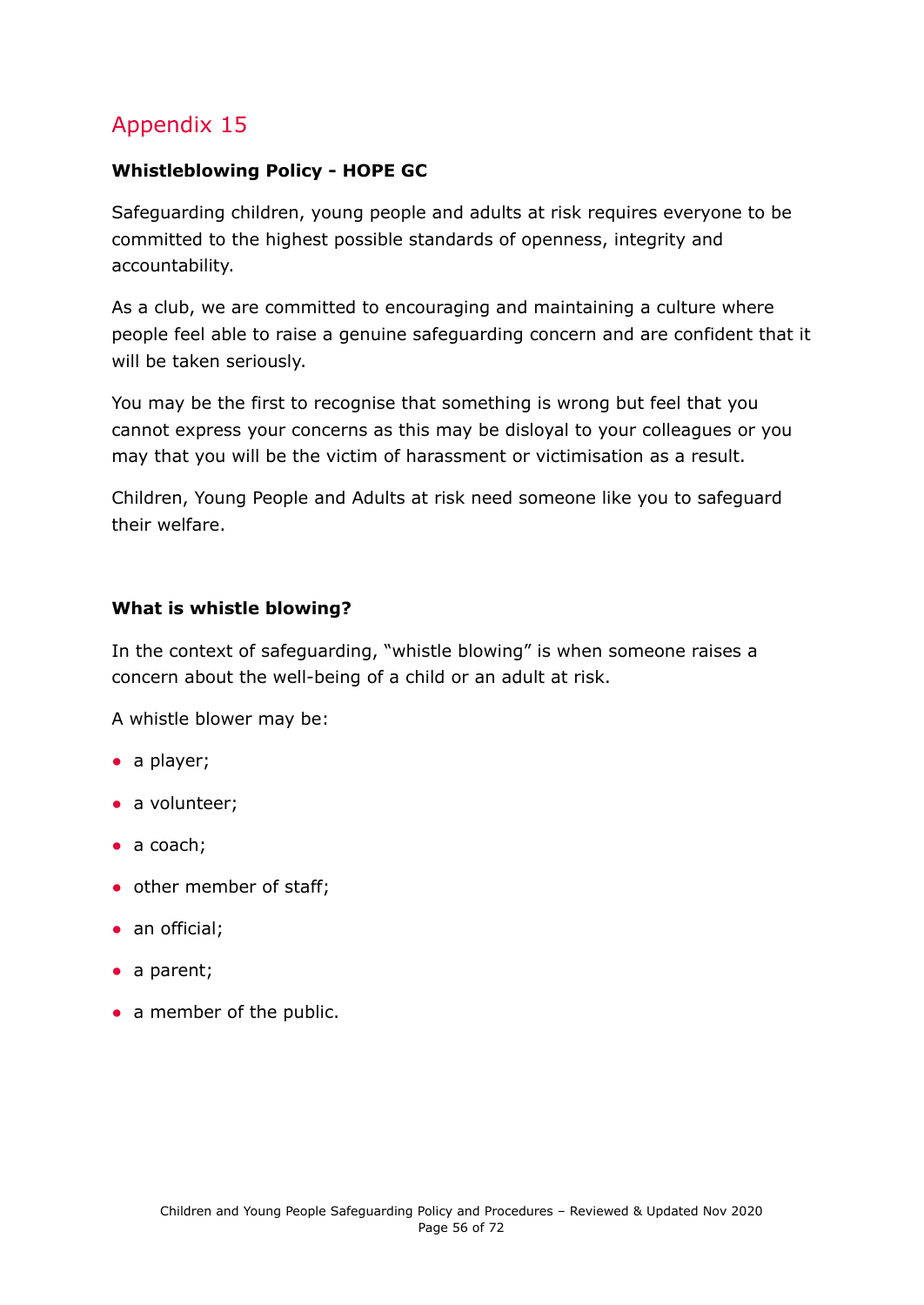### **Whistleblowing Policy - HOPE GC**

Safeguarding children, young people and adults at risk requires everyone to be committed to the highest possible standards of openness, integrity and accountability.

As a club, we are committed to encouraging and maintaining a culture where people feel able to raise a genuine safeguarding concern and are confident that it will be taken seriously.

You may be the first to recognise that something is wrong but feel that you cannot express your concerns as this may be disloyal to your colleagues or you may that you will be the victim of harassment or victimisation as a result.

Children, Young People and Adults at risk need someone like you to safeguard their welfare.

#### **What is whistle blowing?**

In the context of safeguarding, "whistle blowing" is when someone raises a concern about the well-being of a child or an adult at risk.

A whistle blower may be:

- a player;
- a volunteer;
- a coach;
- other member of staff;
- an official;
- a parent;
- a member of the public.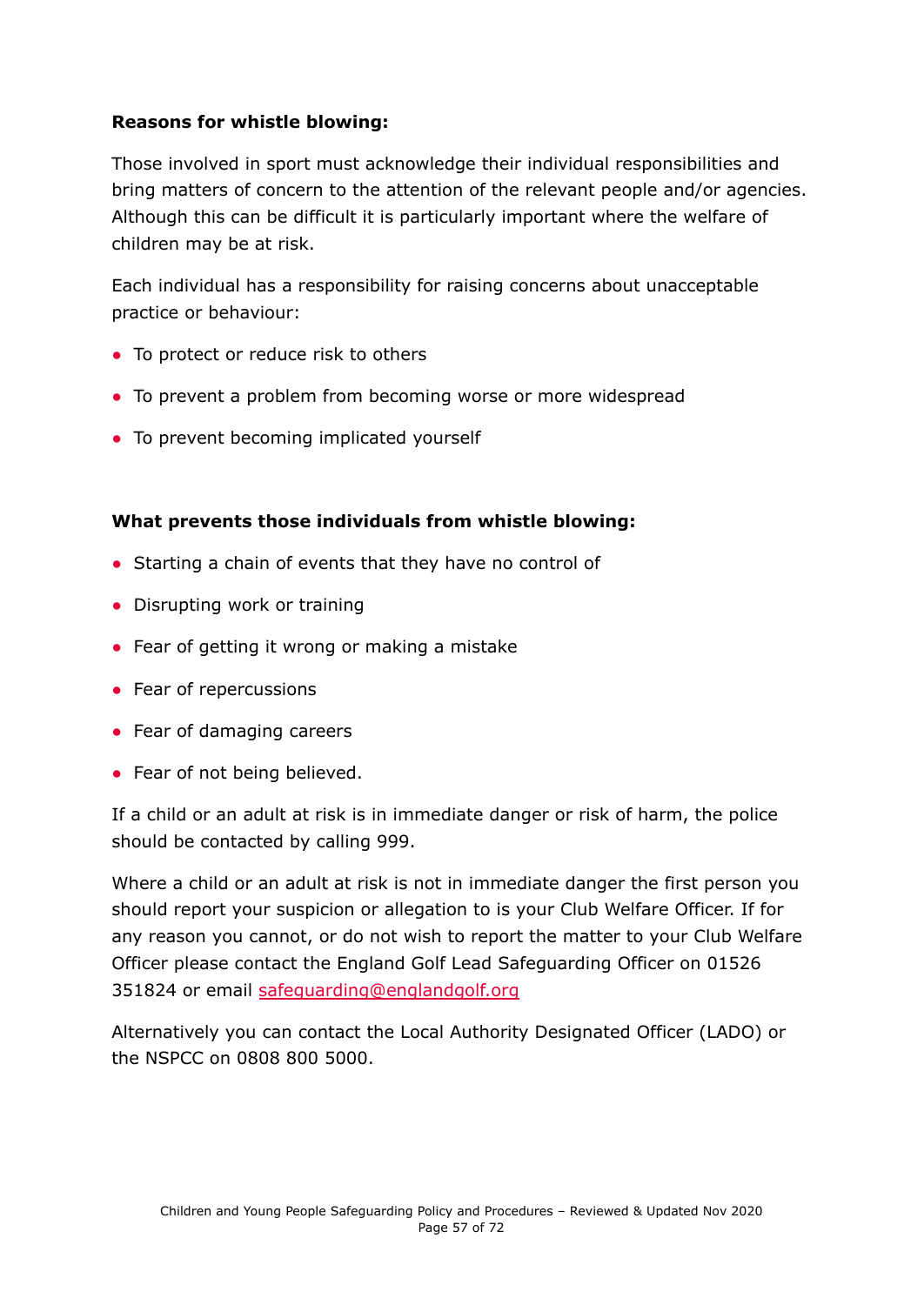#### **Reasons for whistle blowing:**

Those involved in sport must acknowledge their individual responsibilities and bring matters of concern to the attention of the relevant people and/or agencies. Although this can be difficult it is particularly important where the welfare of children may be at risk.

Each individual has a responsibility for raising concerns about unacceptable practice or behaviour:

- To protect or reduce risk to others
- To prevent a problem from becoming worse or more widespread
- To prevent becoming implicated yourself

#### **What prevents those individuals from whistle blowing:**

- Starting a chain of events that they have no control of
- Disrupting work or training
- Fear of getting it wrong or making a mistake
- Fear of repercussions
- Fear of damaging careers
- Fear of not being believed.

If a child or an adult at risk is in immediate danger or risk of harm, the police should be contacted by calling 999.

Where a child or an adult at risk is not in immediate danger the first person you should report your suspicion or allegation to is your Club Welfare Officer. If for any reason you cannot, or do not wish to report the matter to your Club Welfare Officer please contact the England Golf Lead Safeguarding Officer on 01526 351824 or email [safeguarding@englandgolf.org](mailto:safeguarding@englandgolf.org)

Alternatively you can contact the Local Authority Designated Officer (LADO) or the NSPCC on 0808 800 5000.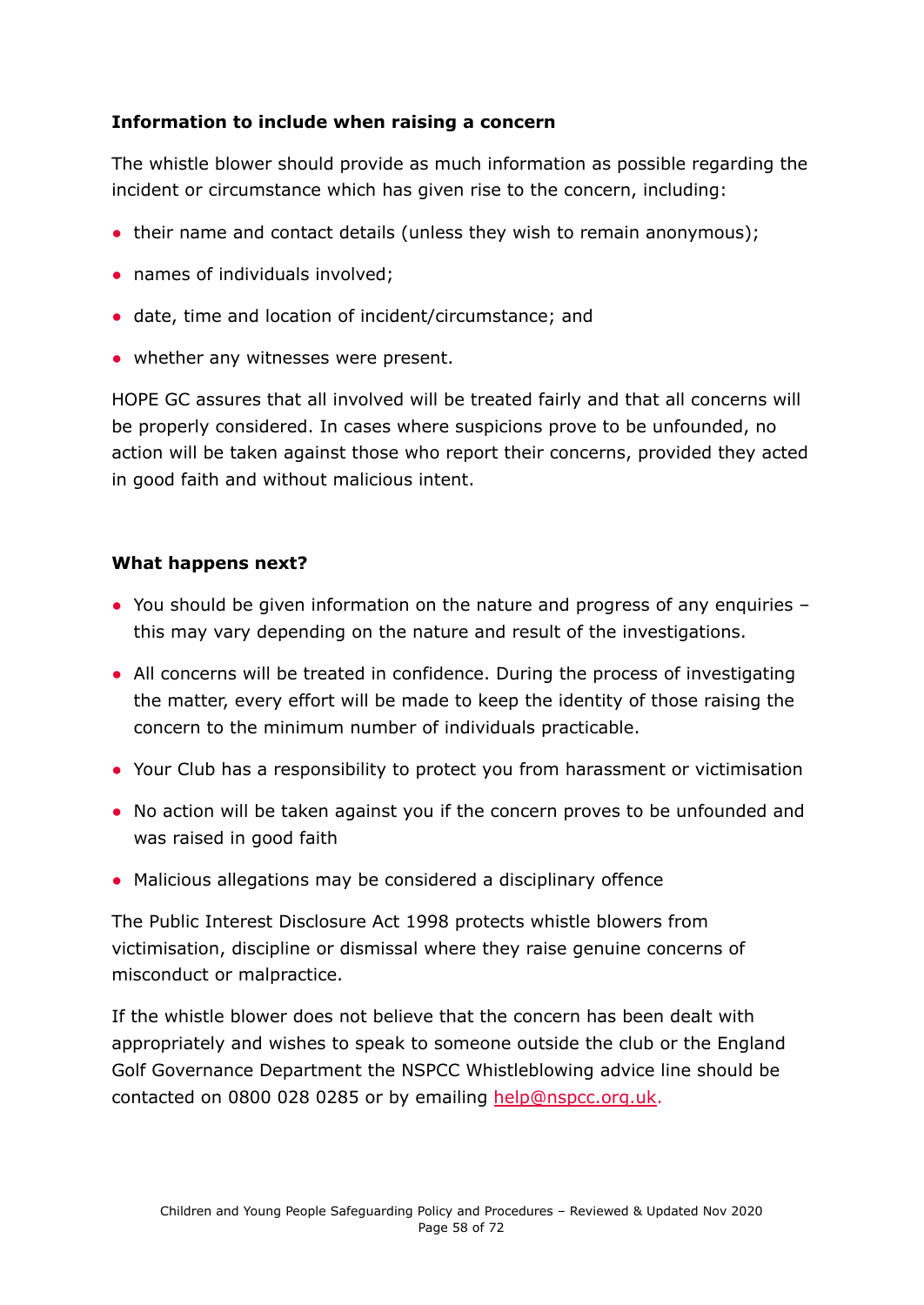#### **Information to include when raising a concern**

The whistle blower should provide as much information as possible regarding the incident or circumstance which has given rise to the concern, including:

- their name and contact details (unless they wish to remain anonymous);
- names of individuals involved;
- date, time and location of incident/circumstance; and
- whether any witnesses were present.

HOPE GC assures that all involved will be treated fairly and that all concerns will be properly considered. In cases where suspicions prove to be unfounded, no action will be taken against those who report their concerns, provided they acted in good faith and without malicious intent.

#### **What happens next?**

- $\bullet$  You should be given information on the nature and progress of any enguiries this may vary depending on the nature and result of the investigations.
- All concerns will be treated in confidence. During the process of investigating the matter, every effort will be made to keep the identity of those raising the concern to the minimum number of individuals practicable.
- Your Club has a responsibility to protect you from harassment or victimisation
- No action will be taken against you if the concern proves to be unfounded and was raised in good faith
- Malicious allegations may be considered a disciplinary offence

The Public Interest Disclosure Act 1998 protects whistle blowers from victimisation, discipline or dismissal where they raise genuine concerns of misconduct or malpractice.

If the whistle blower does not believe that the concern has been dealt with appropriately and wishes to speak to someone outside the club or the England Golf Governance Department the NSPCC Whistleblowing advice line should be contacted on 0800 028 0285 or by emailing [help@nspcc.org.uk.](mailto:help@nspcc.org.uk)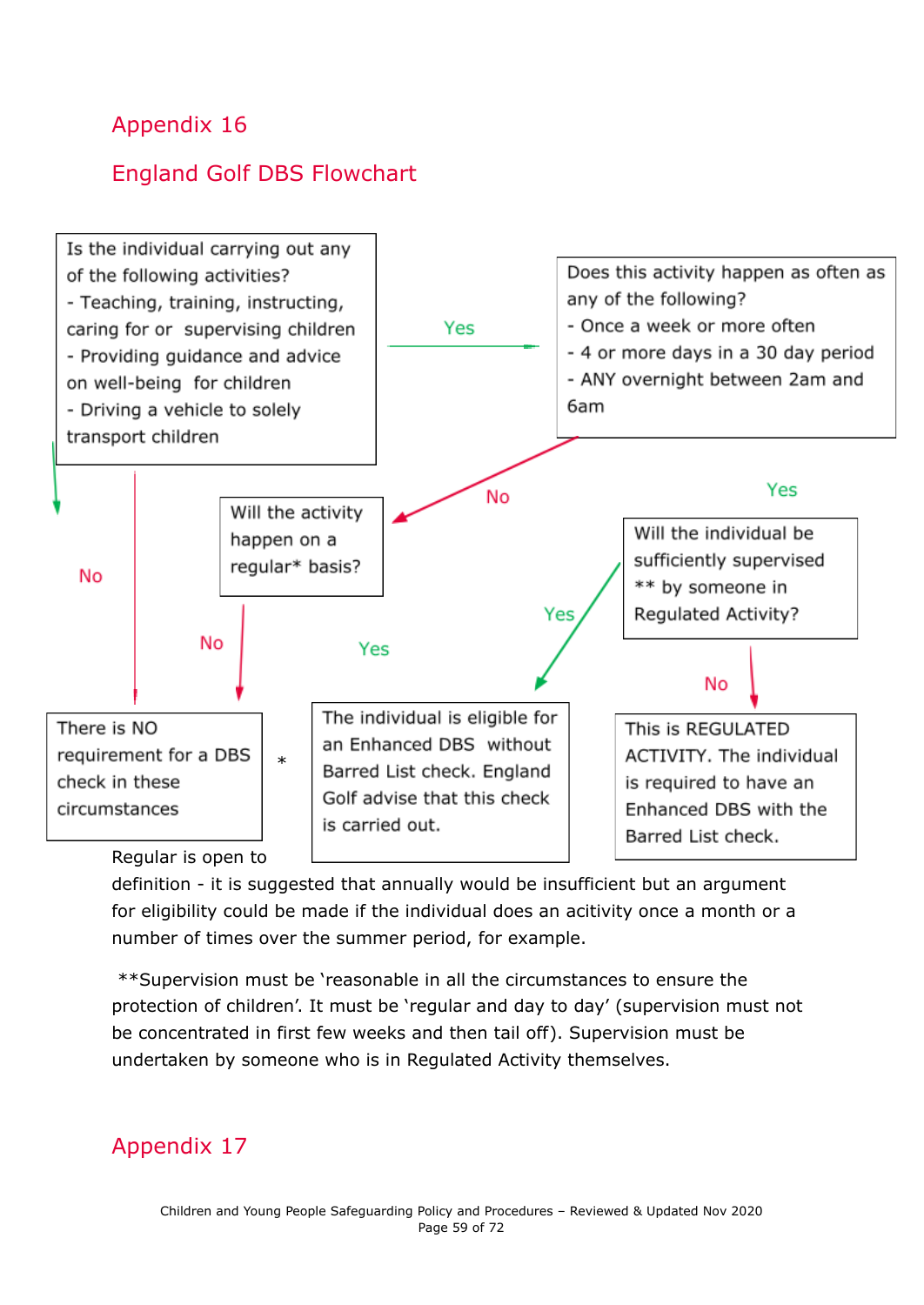## England Golf DBS Flowchart



definition - it is suggested that annually would be insufficient but an argument for eligibility could be made if the individual does an acitivity once a month or a number of times over the summer period, for example.

\*\*Supervision must be 'reasonable in all the circumstances to ensure the protection of children'. It must be 'regular and day to day' (supervision must not be concentrated in first few weeks and then tail off). Supervision must be undertaken by someone who is in Regulated Activity themselves.

# Appendix 17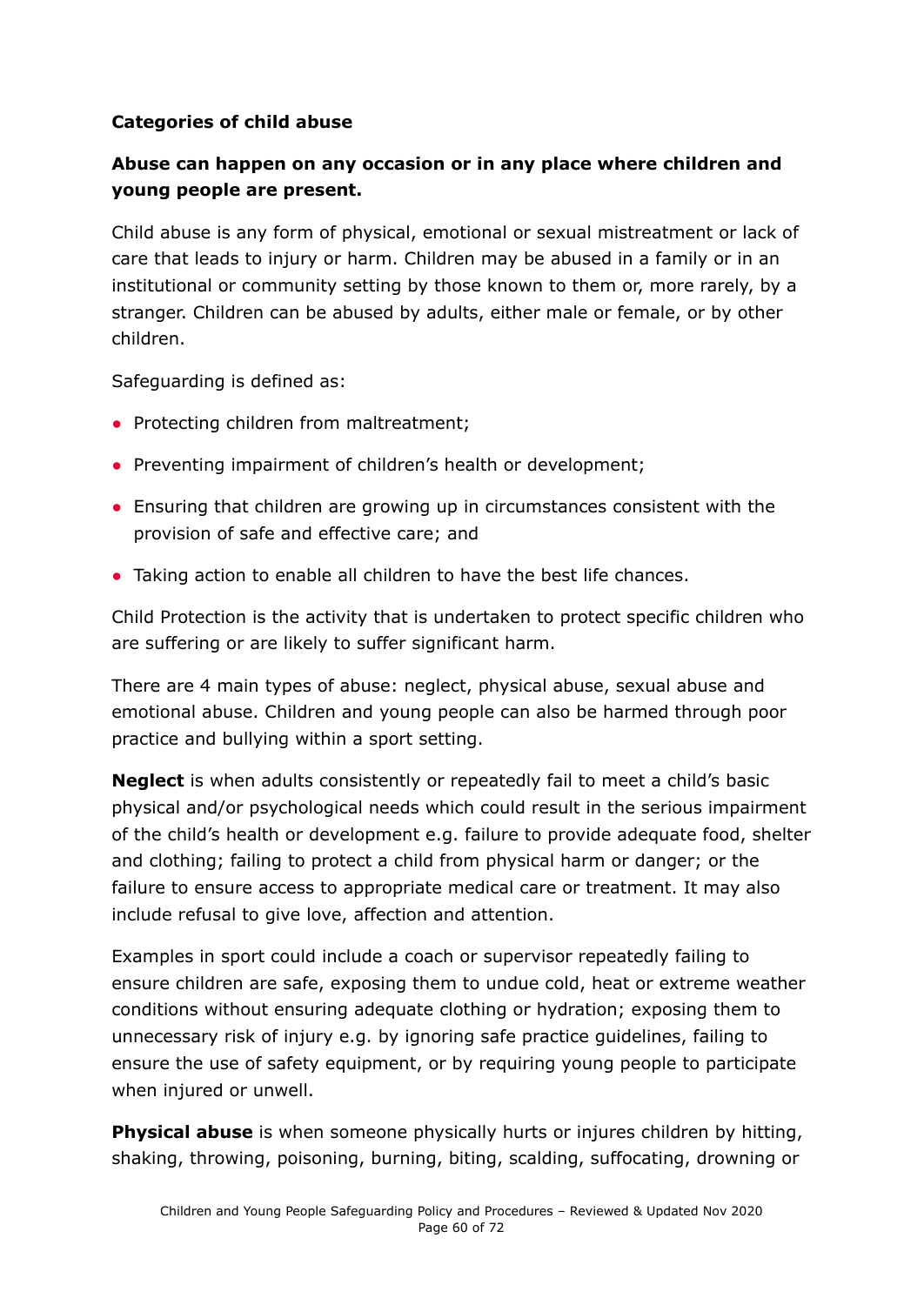### **Categories of child abuse**

## **Abuse can happen on any occasion or in any place where children and young people are present.**

Child abuse is any form of physical, emotional or sexual mistreatment or lack of care that leads to injury or harm. Children may be abused in a family or in an institutional or community setting by those known to them or, more rarely, by a stranger. Children can be abused by adults, either male or female, or by other children.

Safeguarding is defined as:

- Protecting children from maltreatment;
- Preventing impairment of children's health or development;
- Ensuring that children are growing up in circumstances consistent with the provision of safe and effective care; and
- Taking action to enable all children to have the best life chances.

Child Protection is the activity that is undertaken to protect specific children who are suffering or are likely to suffer significant harm.

There are 4 main types of abuse: neglect, physical abuse, sexual abuse and emotional abuse. Children and young people can also be harmed through poor practice and bullying within a sport setting.

**Neglect** is when adults consistently or repeatedly fail to meet a child's basic physical and/or psychological needs which could result in the serious impairment of the child's health or development e.g. failure to provide adequate food, shelter and clothing; failing to protect a child from physical harm or danger; or the failure to ensure access to appropriate medical care or treatment. It may also include refusal to give love, affection and attention.

Examples in sport could include a coach or supervisor repeatedly failing to ensure children are safe, exposing them to undue cold, heat or extreme weather conditions without ensuring adequate clothing or hydration; exposing them to unnecessary risk of injury e.g. by ignoring safe practice guidelines, failing to ensure the use of safety equipment, or by requiring young people to participate when injured or unwell.

**Physical abuse** is when someone physically hurts or injures children by hitting, shaking, throwing, poisoning, burning, biting, scalding, suffocating, drowning or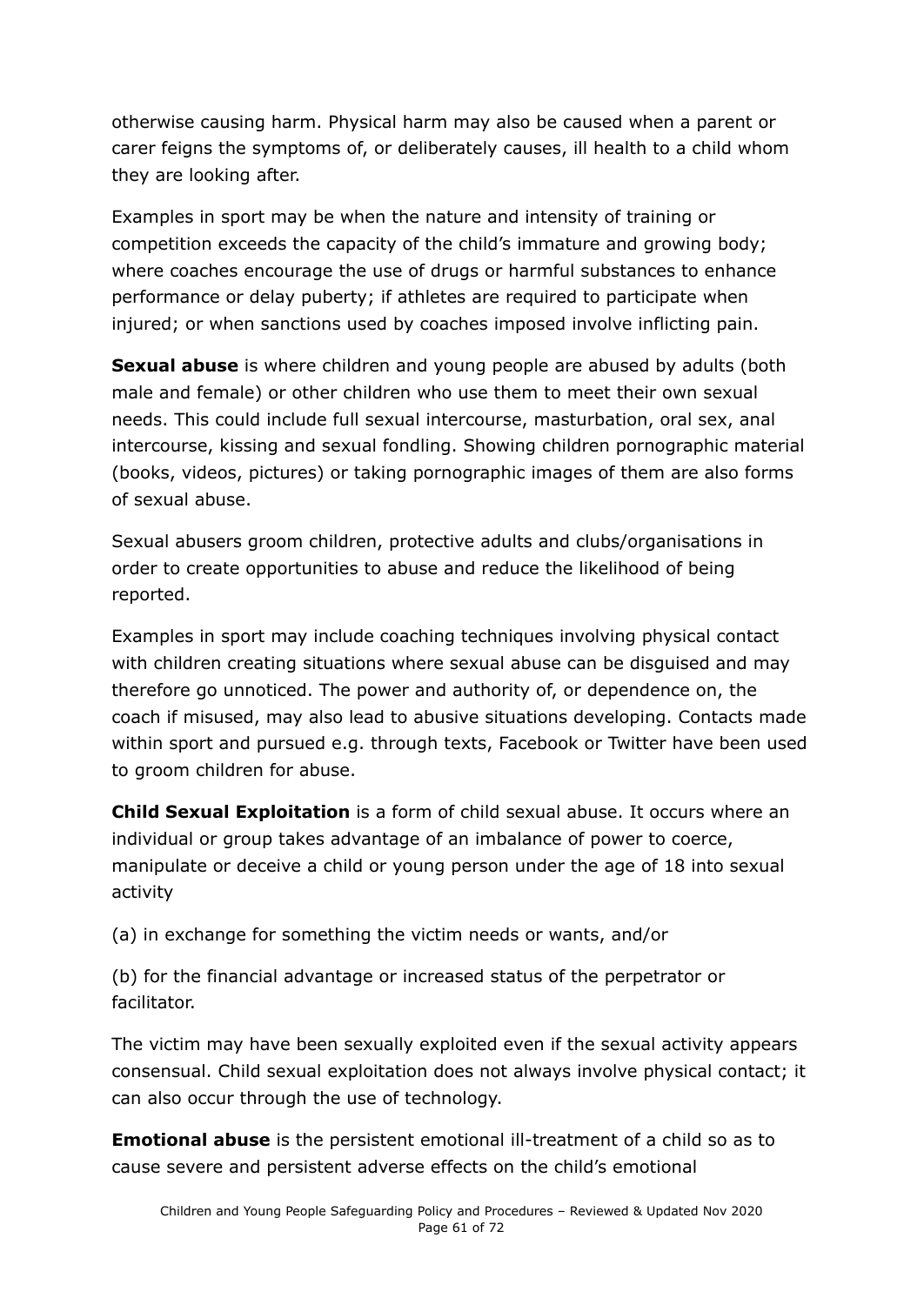otherwise causing harm. Physical harm may also be caused when a parent or carer feigns the symptoms of, or deliberately causes, ill health to a child whom they are looking after.

Examples in sport may be when the nature and intensity of training or competition exceeds the capacity of the child's immature and growing body; where coaches encourage the use of drugs or harmful substances to enhance performance or delay puberty; if athletes are required to participate when injured; or when sanctions used by coaches imposed involve inflicting pain.

**Sexual abuse** is where children and young people are abused by adults (both male and female) or other children who use them to meet their own sexual needs. This could include full sexual intercourse, masturbation, oral sex, anal intercourse, kissing and sexual fondling. Showing children pornographic material (books, videos, pictures) or taking pornographic images of them are also forms of sexual abuse.

Sexual abusers groom children, protective adults and clubs/organisations in order to create opportunities to abuse and reduce the likelihood of being reported.

Examples in sport may include coaching techniques involving physical contact with children creating situations where sexual abuse can be disguised and may therefore go unnoticed. The power and authority of, or dependence on, the coach if misused, may also lead to abusive situations developing. Contacts made within sport and pursued e.g. through texts, Facebook or Twitter have been used to groom children for abuse.

**Child Sexual Exploitation** is a form of child sexual abuse. It occurs where an individual or group takes advantage of an imbalance of power to coerce, manipulate or deceive a child or young person under the age of 18 into sexual activity

(a) in exchange for something the victim needs or wants, and/or

(b) for the financial advantage or increased status of the perpetrator or facilitator.

The victim may have been sexually exploited even if the sexual activity appears consensual. Child sexual exploitation does not always involve physical contact; it can also occur through the use of technology.

**Emotional abuse** is the persistent emotional ill-treatment of a child so as to cause severe and persistent adverse effects on the child's emotional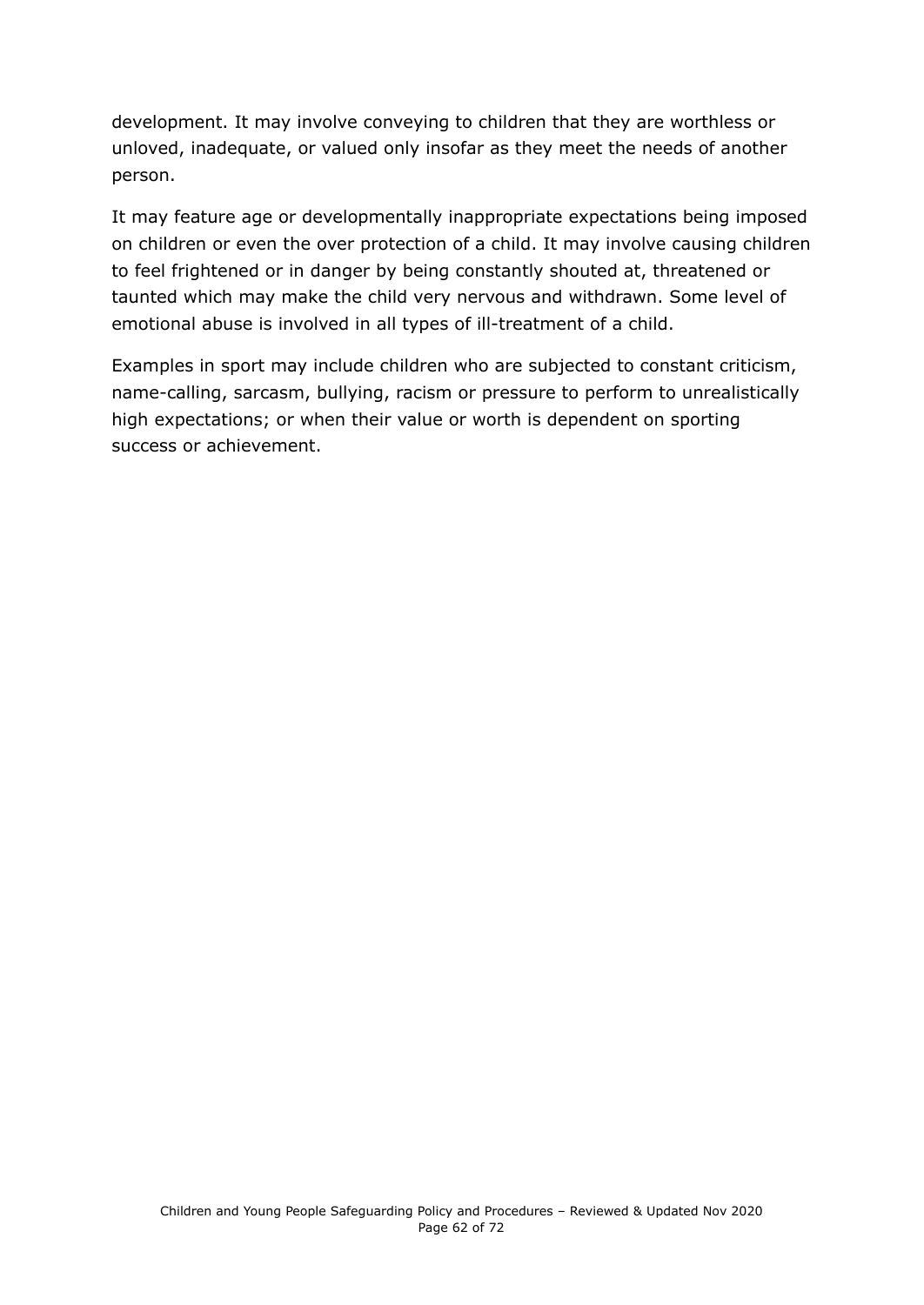development. It may involve conveying to children that they are worthless or unloved, inadequate, or valued only insofar as they meet the needs of another person.

It may feature age or developmentally inappropriate expectations being imposed on children or even the over protection of a child. It may involve causing children to feel frightened or in danger by being constantly shouted at, threatened or taunted which may make the child very nervous and withdrawn. Some level of emotional abuse is involved in all types of ill-treatment of a child.

Examples in sport may include children who are subjected to constant criticism, name-calling, sarcasm, bullying, racism or pressure to perform to unrealistically high expectations; or when their value or worth is dependent on sporting success or achievement.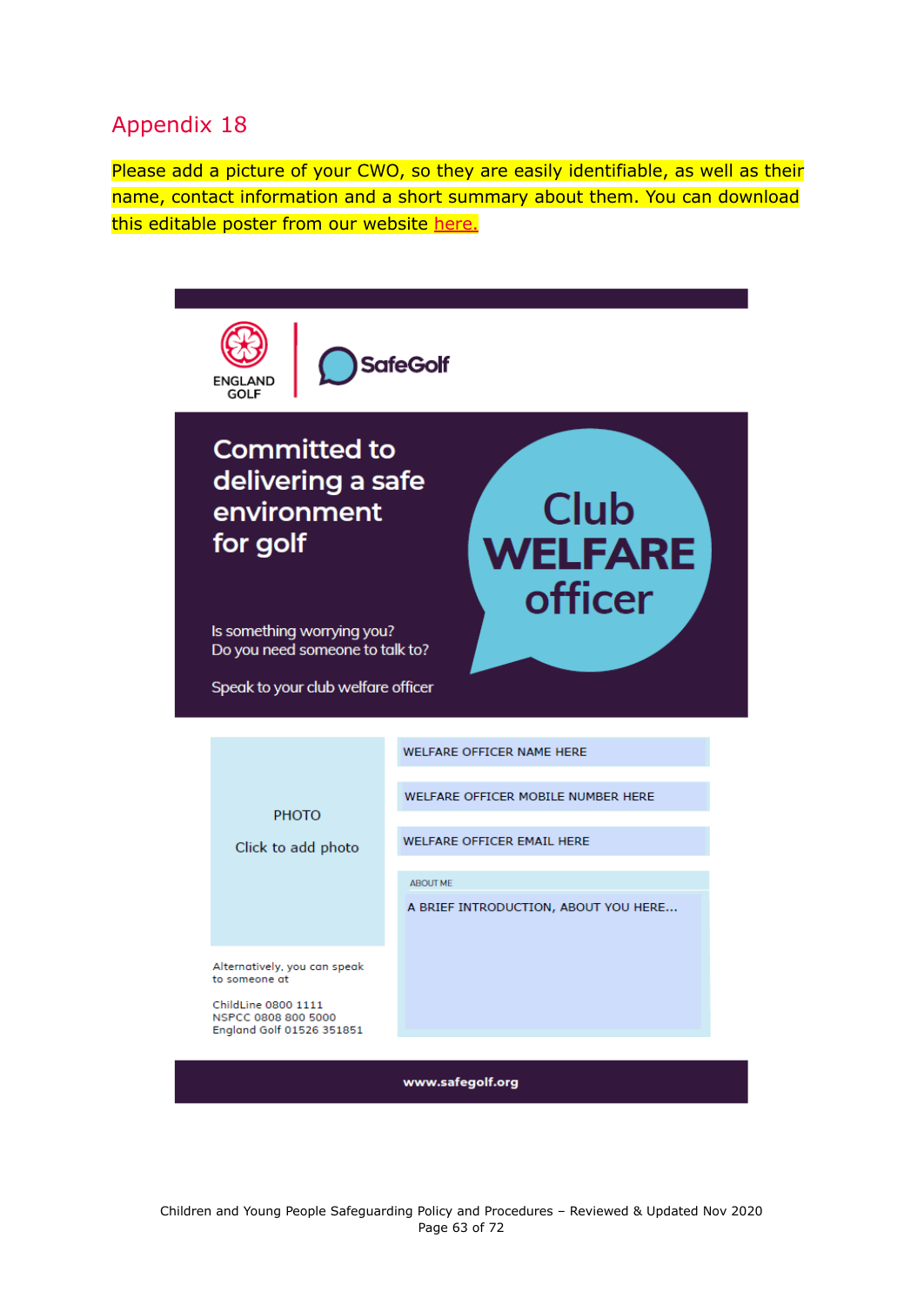Please add a picture of your CWO, so they are easily identifiable, as well as their name, contact information and a short summary about them. You can download this editable poster from our website [here.](https://www.englandgolf.org/download/club-welfare-officer-editable-poster/)

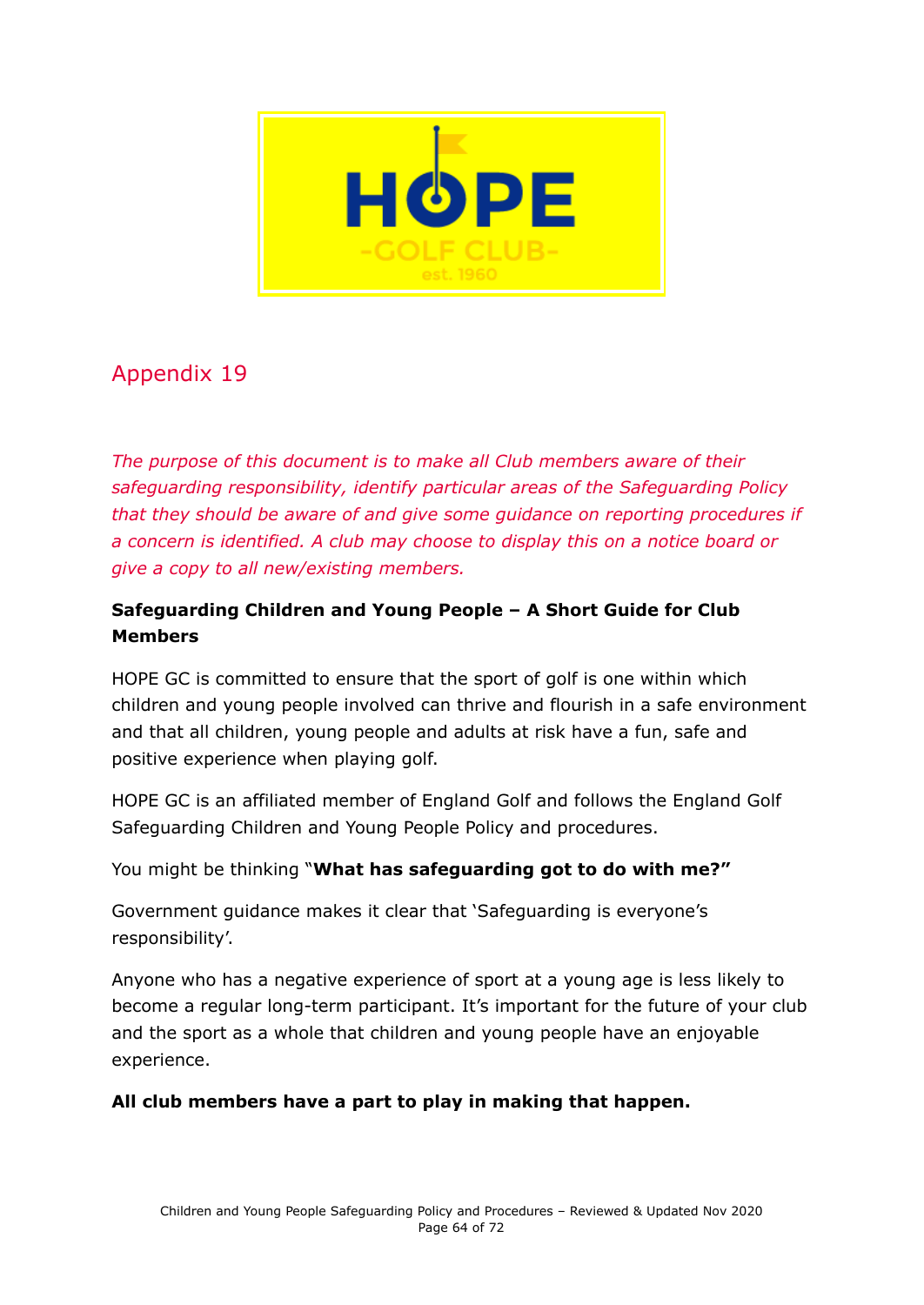

*The purpose of this document is to make all Club members aware of their safeguarding responsibility, identify particular areas of the Safeguarding Policy that they should be aware of and give some guidance on reporting procedures if a concern is identified. A club may choose to display this on a notice board or give a copy to all new/existing members.*

## **Safeguarding Children and Young People – A Short Guide for Club Members**

HOPE GC is committed to ensure that the sport of golf is one within which children and young people involved can thrive and flourish in a safe environment and that all children, young people and adults at risk have a fun, safe and positive experience when playing golf.

HOPE GC is an affiliated member of England Golf and follows the England Golf Safeguarding Children and Young People Policy and procedures.

You might be thinking "**What has safeguarding got to do with me?"**

Government guidance makes it clear that 'Safeguarding is everyone's responsibility'.

Anyone who has a negative experience of sport at a young age is less likely to become a regular long-term participant. It's important for the future of your club and the sport as a whole that children and young people have an enjoyable experience.

### **All club members have a part to play in making that happen.**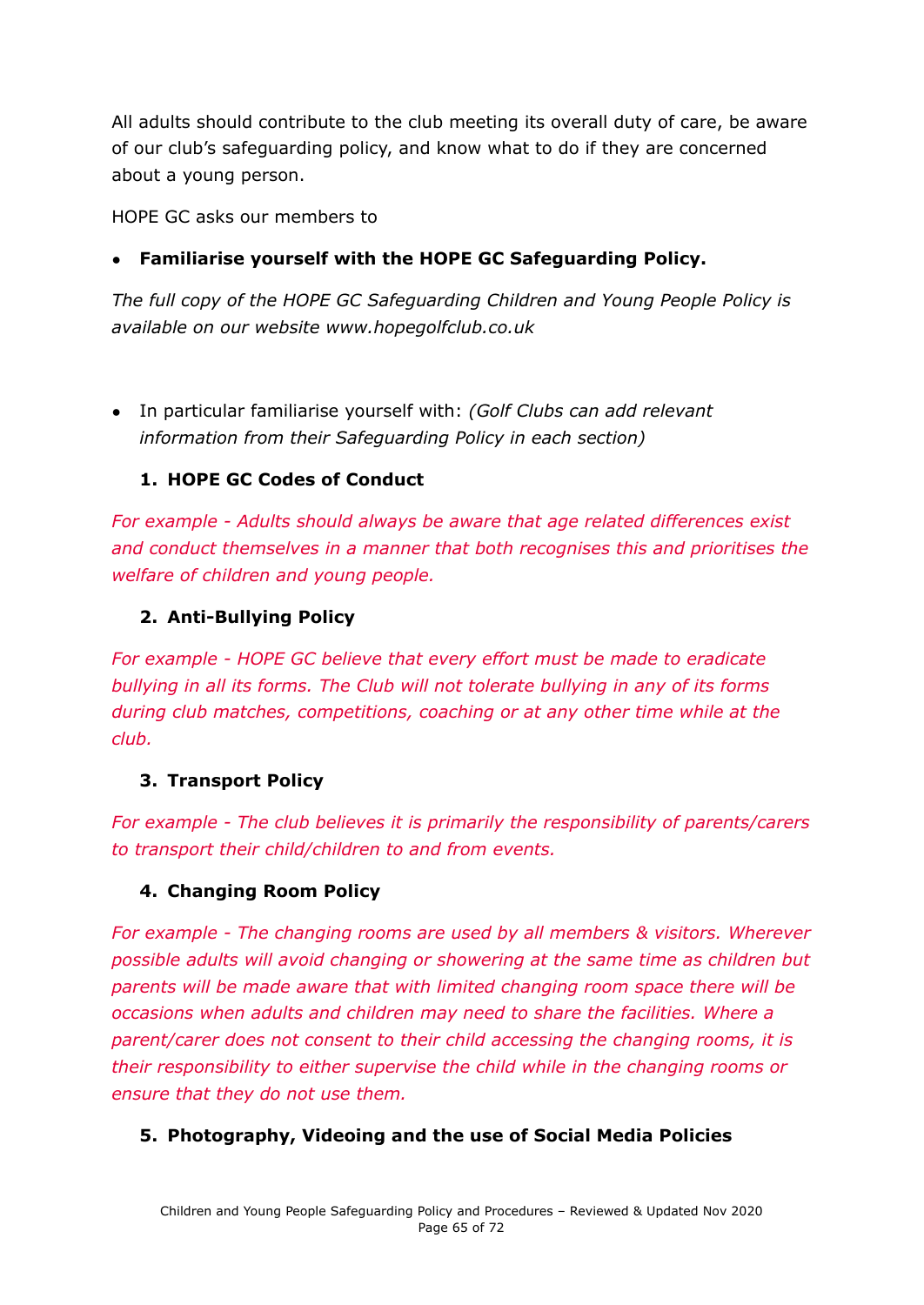All adults should contribute to the club meeting its overall duty of care, be aware of our club's safeguarding policy, and know what to do if they are concerned about a young person.

HOPE GC asks our members to

### **● Familiarise yourself with the HOPE GC Safeguarding Policy.**

*The full copy of the HOPE GC Safeguarding Children and Young People Policy is available on our website www.hopegolfclub.co.uk*

● In particular familiarise yourself with: *(Golf Clubs can add relevant information from their Safeguarding Policy in each section)*

#### **1. HOPE GC Codes of Conduct**

*For example - Adults should always be aware that age related differences exist and conduct themselves in a manner that both recognises this and prioritises the welfare of children and young people.*

#### **2. Anti-Bullying Policy**

*For example - HOPE GC believe that every effort must be made to eradicate bullying in all its forms. The Club will not tolerate bullying in any of its forms during club matches, competitions, coaching or at any other time while at the club.*

#### **3. Transport Policy**

*For example - The club believes it is primarily the responsibility of parents/carers to transport their child/children to and from events.*

#### **4. Changing Room Policy**

*For example - The changing rooms are used by all members & visitors. Wherever possible adults will avoid changing or showering at the same time as children but parents will be made aware that with limited changing room space there will be occasions when adults and children may need to share the facilities. Where a parent/carer does not consent to their child accessing the changing rooms, it is their responsibility to either supervise the child while in the changing rooms or ensure that they do not use them.*

#### **5. Photography, Videoing and the use of Social Media Policies**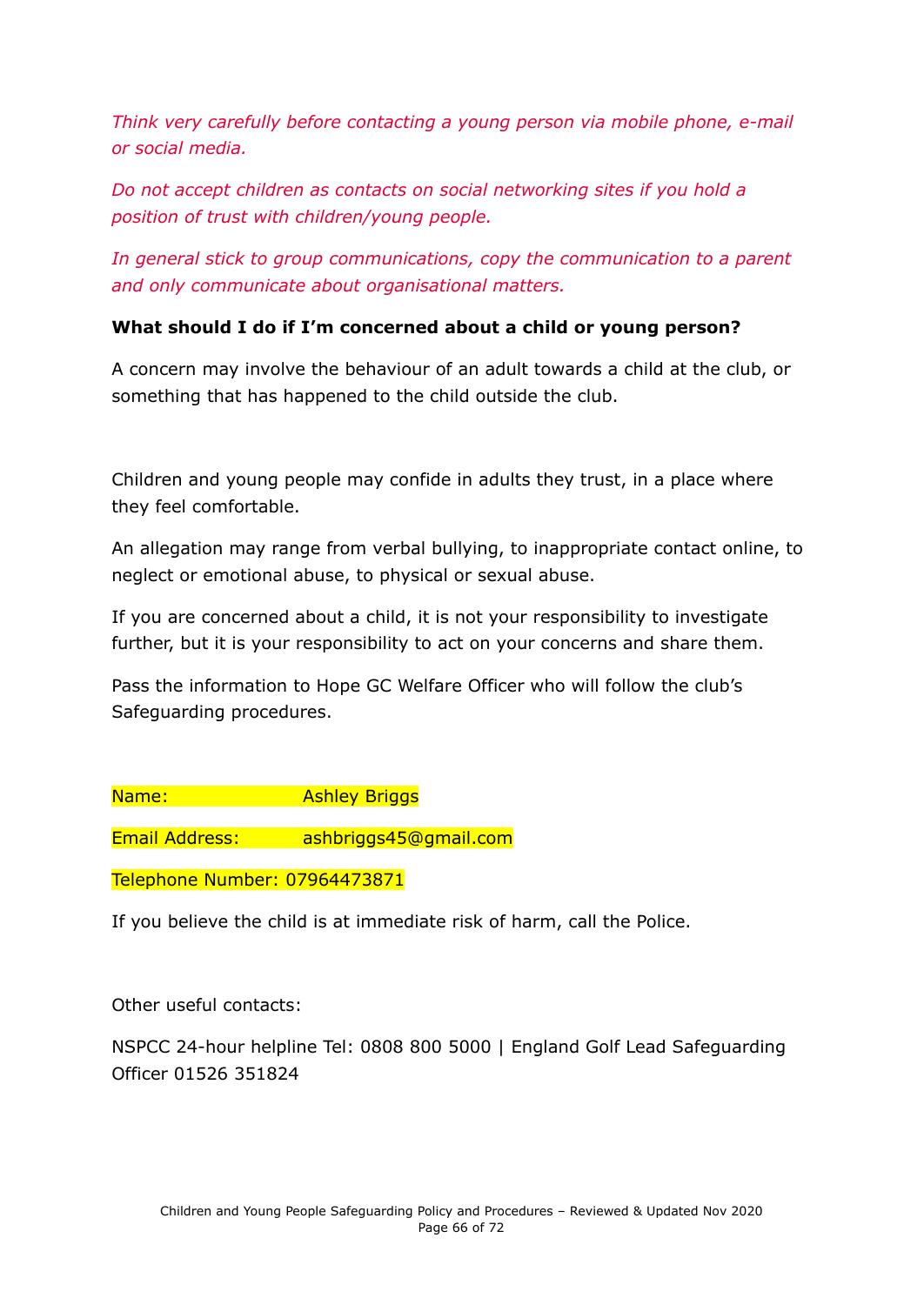*Think very carefully before contacting a young person via mobile phone, e-mail or social media.*

*Do not accept children as contacts on social networking sites if you hold a position of trust with children/young people.*

*In general stick to group communications, copy the communication to a parent and only communicate about organisational matters.*

#### **What should I do if I'm concerned about a child or young person?**

A concern may involve the behaviour of an adult towards a child at the club, or something that has happened to the child outside the club.

Children and young people may confide in adults they trust, in a place where they feel comfortable.

An allegation may range from verbal bullying, to inappropriate contact online, to neglect or emotional abuse, to physical or sexual abuse.

If you are concerned about a child, it is not your responsibility to investigate further, but it is your responsibility to act on your concerns and share them.

Pass the information to Hope GC Welfare Officer who will follow the club's Safeguarding procedures.

Name: **Ashley Briggs** 

Email Address: ashbriggs45@gmail.com

Telephone Number: 07964473871

If you believe the child is at immediate risk of harm, call the Police.

Other useful contacts:

NSPCC 24-hour helpline Tel: 0808 800 5000 | England Golf Lead Safeguarding Officer 01526 351824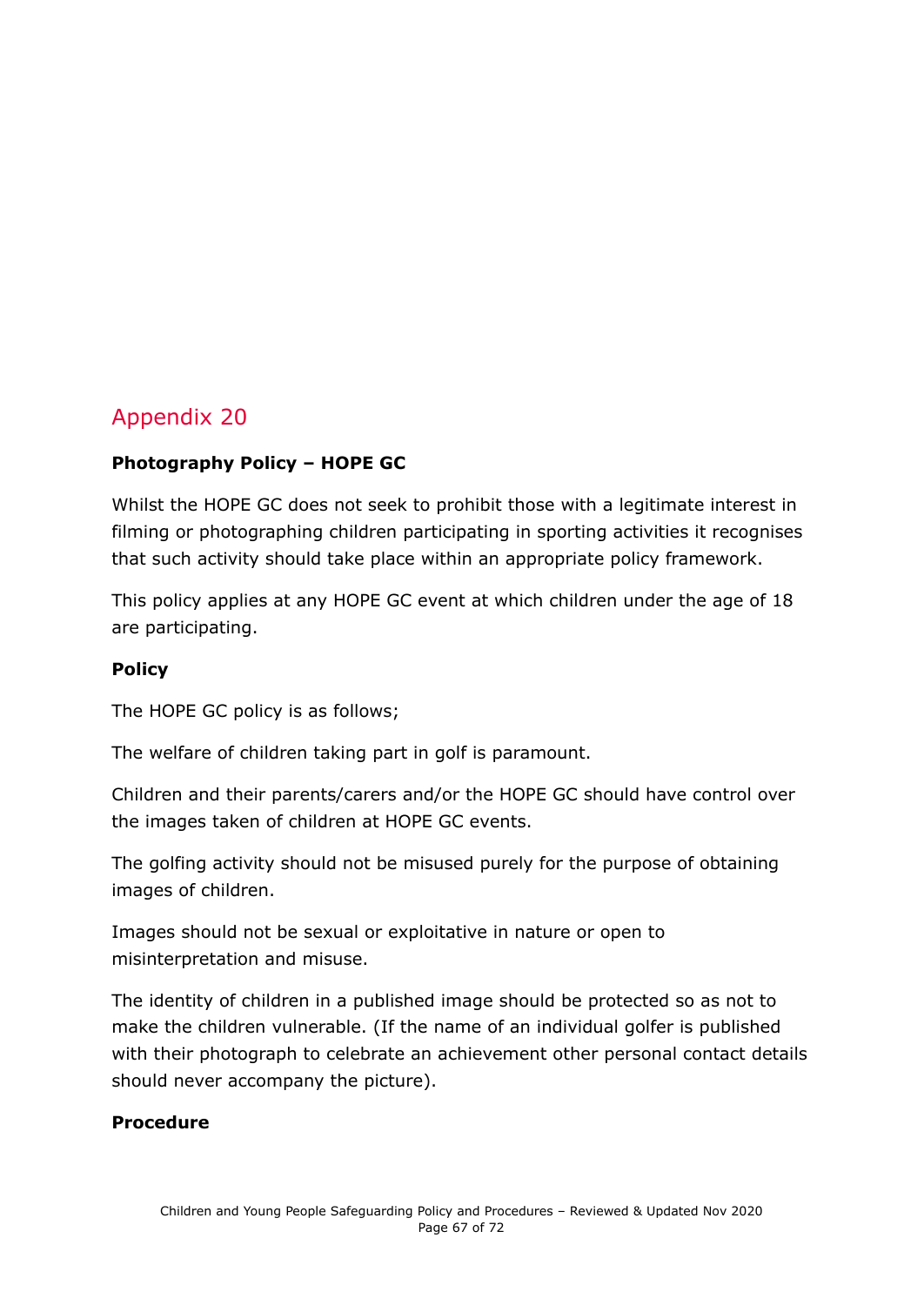#### **Photography Policy – HOPE GC**

Whilst the HOPE GC does not seek to prohibit those with a legitimate interest in filming or photographing children participating in sporting activities it recognises that such activity should take place within an appropriate policy framework.

This policy applies at any HOPE GC event at which children under the age of 18 are participating.

#### **Policy**

The HOPE GC policy is as follows;

The welfare of children taking part in golf is paramount.

Children and their parents/carers and/or the HOPE GC should have control over the images taken of children at HOPE GC events.

The golfing activity should not be misused purely for the purpose of obtaining images of children.

Images should not be sexual or exploitative in nature or open to misinterpretation and misuse.

The identity of children in a published image should be protected so as not to make the children vulnerable. (If the name of an individual golfer is published with their photograph to celebrate an achievement other personal contact details should never accompany the picture).

#### **Procedure**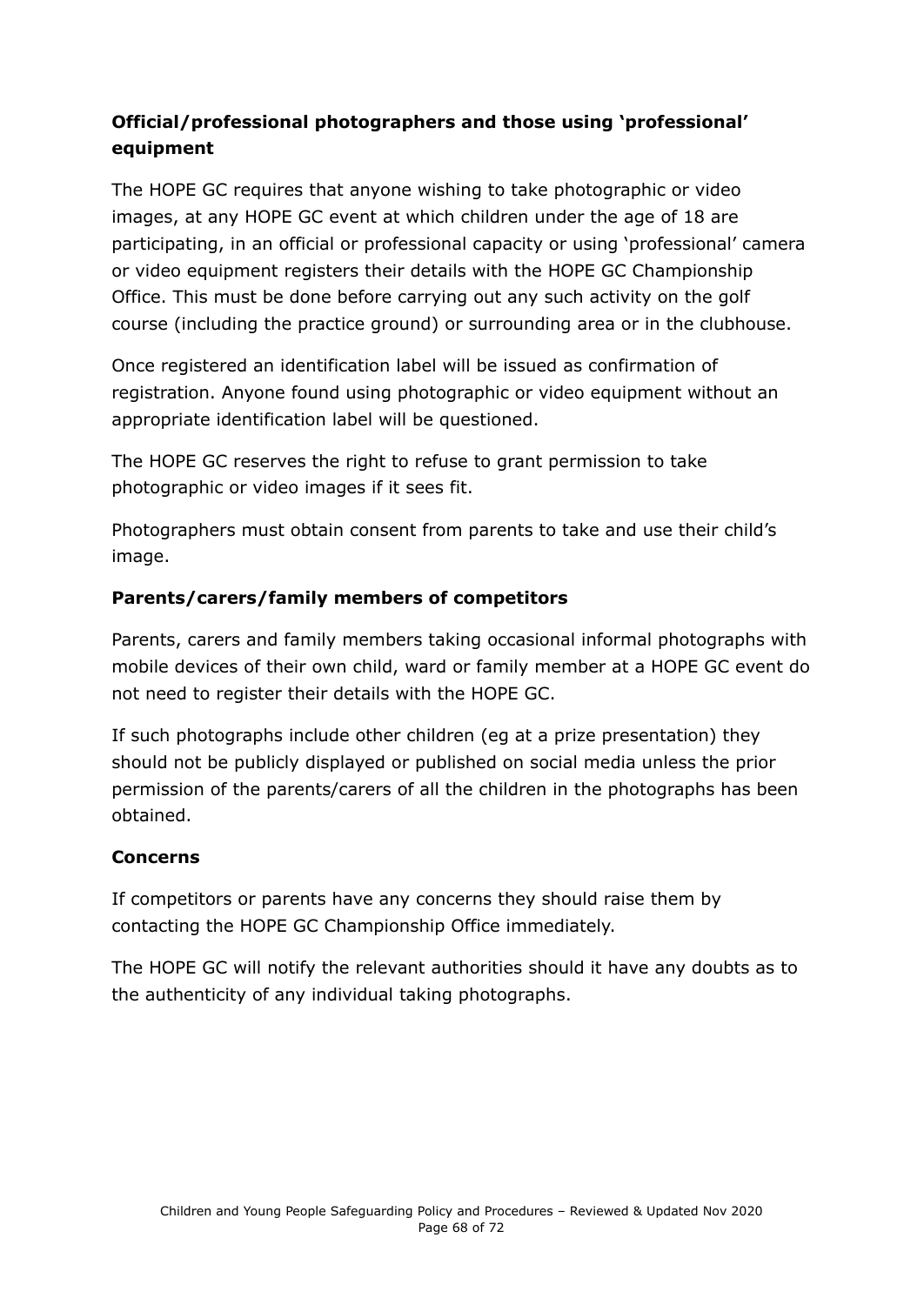## **Official/professional photographers and those using 'professional' equipment**

The HOPE GC requires that anyone wishing to take photographic or video images, at any HOPE GC event at which children under the age of 18 are participating, in an official or professional capacity or using 'professional' camera or video equipment registers their details with the HOPE GC Championship Office. This must be done before carrying out any such activity on the golf course (including the practice ground) or surrounding area or in the clubhouse.

Once registered an identification label will be issued as confirmation of registration. Anyone found using photographic or video equipment without an appropriate identification label will be questioned.

The HOPE GC reserves the right to refuse to grant permission to take photographic or video images if it sees fit.

Photographers must obtain consent from parents to take and use their child's image.

### **Parents/carers/family members of competitors**

Parents, carers and family members taking occasional informal photographs with mobile devices of their own child, ward or family member at a HOPE GC event do not need to register their details with the HOPE GC.

If such photographs include other children (eg at a prize presentation) they should not be publicly displayed or published on social media unless the prior permission of the parents/carers of all the children in the photographs has been obtained.

#### **Concerns**

If competitors or parents have any concerns they should raise them by contacting the HOPE GC Championship Office immediately.

The HOPE GC will notify the relevant authorities should it have any doubts as to the authenticity of any individual taking photographs.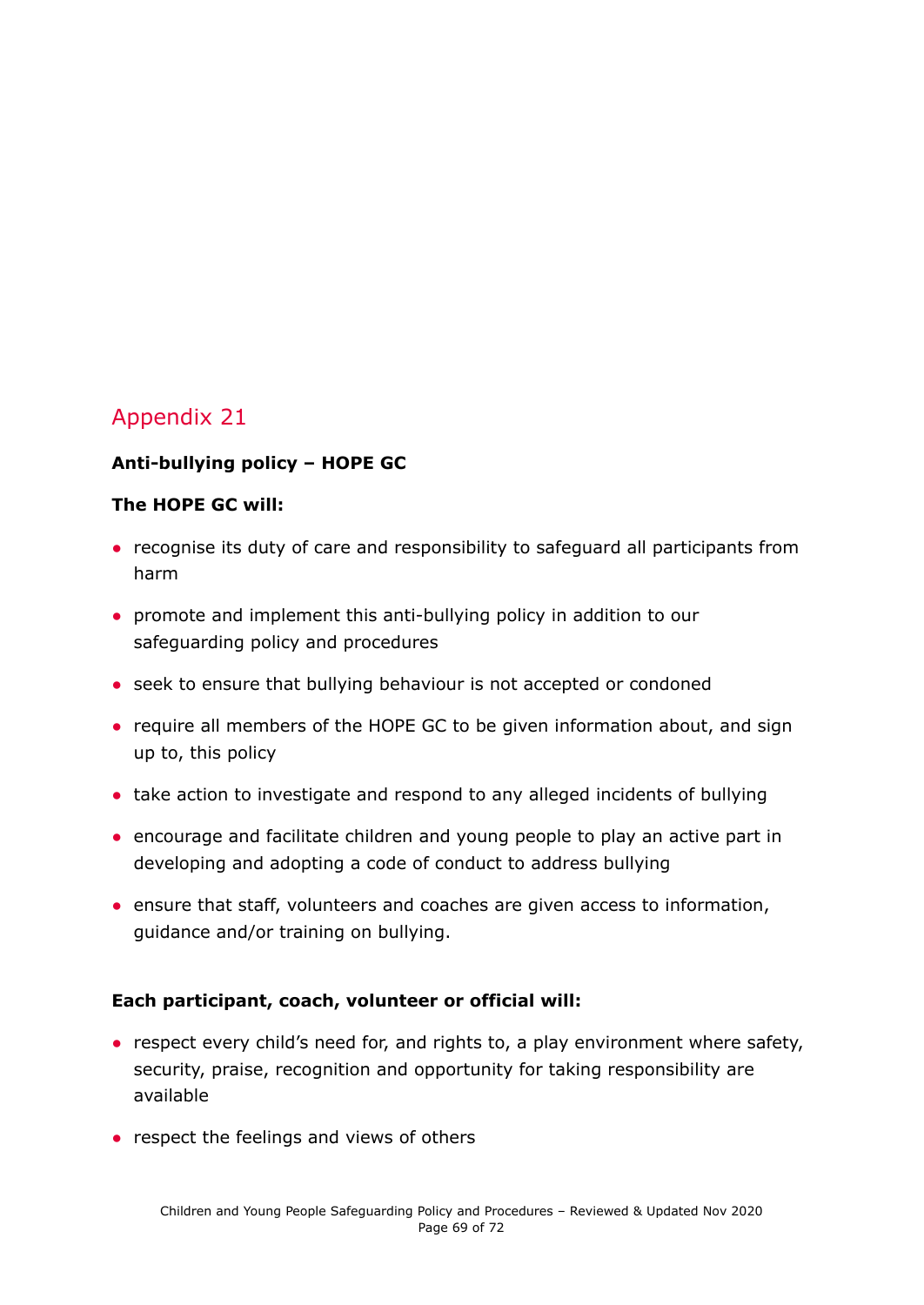#### **Anti-bullying policy – HOPE GC**

#### **The HOPE GC will:**

- recognise its duty of care and responsibility to safeguard all participants from harm
- promote and implement this anti-bullying policy in addition to our safeguarding policy and procedures
- seek to ensure that bullying behaviour is not accepted or condoned
- require all members of the HOPE GC to be given information about, and sign up to, this policy
- take action to investigate and respond to any alleged incidents of bullying
- encourage and facilitate children and young people to play an active part in developing and adopting a code of conduct to address bullying
- ensure that staff, volunteers and coaches are given access to information, guidance and/or training on bullying.

#### **Each participant, coach, volunteer or official will:**

- respect every child's need for, and rights to, a play environment where safety, security, praise, recognition and opportunity for taking responsibility are available
- respect the feelings and views of others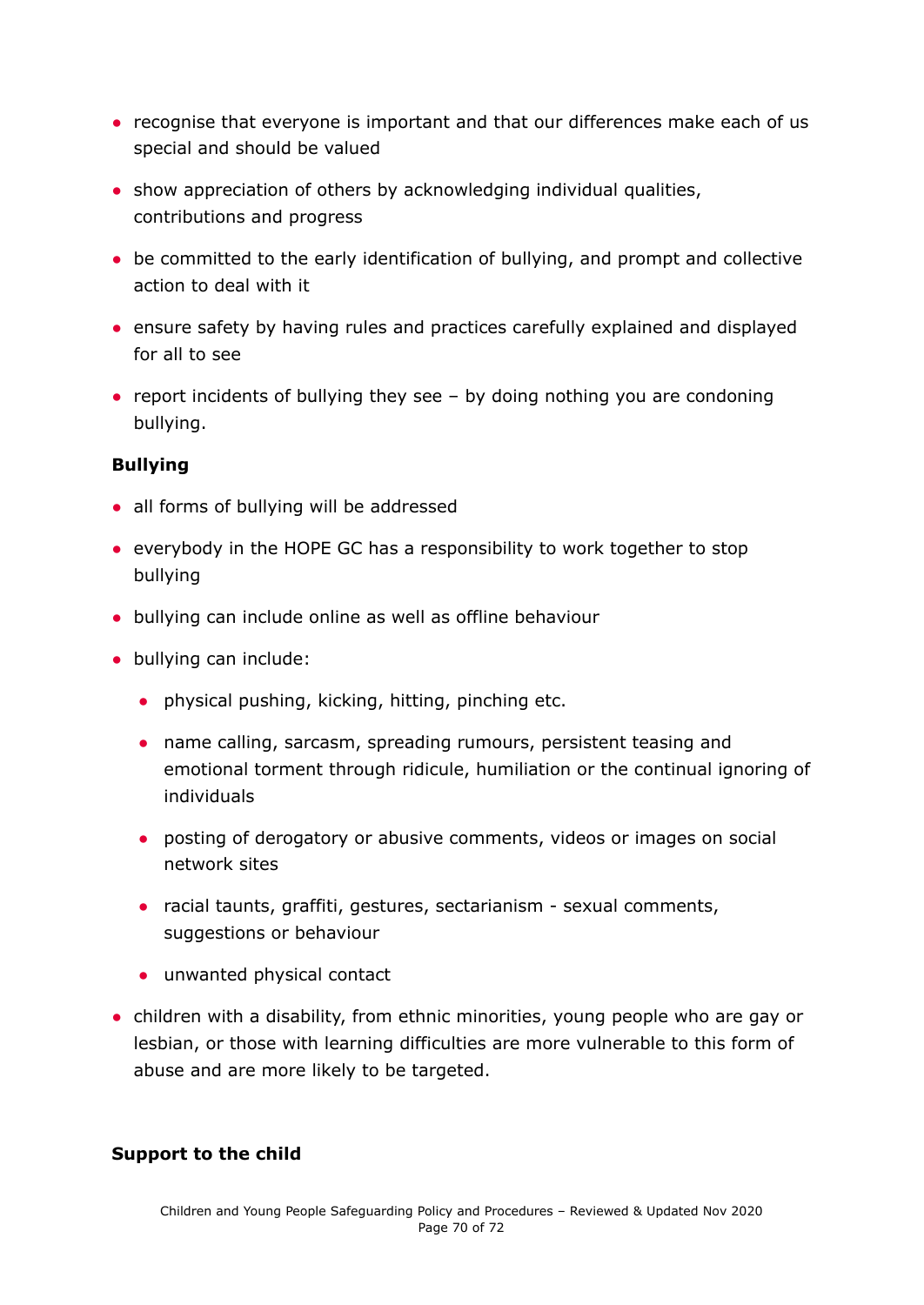- recognise that everyone is important and that our differences make each of us special and should be valued
- show appreciation of others by acknowledging individual qualities, contributions and progress
- be committed to the early identification of bullying, and prompt and collective action to deal with it
- ensure safety by having rules and practices carefully explained and displayed for all to see
- report incidents of bullying they see  $-$  by doing nothing you are condoning bullying.

#### **Bullying**

- all forms of bullying will be addressed
- everybody in the HOPE GC has a responsibility to work together to stop bullying
- bullying can include online as well as offline behaviour
- bullying can include:
	- physical pushing, kicking, hitting, pinching etc.
	- name calling, sarcasm, spreading rumours, persistent teasing and emotional torment through ridicule, humiliation or the continual ignoring of individuals
	- posting of derogatory or abusive comments, videos or images on social network sites
	- racial taunts, graffiti, gestures, sectarianism sexual comments, suggestions or behaviour
	- unwanted physical contact
- children with a disability, from ethnic minorities, young people who are gay or lesbian, or those with learning difficulties are more vulnerable to this form of abuse and are more likely to be targeted.

#### **Support to the child**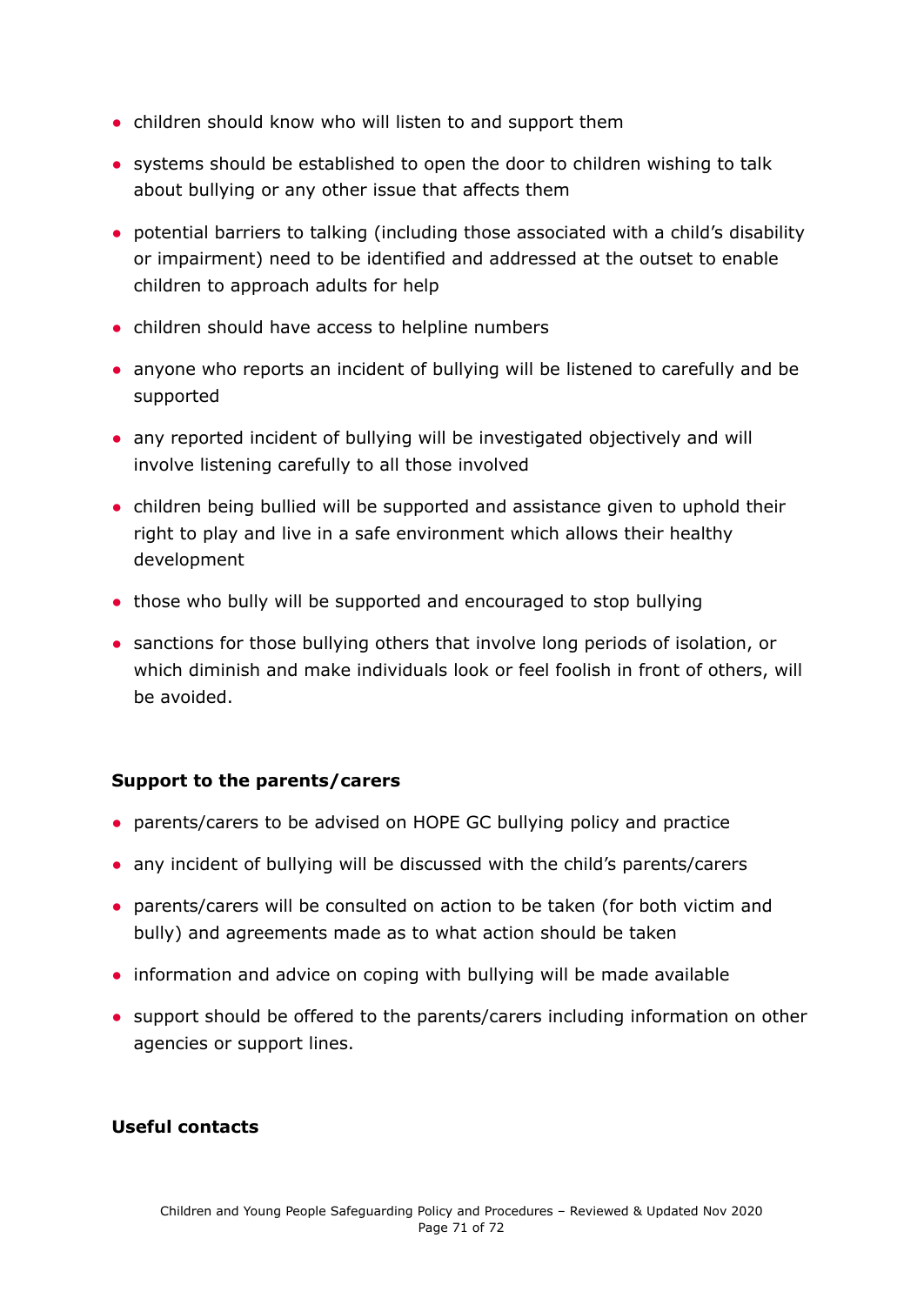- children should know who will listen to and support them
- systems should be established to open the door to children wishing to talk about bullying or any other issue that affects them
- potential barriers to talking (including those associated with a child's disability or impairment) need to be identified and addressed at the outset to enable children to approach adults for help
- children should have access to helpline numbers
- anyone who reports an incident of bullying will be listened to carefully and be supported
- any reported incident of bullying will be investigated objectively and will involve listening carefully to all those involved
- children being bullied will be supported and assistance given to uphold their right to play and live in a safe environment which allows their healthy development
- those who bully will be supported and encouraged to stop bullying
- sanctions for those bullying others that involve long periods of isolation, or which diminish and make individuals look or feel foolish in front of others, will be avoided.

#### **Support to the parents/carers**

- parents/carers to be advised on HOPE GC bullying policy and practice
- any incident of bullying will be discussed with the child's parents/carers
- parents/carers will be consulted on action to be taken (for both victim and bully) and agreements made as to what action should be taken
- information and advice on coping with bullying will be made available
- support should be offered to the parents/carers including information on other agencies or support lines.

#### **Useful contacts**